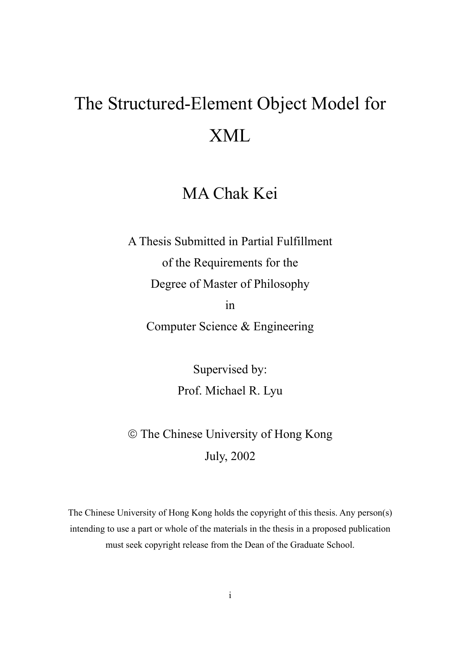# The Structured-Element Object Model for XML

## MA Chak Kei

A Thesis Submitted in Partial Fulfillment of the Requirements for the Degree of Master of Philosophy in

Computer Science & Engineering

Supervised by: Prof. Michael R. Lyu

 The Chinese University of Hong Kong July, 2002

The Chinese University of Hong Kong holds the copyright of this thesis. Any person(s) intending to use a part or whole of the materials in the thesis in a proposed publication must seek copyright release from the Dean of the Graduate School.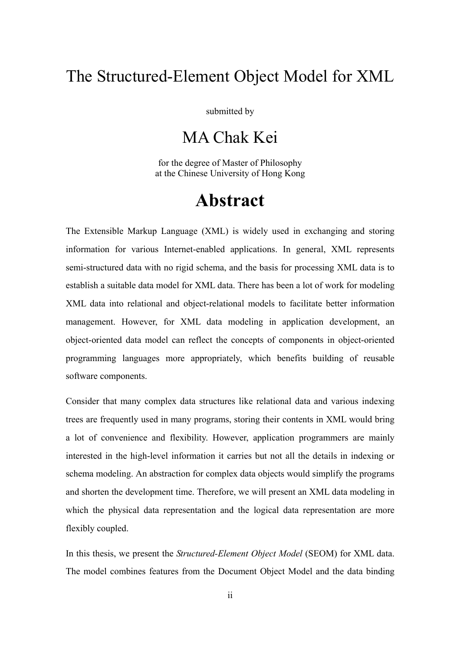## The Structured-Element Object Model for XML

submitted by

## MA Chak Kei

for the degree of Master of Philosophy at the Chinese University of Hong Kong

## **Abstract**

The Extensible Markup Language (XML) is widely used in exchanging and storing information for various Internet-enabled applications. In general, XML represents semi-structured data with no rigid schema, and the basis for processing XML data is to establish a suitable data model for XML data. There has been a lot of work for modeling XML data into relational and object-relational models to facilitate better information management. However, for XML data modeling in application development, an object-oriented data model can reflect the concepts of components in object-oriented programming languages more appropriately, which benefits building of reusable software components.

Consider that many complex data structures like relational data and various indexing trees are frequently used in many programs, storing their contents in XML would bring a lot of convenience and flexibility. However, application programmers are mainly interested in the high-level information it carries but not all the details in indexing or schema modeling. An abstraction for complex data objects would simplify the programs and shorten the development time. Therefore, we will present an XML data modeling in which the physical data representation and the logical data representation are more flexibly coupled.

In this thesis, we present the *Structured-Element Object Model* (SEOM) for XML data. The model combines features from the Document Object Model and the data binding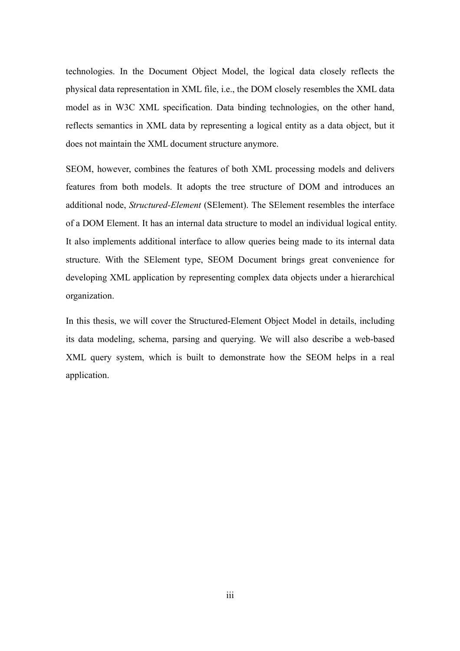technologies. In the Document Object Model, the logical data closely reflects the physical data representation in XML file, i.e., the DOM closely resembles the XML data model as in W3C XML specification. Data binding technologies, on the other hand, reflects semantics in XML data by representing a logical entity as a data object, but it does not maintain the XML document structure anymore.

SEOM, however, combines the features of both XML processing models and delivers features from both models. It adopts the tree structure of DOM and introduces an additional node, *Structured-Element* (SElement). The SElement resembles the interface of a DOM Element. It has an internal data structure to model an individual logical entity. It also implements additional interface to allow queries being made to its internal data structure. With the SElement type, SEOM Document brings great convenience for developing XML application by representing complex data objects under a hierarchical organization.

In this thesis, we will cover the Structured-Element Object Model in details, including its data modeling, schema, parsing and querying. We will also describe a web-based XML query system, which is built to demonstrate how the SEOM helps in a real application.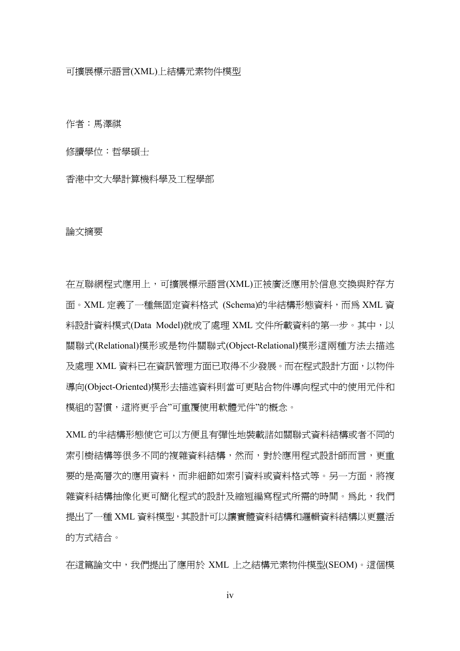作者:馬澤祺

修讀學位:哲學碩士

香港中文大學計算機科學及工程學部

#### 論文摘要

在互聯網程式應用上,可擴展標示語言(XML)正被廣泛應用於信息交換與貯存方 面。XML 定義了一種無固定資料格式 (Schema)的半結構形態資料,而為 XML 資 料設計資料模式(Data Model)就成了處理 XML 文件所載資料的第一步。其中,以 關聯式(Relational)模形或是物件關聯式(Object-Relational)模形這兩種方法去描述 及處理 XML 資料已在資訊管理方面已取得不少發展。而在程式設計方面,以物件 導向(Object-Oriented)模形去描述資料則當可更貼合物件導向程式中的使用元件和 模組的習慣,這將更乎合"可重覆使用軟體元件"的概念。

XML 的半結構形態使它可以方便且有彈性地裝載諸如關聯式資料結構或者不同的 索引樹結構等很多不同的複雜資料結構,然而,對於應用程式設計師而言,更重 要的是高層次的應用資料,而非細節如索引資料或資料格式等。另一方面,將複 雜資料結構抽像化更可簡化程式的設計及縮短編寫程式所需的時間。為此,我們 提出了一種 XML 資料模型,其設計可以讓實體資料結構和邏輯資料結構以更靈活 的方式結合。

在這篇論文中,我們提出了應用於 XML 上之結構元素物件模型(SEOM)。這個模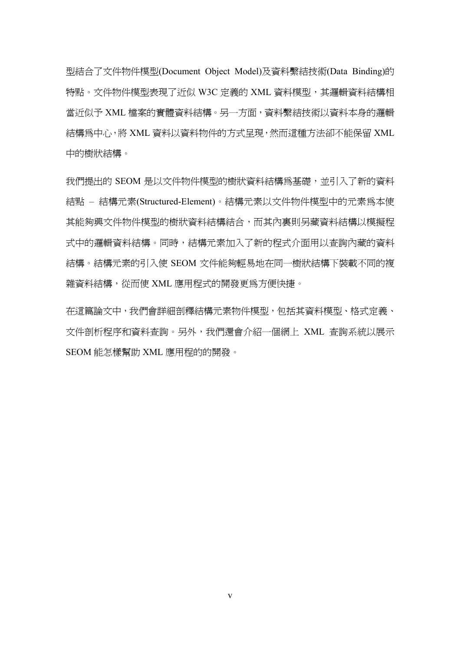型結合了文件物件模型(Document Object Model)及資料繫結技術(Data Binding)的 特點。文件物件模型表現了近似 W3C 定義的 XML 資料模型,其邏輯資料結構相 當沂似予 XML 檔案的實體資料結構。另一方面,資料繫結技術以資料本身的邏輯 結構為中心,將 XML 資料以資料物件的方式呈現,然而這種方法卻不能保留 XML 中的樹狀結構。

我們提出的 SEOM 是以文件物件模型的樹狀資料結構爲基礎,並引入了新的資料 結點 – 結構元素(Structured-Element)。結構元素以文件物件模型中的元素為本使 其能夠興文件物件模型的樹狀資料結構結合,而其內裏則另藏資料結構以模擬程 式中的邏輯資料結構。同時,結構元素加入了新的程式介面用以查詢內藏的資料 結構。結構元素的引入使 SEOM 文件能夠輕易地在同一樹狀結構下裝載不同的複 雜資料結構,從而使 XML 應用程式的開發更為方便快捷。

在這篇論文中,我們會詳細剖釋結構元素物件模型,包括其資料模型、格式定義、 文件剖析程序和資料查詢。另外,我們還會介紹一個網上 XML 查詢系統以展示 SEOM 能怎樣幫助 XML 應用程的的開發。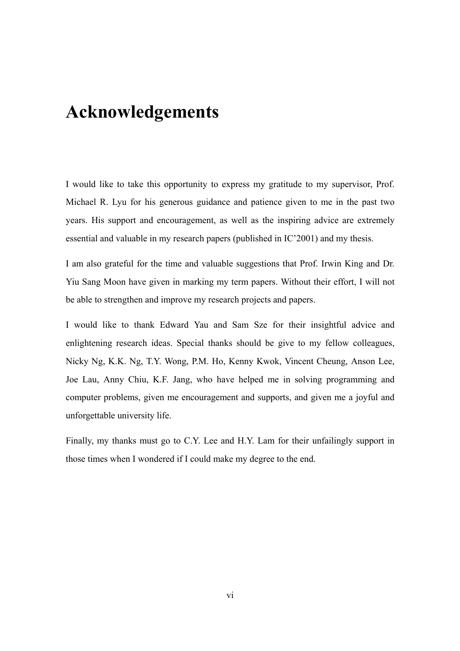## **Acknowledgements**

I would like to take this opportunity to express my gratitude to my supervisor, Prof. Michael R. Lyu for his generous guidance and patience given to me in the past two years. His support and encouragement, as well as the inspiring advice are extremely essential and valuable in my research papers (published in IC'2001) and my thesis.

I am also grateful for the time and valuable suggestions that Prof. Irwin King and Dr. Yiu Sang Moon have given in marking my term papers. Without their effort, I will not be able to strengthen and improve my research projects and papers.

I would like to thank Edward Yau and Sam Sze for their insightful advice and enlightening research ideas. Special thanks should be give to my fellow colleagues, Nicky Ng, K.K. Ng, T.Y. Wong, P.M. Ho, Kenny Kwok, Vincent Cheung, Anson Lee, Joe Lau, Anny Chiu, K.F. Jang, who have helped me in solving programming and computer problems, given me encouragement and supports, and given me a joyful and unforgettable university life.

Finally, my thanks must go to C.Y. Lee and H.Y. Lam for their unfailingly support in those times when I wondered if I could make my degree to the end.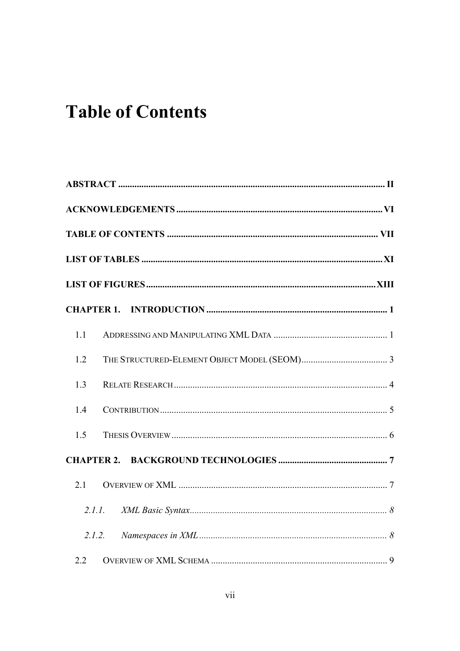## **Table of Contents**

| 1.1    |  |
|--------|--|
| 1.2    |  |
| 1.3    |  |
| 1.4    |  |
| 1.5    |  |
|        |  |
| 2.1    |  |
| 2.1.1. |  |
| 2.1.2. |  |
| 2.2    |  |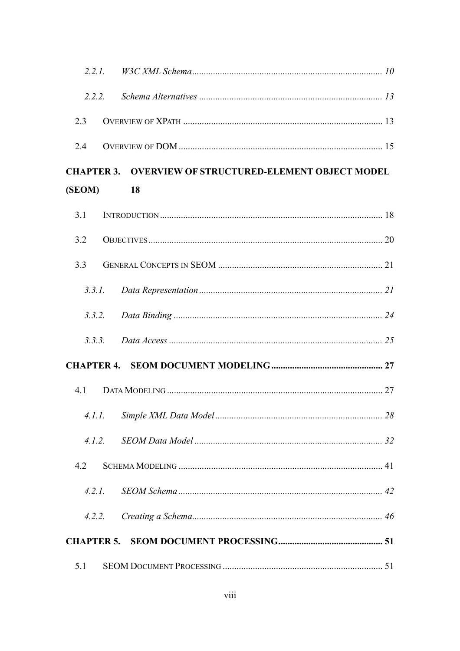| 2.2.2. |                                                               |  |
|--------|---------------------------------------------------------------|--|
| 2.3    |                                                               |  |
| 2.4    |                                                               |  |
|        | <b>CHAPTER 3. OVERVIEW OF STRUCTURED-ELEMENT OBJECT MODEL</b> |  |
| (SEOM) | <b>18</b>                                                     |  |
| 3.1    |                                                               |  |
| 3.2    |                                                               |  |
| 3.3    |                                                               |  |
| 3.3.1. |                                                               |  |
|        |                                                               |  |
|        |                                                               |  |
|        |                                                               |  |
| 4.1    |                                                               |  |
| 4.1.1. |                                                               |  |
| 4.1.2. |                                                               |  |
| 4.2    |                                                               |  |
| 4.2.1. |                                                               |  |
| 4.2.2. |                                                               |  |
|        |                                                               |  |
| 5.1    |                                                               |  |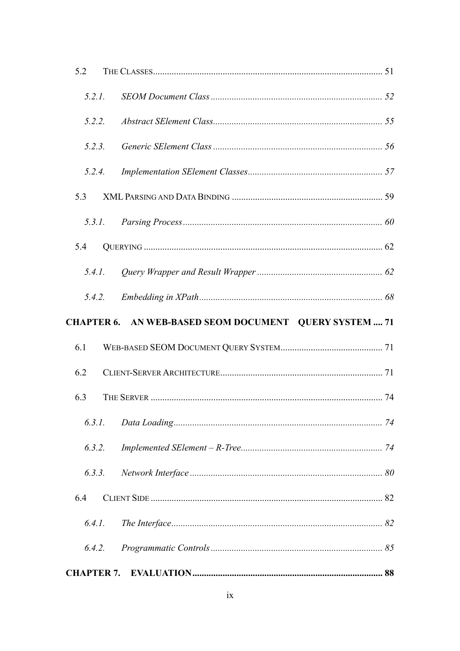| 5.2               |                                             |  |
|-------------------|---------------------------------------------|--|
| 5.2.1.            |                                             |  |
| 5.2.2.            |                                             |  |
| 5.2.3.            |                                             |  |
| 5.2.4.            |                                             |  |
| 5.3               |                                             |  |
| 5.3.1.            |                                             |  |
| 5.4               |                                             |  |
| 5.4.1.            |                                             |  |
| 5.4.2.            |                                             |  |
| <b>CHAPTER 6.</b> | AN WEB-BASED SEOM DOCUMENT QUERY SYSTEM  71 |  |
|                   |                                             |  |
| 6.1               |                                             |  |
| 6.2               |                                             |  |
| 6.3               |                                             |  |
| 6.3.1.            |                                             |  |
| 6.3.2.            |                                             |  |
| 6.3.3.            |                                             |  |
| 6.4               |                                             |  |
| 6.4.1.            |                                             |  |
| 6.4.2.            |                                             |  |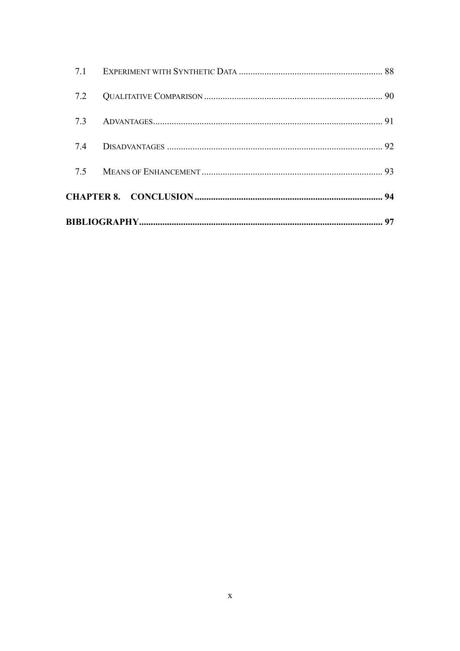| 7.5 |  |
|-----|--|
| 7.4 |  |
|     |  |
| 7.2 |  |
|     |  |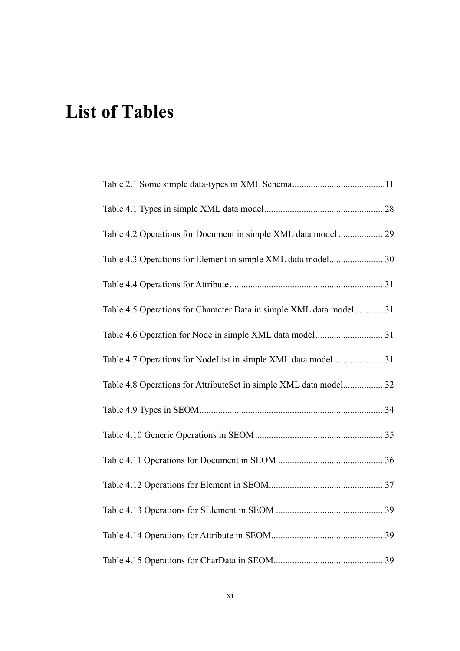## **List of Tables**

| Table 4.2 Operations for Document in simple XML data model  29      |  |
|---------------------------------------------------------------------|--|
|                                                                     |  |
|                                                                     |  |
| Table 4.5 Operations for Character Data in simple XML data model 31 |  |
|                                                                     |  |
|                                                                     |  |
| Table 4.8 Operations for AttributeSet in simple XML data model 32   |  |
|                                                                     |  |
|                                                                     |  |
|                                                                     |  |
|                                                                     |  |
|                                                                     |  |
|                                                                     |  |
|                                                                     |  |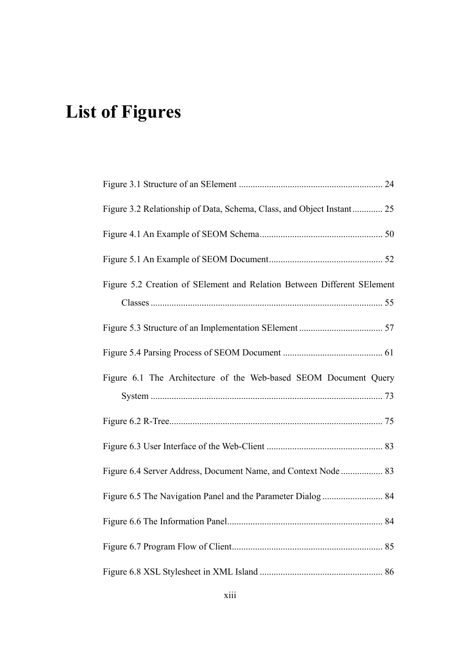## **List of Figures**

| Figure 3.2 Relationship of Data, Schema, Class, and Object Instant 25   |  |
|-------------------------------------------------------------------------|--|
|                                                                         |  |
|                                                                         |  |
| Figure 5.2 Creation of SElement and Relation Between Different SElement |  |
|                                                                         |  |
|                                                                         |  |
|                                                                         |  |
| Figure 6.1 The Architecture of the Web-based SEOM Document Query        |  |
|                                                                         |  |
|                                                                         |  |
|                                                                         |  |
| Figure 6.4 Server Address, Document Name, and Context Node  83          |  |
|                                                                         |  |
|                                                                         |  |
|                                                                         |  |
|                                                                         |  |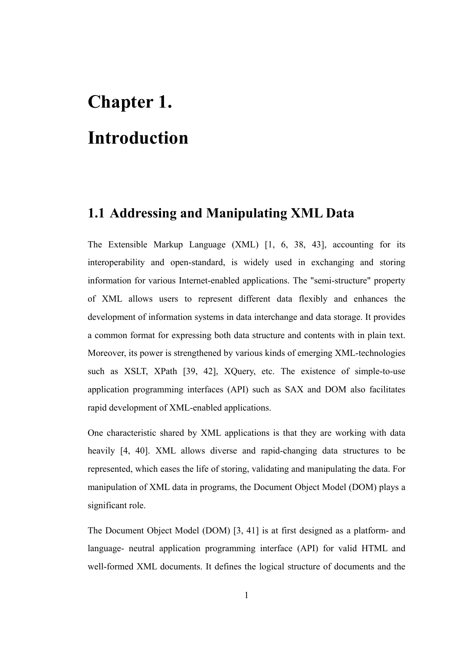# **Chapter 1. Introduction**

## **1.1 Addressing and Manipulating XML Data**

The Extensible Markup Language (XML) [1, 6, 38, 43], accounting for its interoperability and open-standard, is widely used in exchanging and storing information for various Internet-enabled applications. The "semi-structure" property of XML allows users to represent different data flexibly and enhances the development of information systems in data interchange and data storage. It provides a common format for expressing both data structure and contents with in plain text. Moreover, its power is strengthened by various kinds of emerging XML-technologies such as XSLT, XPath [39, 42], XQuery, etc. The existence of simple-to-use application programming interfaces (API) such as SAX and DOM also facilitates rapid development of XML-enabled applications.

One characteristic shared by XML applications is that they are working with data heavily [4, 40]. XML allows diverse and rapid-changing data structures to be represented, which eases the life of storing, validating and manipulating the data. For manipulation of XML data in programs, the Document Object Model (DOM) plays a significant role.

The Document Object Model (DOM) [3, 41] is at first designed as a platform- and language- neutral application programming interface (API) for valid HTML and well-formed XML documents. It defines the logical structure of documents and the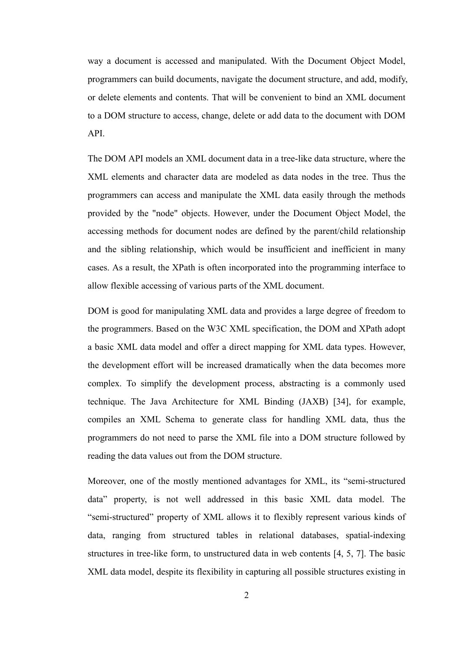way a document is accessed and manipulated. With the Document Object Model, programmers can build documents, navigate the document structure, and add, modify, or delete elements and contents. That will be convenient to bind an XML document to a DOM structure to access, change, delete or add data to the document with DOM API.

The DOM API models an XML document data in a tree-like data structure, where the XML elements and character data are modeled as data nodes in the tree. Thus the programmers can access and manipulate the XML data easily through the methods provided by the "node" objects. However, under the Document Object Model, the accessing methods for document nodes are defined by the parent/child relationship and the sibling relationship, which would be insufficient and inefficient in many cases. As a result, the XPath is often incorporated into the programming interface to allow flexible accessing of various parts of the XML document.

DOM is good for manipulating XML data and provides a large degree of freedom to the programmers. Based on the W3C XML specification, the DOM and XPath adopt a basic XML data model and offer a direct mapping for XML data types. However, the development effort will be increased dramatically when the data becomes more complex. To simplify the development process, abstracting is a commonly used technique. The Java Architecture for XML Binding (JAXB) [34], for example, compiles an XML Schema to generate class for handling XML data, thus the programmers do not need to parse the XML file into a DOM structure followed by reading the data values out from the DOM structure.

Moreover, one of the mostly mentioned advantages for XML, its "semi-structured data" property, is not well addressed in this basic XML data model. The "semi-structured" property of XML allows it to flexibly represent various kinds of data, ranging from structured tables in relational databases, spatial-indexing structures in tree-like form, to unstructured data in web contents [4, 5, 7]. The basic XML data model, despite its flexibility in capturing all possible structures existing in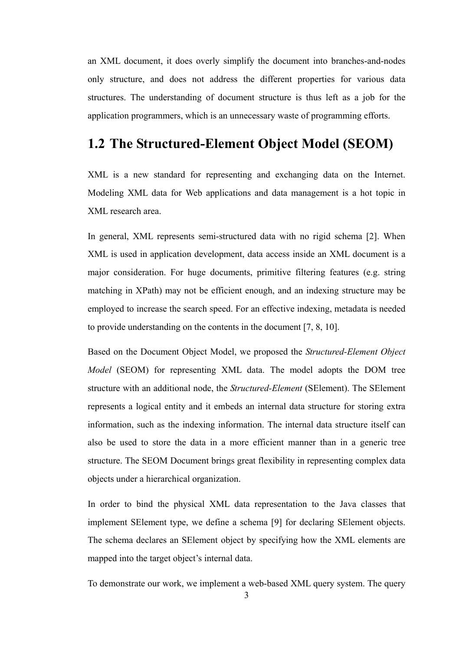an XML document, it does overly simplify the document into branches-and-nodes only structure, and does not address the different properties for various data structures. The understanding of document structure is thus left as a job for the application programmers, which is an unnecessary waste of programming efforts.

## **1.2 The Structured-Element Object Model (SEOM)**

XML is a new standard for representing and exchanging data on the Internet. Modeling XML data for Web applications and data management is a hot topic in XML research area.

In general, XML represents semi-structured data with no rigid schema [2]. When XML is used in application development, data access inside an XML document is a major consideration. For huge documents, primitive filtering features (e.g. string matching in XPath) may not be efficient enough, and an indexing structure may be employed to increase the search speed. For an effective indexing, metadata is needed to provide understanding on the contents in the document [7, 8, 10].

Based on the Document Object Model, we proposed the *Structured-Element Object Model* (SEOM) for representing XML data. The model adopts the DOM tree structure with an additional node, the *Structured-Element* (SElement). The SElement represents a logical entity and it embeds an internal data structure for storing extra information, such as the indexing information. The internal data structure itself can also be used to store the data in a more efficient manner than in a generic tree structure. The SEOM Document brings great flexibility in representing complex data objects under a hierarchical organization.

In order to bind the physical XML data representation to the Java classes that implement SElement type, we define a schema [9] for declaring SElement objects. The schema declares an SElement object by specifying how the XML elements are mapped into the target object's internal data.

To demonstrate our work, we implement a web-based XML query system. The query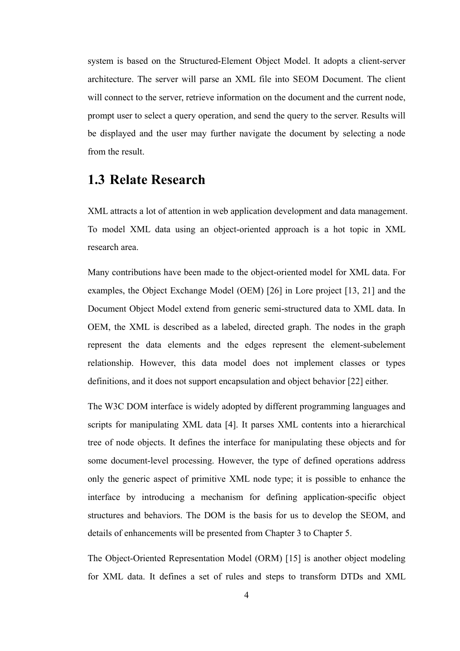system is based on the Structured-Element Object Model. It adopts a client-server architecture. The server will parse an XML file into SEOM Document. The client will connect to the server, retrieve information on the document and the current node, prompt user to select a query operation, and send the query to the server. Results will be displayed and the user may further navigate the document by selecting a node from the result.

### **1.3 Relate Research**

XML attracts a lot of attention in web application development and data management. To model XML data using an object-oriented approach is a hot topic in XML research area.

Many contributions have been made to the object-oriented model for XML data. For examples, the Object Exchange Model (OEM) [26] in Lore project [13, 21] and the Document Object Model extend from generic semi-structured data to XML data. In OEM, the XML is described as a labeled, directed graph. The nodes in the graph represent the data elements and the edges represent the element-subelement relationship. However, this data model does not implement classes or types definitions, and it does not support encapsulation and object behavior [22] either.

The W3C DOM interface is widely adopted by different programming languages and scripts for manipulating XML data [4]. It parses XML contents into a hierarchical tree of node objects. It defines the interface for manipulating these objects and for some document-level processing. However, the type of defined operations address only the generic aspect of primitive XML node type; it is possible to enhance the interface by introducing a mechanism for defining application-specific object structures and behaviors. The DOM is the basis for us to develop the SEOM, and details of enhancements will be presented from Chapter 3 to Chapter 5.

The Object-Oriented Representation Model (ORM) [15] is another object modeling for XML data. It defines a set of rules and steps to transform DTDs and XML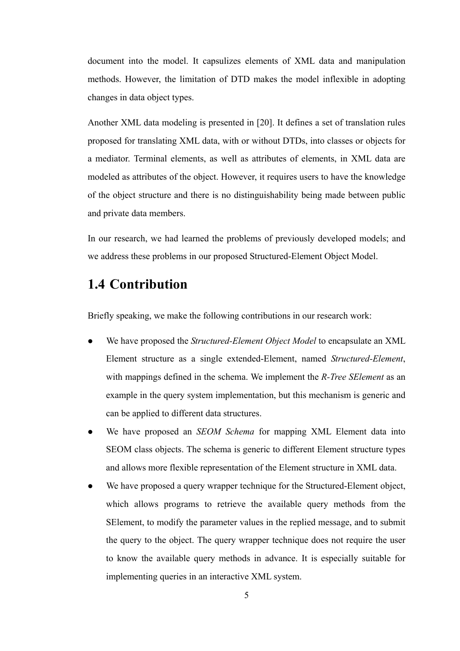document into the model. It capsulizes elements of XML data and manipulation methods. However, the limitation of DTD makes the model inflexible in adopting changes in data object types.

Another XML data modeling is presented in [20]. It defines a set of translation rules proposed for translating XML data, with or without DTDs, into classes or objects for a mediator. Terminal elements, as well as attributes of elements, in XML data are modeled as attributes of the object. However, it requires users to have the knowledge of the object structure and there is no distinguishability being made between public and private data members.

In our research, we had learned the problems of previously developed models; and we address these problems in our proposed Structured-Element Object Model.

## **1.4 Contribution**

Briefly speaking, we make the following contributions in our research work:

- We have proposed the *Structured-Element Object Model* to encapsulate an XML Element structure as a single extended-Element, named *Structured-Element*, with mappings defined in the schema. We implement the *R-Tree SElement* as an example in the query system implementation, but this mechanism is generic and can be applied to different data structures.
- We have proposed an *SEOM Schema* for mapping XML Element data into SEOM class objects. The schema is generic to different Element structure types and allows more flexible representation of the Element structure in XML data.
- We have proposed a query wrapper technique for the Structured-Element object, which allows programs to retrieve the available query methods from the SElement, to modify the parameter values in the replied message, and to submit the query to the object. The query wrapper technique does not require the user to know the available query methods in advance. It is especially suitable for implementing queries in an interactive XML system.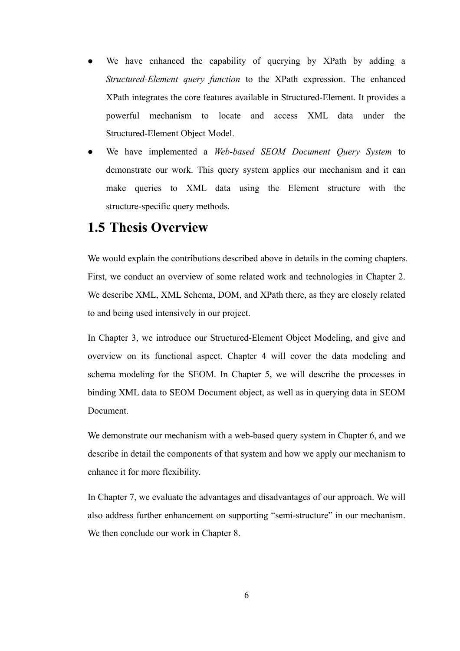- We have enhanced the capability of querying by XPath by adding a *Structured-Element query function* to the XPath expression. The enhanced XPath integrates the core features available in Structured-Element. It provides a powerful mechanism to locate and access XML data under the Structured-Element Object Model.
- z We have implemented a *Web-based SEOM Document Query System* to demonstrate our work. This query system applies our mechanism and it can make queries to XML data using the Element structure with the structure-specific query methods.

### **1.5 Thesis Overview**

We would explain the contributions described above in details in the coming chapters. First, we conduct an overview of some related work and technologies in Chapter 2. We describe XML, XML Schema, DOM, and XPath there, as they are closely related to and being used intensively in our project.

In Chapter 3, we introduce our Structured-Element Object Modeling, and give and overview on its functional aspect. Chapter 4 will cover the data modeling and schema modeling for the SEOM. In Chapter 5, we will describe the processes in binding XML data to SEOM Document object, as well as in querying data in SEOM Document.

We demonstrate our mechanism with a web-based query system in Chapter 6, and we describe in detail the components of that system and how we apply our mechanism to enhance it for more flexibility.

In Chapter 7, we evaluate the advantages and disadvantages of our approach. We will also address further enhancement on supporting "semi-structure" in our mechanism. We then conclude our work in Chapter 8.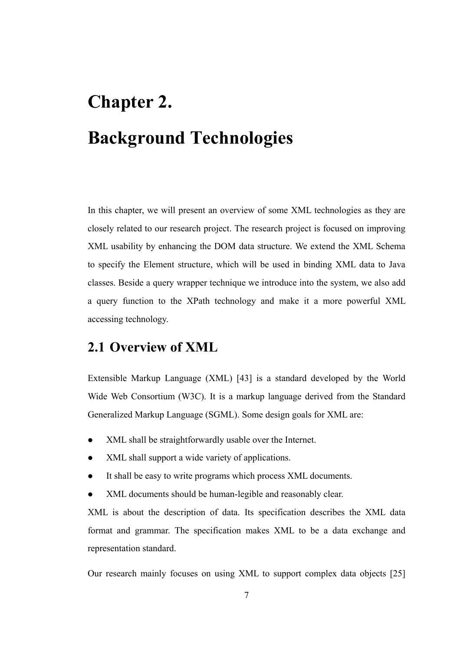# **Chapter 2. Background Technologies**

In this chapter, we will present an overview of some XML technologies as they are closely related to our research project. The research project is focused on improving XML usability by enhancing the DOM data structure. We extend the XML Schema to specify the Element structure, which will be used in binding XML data to Java classes. Beside a query wrapper technique we introduce into the system, we also add a query function to the XPath technology and make it a more powerful XML accessing technology.

## **2.1 Overview of XML**

Extensible Markup Language (XML) [43] is a standard developed by the World Wide Web Consortium (W3C). It is a markup language derived from the Standard Generalized Markup Language (SGML). Some design goals for XML are:

- XML shall be straightforwardly usable over the Internet.
- z XML shall support a wide variety of applications.
- It shall be easy to write programs which process XML documents.
- z XML documents should be human-legible and reasonably clear.

XML is about the description of data. Its specification describes the XML data format and grammar. The specification makes XML to be a data exchange and representation standard.

Our research mainly focuses on using XML to support complex data objects [25]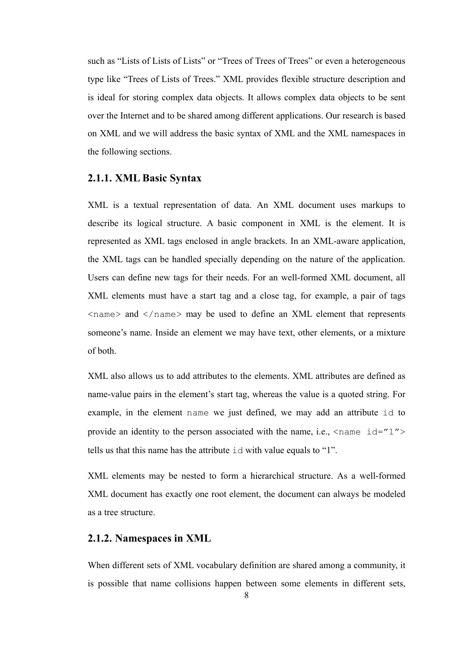such as "Lists of Lists of Lists" or "Trees of Trees of Trees" or even a heterogeneous type like "Trees of Lists of Trees." XML provides flexible structure description and is ideal for storing complex data objects. It allows complex data objects to be sent over the Internet and to be shared among different applications. Our research is based on XML and we will address the basic syntax of XML and the XML namespaces in the following sections.

#### **2.1.1. XML Basic Syntax**

XML is a textual representation of data. An XML document uses markups to describe its logical structure. A basic component in XML is the element. It is represented as XML tags enclosed in angle brackets. In an XML-aware application, the XML tags can be handled specially depending on the nature of the application. Users can define new tags for their needs. For an well-formed XML document, all XML elements must have a start tag and a close tag, for example, a pair of tags  $\langle$ name $\rangle$  and  $\langle$ /name $\rangle$  may be used to define an XML element that represents someone's name. Inside an element we may have text, other elements, or a mixture of both.

XML also allows us to add attributes to the elements. XML attributes are defined as name-value pairs in the element's start tag, whereas the value is a quoted string. For example, in the element name we just defined, we may add an attribute id to provide an identity to the person associated with the name, i.e.,  $\langle$ name id="1"> tells us that this name has the attribute id with value equals to "1".

XML elements may be nested to form a hierarchical structure. As a well-formed XML document has exactly one root element, the document can always be modeled as a tree structure.

#### **2.1.2. Namespaces in XML**

When different sets of XML vocabulary definition are shared among a community, it is possible that name collisions happen between some elements in different sets,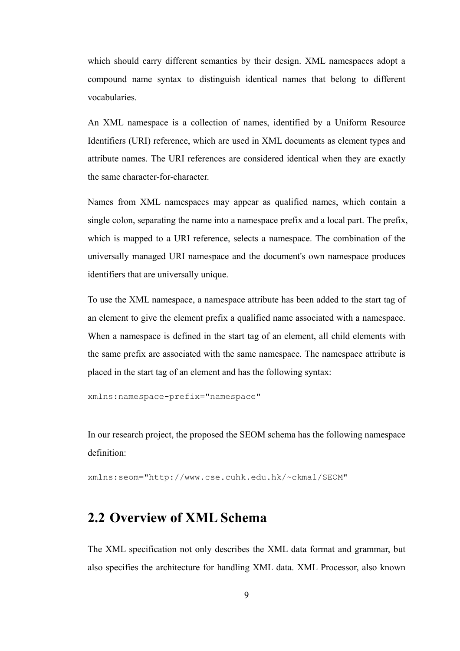which should carry different semantics by their design. XML namespaces adopt a compound name syntax to distinguish identical names that belong to different vocabularies.

An XML namespace is a collection of names, identified by a Uniform Resource Identifiers (URI) reference, which are used in XML documents as element types and attribute names. The URI references are considered identical when they are exactly the same character-for-character.

Names from XML namespaces may appear as qualified names, which contain a single colon, separating the name into a namespace prefix and a local part. The prefix, which is mapped to a URI reference, selects a namespace. The combination of the universally managed URI namespace and the document's own namespace produces identifiers that are universally unique.

To use the XML namespace, a namespace attribute has been added to the start tag of an element to give the element prefix a qualified name associated with a namespace. When a namespace is defined in the start tag of an element, all child elements with the same prefix are associated with the same namespace. The namespace attribute is placed in the start tag of an element and has the following syntax:

xmlns:namespace-prefix="namespace"

In our research project, the proposed the SEOM schema has the following namespace definition:

xmlns:seom="http://www.cse.cuhk.edu.hk/~ckma1/SEOM"

## **2.2 Overview of XML Schema**

The XML specification not only describes the XML data format and grammar, but also specifies the architecture for handling XML data. XML Processor, also known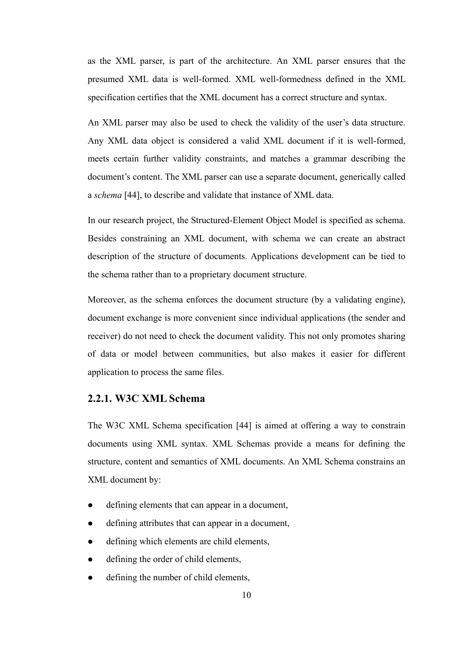as the XML parser, is part of the architecture. An XML parser ensures that the presumed XML data is well-formed. XML well-formedness defined in the XML specification certifies that the XML document has a correct structure and syntax.

An XML parser may also be used to check the validity of the user's data structure. Any XML data object is considered a valid XML document if it is well-formed, meets certain further validity constraints, and matches a grammar describing the document's content. The XML parser can use a separate document, generically called a *schema* [44], to describe and validate that instance of XML data.

In our research project, the Structured-Element Object Model is specified as schema. Besides constraining an XML document, with schema we can create an abstract description of the structure of documents. Applications development can be tied to the schema rather than to a proprietary document structure.

Moreover, as the schema enforces the document structure (by a validating engine), document exchange is more convenient since individual applications (the sender and receiver) do not need to check the document validity. This not only promotes sharing of data or model between communities, but also makes it easier for different application to process the same files.

#### **2.2.1. W3C XML Schema**

The W3C XML Schema specification [44] is aimed at offering a way to constrain documents using XML syntax. XML Schemas provide a means for defining the structure, content and semantics of XML documents. An XML Schema constrains an XML document by:

- $\bullet$  defining elements that can appear in a document,
- defining attributes that can appear in a document,
- defining which elements are child elements,
- defining the order of child elements,
- defining the number of child elements,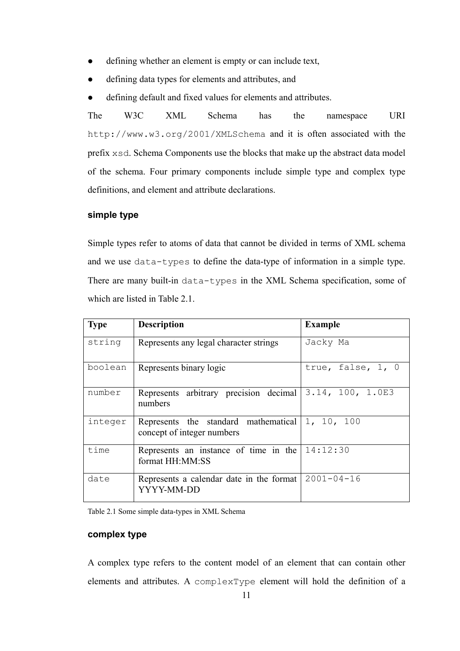- defining whether an element is empty or can include text,
- defining data types for elements and attributes, and
- defining default and fixed values for elements and attributes.

The W3C XML Schema has the namespace URI http://www.w3.org/2001/XMLSchema and it is often associated with the prefix xsd. Schema Components use the blocks that make up the abstract data model of the schema. Four primary components include simple type and complex type definitions, and element and attribute declarations.

#### **simple type**

Simple types refer to atoms of data that cannot be divided in terms of XML schema and we use data-types to define the data-type of information in a simple type. There are many built-in data-types in the XML Schema specification, some of which are listed in Table 2.1.

| <b>Type</b> | <b>Description</b>                                                               | <b>Example</b>      |
|-------------|----------------------------------------------------------------------------------|---------------------|
| string      | Represents any legal character strings                                           | Jacky Ma            |
| boolean     | Represents binary logic                                                          | true, false, $1, 0$ |
| number      | Represents arbitrary precision decimal $3.14$ , 100, 1.0E3<br>numbers            |                     |
| integer     | Represents the standard mathematical $ 1, 10, 100$<br>concept of integer numbers |                     |
| time        | Represents an instance of time in the<br>format HH:MM:SS                         | 14:12:30            |
| date        | Represents a calendar date in the format<br>YYYY-MM-DD                           | 2001-04-16          |

Table 2.1 Some simple data-types in XML Schema

#### **complex type**

A complex type refers to the content model of an element that can contain other elements and attributes. A complexType element will hold the definition of a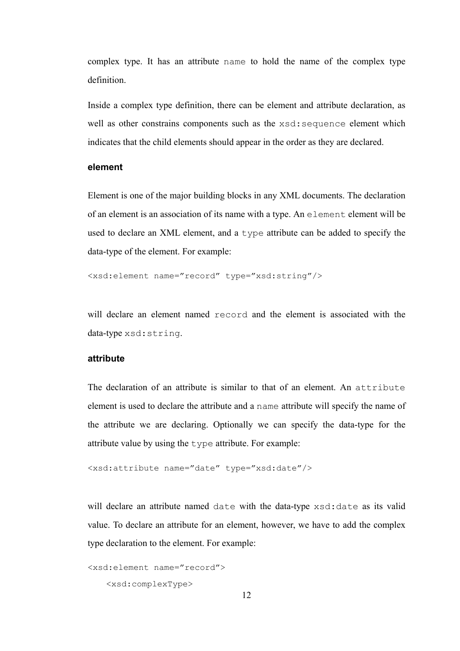complex type. It has an attribute name to hold the name of the complex type definition.

Inside a complex type definition, there can be element and attribute declaration, as well as other constrains components such as the xsd: sequence element which indicates that the child elements should appear in the order as they are declared.

#### **element**

Element is one of the major building blocks in any XML documents. The declaration of an element is an association of its name with a type. An element element will be used to declare an XML element, and a type attribute can be added to specify the data-type of the element. For example:

<xsd:element name="record" type="xsd:string"/>

will declare an element named record and the element is associated with the data-type xsd:string.

#### **attribute**

The declaration of an attribute is similar to that of an element. An attribute element is used to declare the attribute and a name attribute will specify the name of the attribute we are declaring. Optionally we can specify the data-type for the attribute value by using the type attribute. For example:

```
<xsd:attribute name="date" type="xsd:date"/>
```
will declare an attribute named date with the data-type  $xsd:date$  as its valid value. To declare an attribute for an element, however, we have to add the complex type declaration to the element. For example:

```
<xsd:element name="record">
```

```
 <xsd:complexType>
```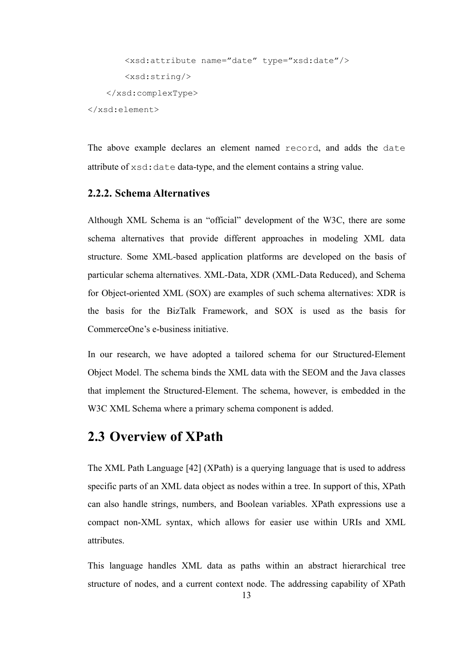```
 <xsd:attribute name="date" type="xsd:date"/> 
        <xsd:string/> 
     </xsd:complexType> 
</xsd:element>
```
The above example declares an element named record, and adds the date attribute of xsd:date data-type, and the element contains a string value.

#### **2.2.2. Schema Alternatives**

Although XML Schema is an "official" development of the W3C, there are some schema alternatives that provide different approaches in modeling XML data structure. Some XML-based application platforms are developed on the basis of particular schema alternatives. XML-Data, XDR (XML-Data Reduced), and Schema for Object-oriented XML (SOX) are examples of such schema alternatives: XDR is the basis for the BizTalk Framework, and SOX is used as the basis for CommerceOne's e-business initiative.

In our research, we have adopted a tailored schema for our Structured-Element Object Model. The schema binds the XML data with the SEOM and the Java classes that implement the Structured-Element. The schema, however, is embedded in the W3C XML Schema where a primary schema component is added.

## **2.3 Overview of XPath**

The XML Path Language [42] (XPath) is a querying language that is used to address specific parts of an XML data object as nodes within a tree. In support of this, XPath can also handle strings, numbers, and Boolean variables. XPath expressions use a compact non-XML syntax, which allows for easier use within URIs and XML attributes.

This language handles XML data as paths within an abstract hierarchical tree structure of nodes, and a current context node. The addressing capability of XPath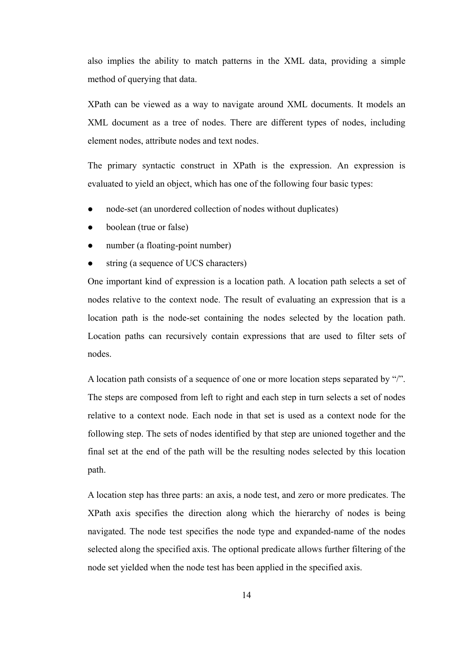also implies the ability to match patterns in the XML data, providing a simple method of querying that data.

XPath can be viewed as a way to navigate around XML documents. It models an XML document as a tree of nodes. There are different types of nodes, including element nodes, attribute nodes and text nodes.

The primary syntactic construct in XPath is the expression. An expression is evaluated to yield an object, which has one of the following four basic types:

- node-set (an unordered collection of nodes without duplicates)
- boolean (true or false)
- number (a floating-point number)
- string (a sequence of UCS characters)

One important kind of expression is a location path. A location path selects a set of nodes relative to the context node. The result of evaluating an expression that is a location path is the node-set containing the nodes selected by the location path. Location paths can recursively contain expressions that are used to filter sets of nodes.

A location path consists of a sequence of one or more location steps separated by "/". The steps are composed from left to right and each step in turn selects a set of nodes relative to a context node. Each node in that set is used as a context node for the following step. The sets of nodes identified by that step are unioned together and the final set at the end of the path will be the resulting nodes selected by this location path.

A location step has three parts: an axis, a node test, and zero or more predicates. The XPath axis specifies the direction along which the hierarchy of nodes is being navigated. The node test specifies the node type and expanded-name of the nodes selected along the specified axis. The optional predicate allows further filtering of the node set yielded when the node test has been applied in the specified axis.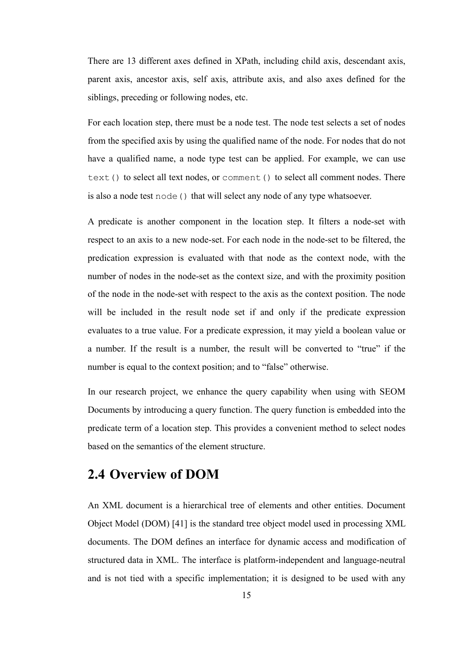There are 13 different axes defined in XPath, including child axis, descendant axis, parent axis, ancestor axis, self axis, attribute axis, and also axes defined for the siblings, preceding or following nodes, etc.

For each location step, there must be a node test. The node test selects a set of nodes from the specified axis by using the qualified name of the node. For nodes that do not have a qualified name, a node type test can be applied. For example, we can use text() to select all text nodes, or comment() to select all comment nodes. There is also a node test node () that will select any node of any type whatsoever.

A predicate is another component in the location step. It filters a node-set with respect to an axis to a new node-set. For each node in the node-set to be filtered, the predication expression is evaluated with that node as the context node, with the number of nodes in the node-set as the context size, and with the proximity position of the node in the node-set with respect to the axis as the context position. The node will be included in the result node set if and only if the predicate expression evaluates to a true value. For a predicate expression, it may yield a boolean value or a number. If the result is a number, the result will be converted to "true" if the number is equal to the context position; and to "false" otherwise.

In our research project, we enhance the query capability when using with SEOM Documents by introducing a query function. The query function is embedded into the predicate term of a location step. This provides a convenient method to select nodes based on the semantics of the element structure.

## **2.4 Overview of DOM**

An XML document is a hierarchical tree of elements and other entities. Document Object Model (DOM) [41] is the standard tree object model used in processing XML documents. The DOM defines an interface for dynamic access and modification of structured data in XML. The interface is platform-independent and language-neutral and is not tied with a specific implementation; it is designed to be used with any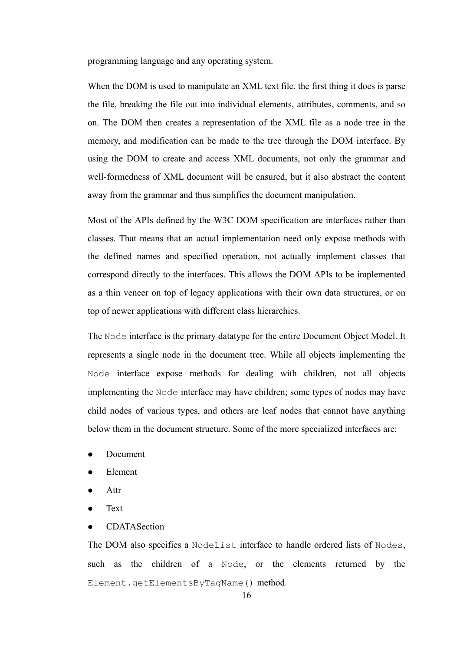programming language and any operating system.

When the DOM is used to manipulate an XML text file, the first thing it does is parse the file, breaking the file out into individual elements, attributes, comments, and so on. The DOM then creates a representation of the XML file as a node tree in the memory, and modification can be made to the tree through the DOM interface. By using the DOM to create and access XML documents, not only the grammar and well-formedness of XML document will be ensured, but it also abstract the content away from the grammar and thus simplifies the document manipulation.

Most of the APIs defined by the W3C DOM specification are interfaces rather than classes. That means that an actual implementation need only expose methods with the defined names and specified operation, not actually implement classes that correspond directly to the interfaces. This allows the DOM APIs to be implemented as a thin veneer on top of legacy applications with their own data structures, or on top of newer applications with different class hierarchies.

The Node interface is the primary datatype for the entire Document Object Model. It represents a single node in the document tree. While all objects implementing the Node interface expose methods for dealing with children, not all objects implementing the Node interface may have children; some types of nodes may have child nodes of various types, and others are leaf nodes that cannot have anything below them in the document structure. Some of the more specialized interfaces are:

- Document
- **Element**
- Attr
- **Text**
- **CDATASection**

The DOM also specifies a NodeList interface to handle ordered lists of Nodes, such as the children of a Node, or the elements returned by the Element.getElementsByTagName() method.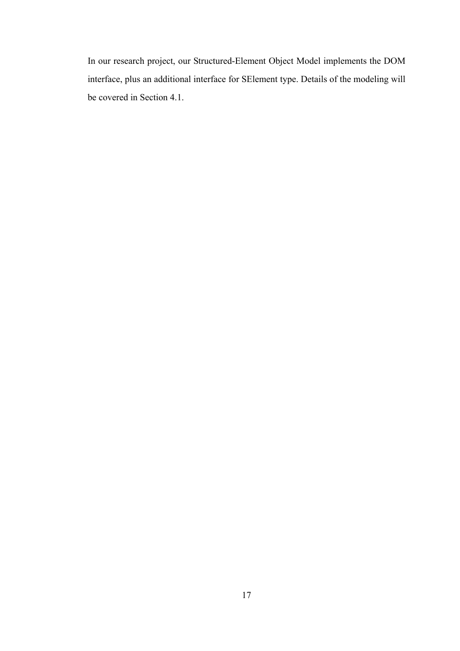In our research project, our Structured-Element Object Model implements the DOM interface, plus an additional interface for SElement type. Details of the modeling will be covered in Section 4.1.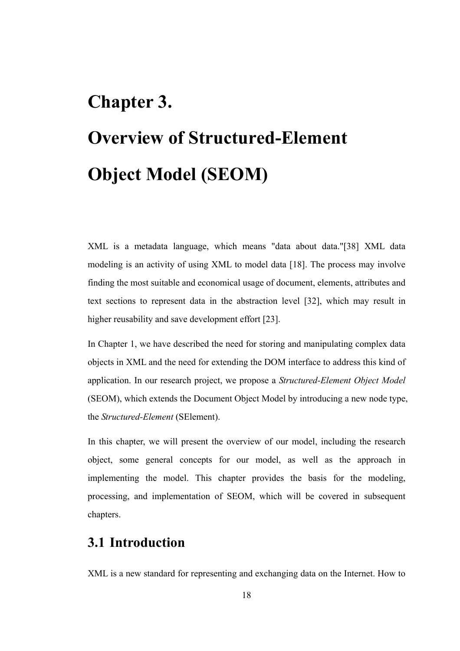# **Chapter 3. Overview of Structured-Element Object Model (SEOM)**

XML is a metadata language, which means "data about data."[38] XML data modeling is an activity of using XML to model data [18]. The process may involve finding the most suitable and economical usage of document, elements, attributes and text sections to represent data in the abstraction level [32], which may result in higher reusability and save development effort [23].

In Chapter 1, we have described the need for storing and manipulating complex data objects in XML and the need for extending the DOM interface to address this kind of application. In our research project, we propose a *Structured-Element Object Model* (SEOM), which extends the Document Object Model by introducing a new node type, the *Structured-Element* (SElement).

In this chapter, we will present the overview of our model, including the research object, some general concepts for our model, as well as the approach in implementing the model. This chapter provides the basis for the modeling, processing, and implementation of SEOM, which will be covered in subsequent chapters.

## **3.1 Introduction**

XML is a new standard for representing and exchanging data on the Internet. How to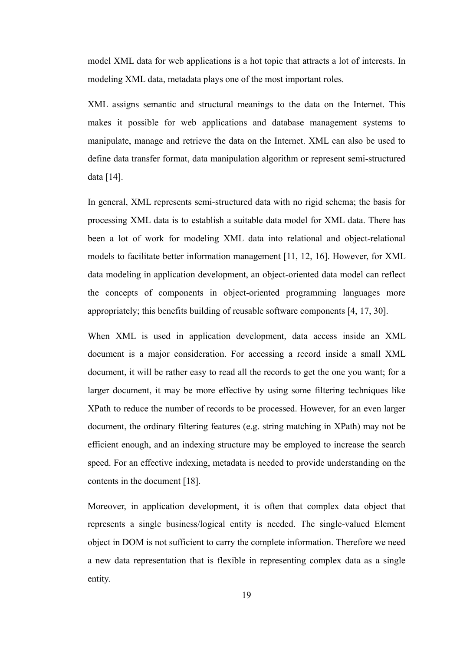model XML data for web applications is a hot topic that attracts a lot of interests. In modeling XML data, metadata plays one of the most important roles.

XML assigns semantic and structural meanings to the data on the Internet. This makes it possible for web applications and database management systems to manipulate, manage and retrieve the data on the Internet. XML can also be used to define data transfer format, data manipulation algorithm or represent semi-structured data [14].

In general, XML represents semi-structured data with no rigid schema; the basis for processing XML data is to establish a suitable data model for XML data. There has been a lot of work for modeling XML data into relational and object-relational models to facilitate better information management [11, 12, 16]. However, for XML data modeling in application development, an object-oriented data model can reflect the concepts of components in object-oriented programming languages more appropriately; this benefits building of reusable software components [4, 17, 30].

When XML is used in application development, data access inside an XML document is a major consideration. For accessing a record inside a small XML document, it will be rather easy to read all the records to get the one you want; for a larger document, it may be more effective by using some filtering techniques like XPath to reduce the number of records to be processed. However, for an even larger document, the ordinary filtering features (e.g. string matching in XPath) may not be efficient enough, and an indexing structure may be employed to increase the search speed. For an effective indexing, metadata is needed to provide understanding on the contents in the document [18].

Moreover, in application development, it is often that complex data object that represents a single business/logical entity is needed. The single-valued Element object in DOM is not sufficient to carry the complete information. Therefore we need a new data representation that is flexible in representing complex data as a single entity.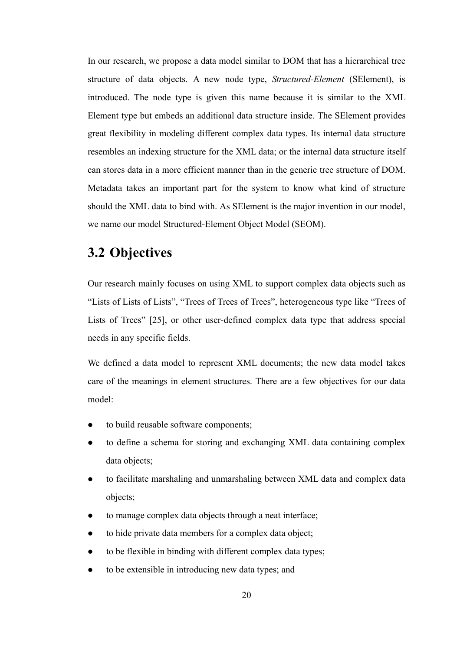In our research, we propose a data model similar to DOM that has a hierarchical tree structure of data objects. A new node type, *Structured-Element* (SElement), is introduced. The node type is given this name because it is similar to the XML Element type but embeds an additional data structure inside. The SElement provides great flexibility in modeling different complex data types. Its internal data structure resembles an indexing structure for the XML data; or the internal data structure itself can stores data in a more efficient manner than in the generic tree structure of DOM. Metadata takes an important part for the system to know what kind of structure should the XML data to bind with. As SElement is the major invention in our model, we name our model Structured-Element Object Model (SEOM).

## **3.2 Objectives**

Our research mainly focuses on using XML to support complex data objects such as "Lists of Lists of Lists", "Trees of Trees of Trees", heterogeneous type like "Trees of Lists of Trees" [25], or other user-defined complex data type that address special needs in any specific fields.

We defined a data model to represent XML documents; the new data model takes care of the meanings in element structures. There are a few objectives for our data model:

- to build reusable software components;
- to define a schema for storing and exchanging XML data containing complex data objects;
- to facilitate marshaling and unmarshaling between XML data and complex data objects;
- to manage complex data objects through a neat interface;
- to hide private data members for a complex data object;
- to be flexible in binding with different complex data types;
- to be extensible in introducing new data types; and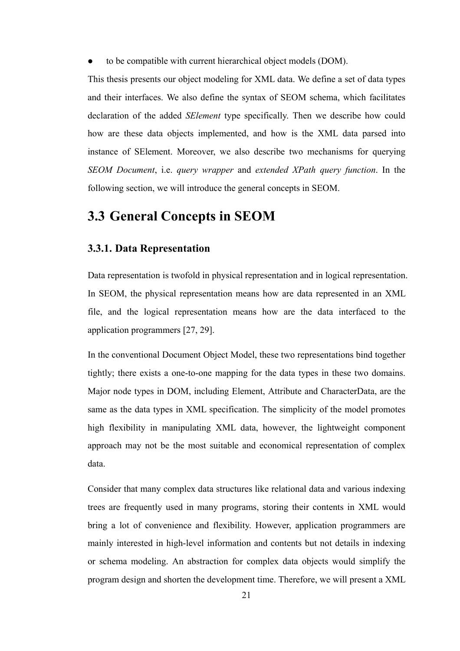• to be compatible with current hierarchical object models (DOM).

This thesis presents our object modeling for XML data. We define a set of data types and their interfaces. We also define the syntax of SEOM schema, which facilitates declaration of the added *SElement* type specifically. Then we describe how could how are these data objects implemented, and how is the XML data parsed into instance of SElement. Moreover, we also describe two mechanisms for querying *SEOM Document*, i.e. *query wrapper* and *extended XPath query function*. In the following section, we will introduce the general concepts in SEOM.

### **3.3 General Concepts in SEOM**

#### **3.3.1. Data Representation**

Data representation is twofold in physical representation and in logical representation. In SEOM, the physical representation means how are data represented in an XML file, and the logical representation means how are the data interfaced to the application programmers [27, 29].

In the conventional Document Object Model, these two representations bind together tightly; there exists a one-to-one mapping for the data types in these two domains. Major node types in DOM, including Element, Attribute and CharacterData, are the same as the data types in XML specification. The simplicity of the model promotes high flexibility in manipulating XML data, however, the lightweight component approach may not be the most suitable and economical representation of complex data.

Consider that many complex data structures like relational data and various indexing trees are frequently used in many programs, storing their contents in XML would bring a lot of convenience and flexibility. However, application programmers are mainly interested in high-level information and contents but not details in indexing or schema modeling. An abstraction for complex data objects would simplify the program design and shorten the development time. Therefore, we will present a XML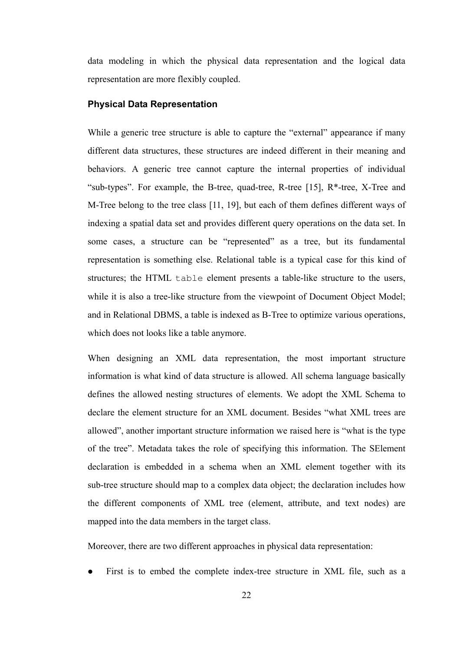data modeling in which the physical data representation and the logical data representation are more flexibly coupled.

#### **Physical Data Representation**

While a generic tree structure is able to capture the "external" appearance if many different data structures, these structures are indeed different in their meaning and behaviors. A generic tree cannot capture the internal properties of individual "sub-types". For example, the B-tree, quad-tree, R-tree  $[15]$ , R<sup>\*</sup>-tree, X-Tree and M-Tree belong to the tree class [11, 19], but each of them defines different ways of indexing a spatial data set and provides different query operations on the data set. In some cases, a structure can be "represented" as a tree, but its fundamental representation is something else. Relational table is a typical case for this kind of structures; the HTML table element presents a table-like structure to the users, while it is also a tree-like structure from the viewpoint of Document Object Model; and in Relational DBMS, a table is indexed as B-Tree to optimize various operations, which does not looks like a table anymore.

When designing an XML data representation, the most important structure information is what kind of data structure is allowed. All schema language basically defines the allowed nesting structures of elements. We adopt the XML Schema to declare the element structure for an XML document. Besides "what XML trees are allowed", another important structure information we raised here is "what is the type of the tree". Metadata takes the role of specifying this information. The SElement declaration is embedded in a schema when an XML element together with its sub-tree structure should map to a complex data object; the declaration includes how the different components of XML tree (element, attribute, and text nodes) are mapped into the data members in the target class.

Moreover, there are two different approaches in physical data representation:

First is to embed the complete index-tree structure in XML file, such as a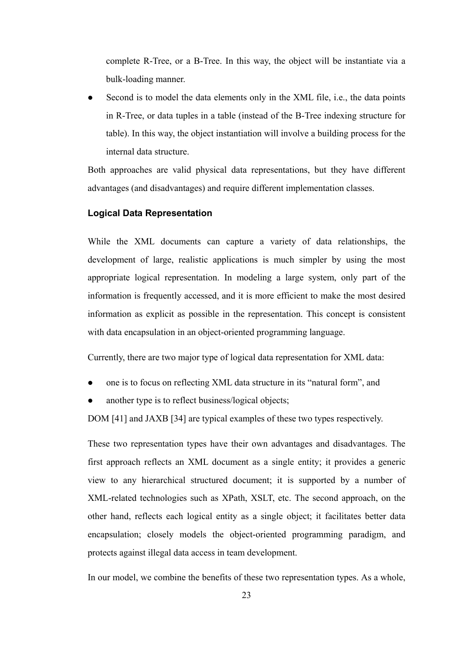complete R-Tree, or a B-Tree. In this way, the object will be instantiate via a bulk-loading manner.

Second is to model the data elements only in the XML file, i.e., the data points in R-Tree, or data tuples in a table (instead of the B-Tree indexing structure for table). In this way, the object instantiation will involve a building process for the internal data structure.

Both approaches are valid physical data representations, but they have different advantages (and disadvantages) and require different implementation classes.

#### **Logical Data Representation**

While the XML documents can capture a variety of data relationships, the development of large, realistic applications is much simpler by using the most appropriate logical representation. In modeling a large system, only part of the information is frequently accessed, and it is more efficient to make the most desired information as explicit as possible in the representation. This concept is consistent with data encapsulation in an object-oriented programming language.

Currently, there are two major type of logical data representation for XML data:

- z one is to focus on reflecting XML data structure in its "natural form", and
- another type is to reflect business/logical objects;

DOM [41] and JAXB [34] are typical examples of these two types respectively.

These two representation types have their own advantages and disadvantages. The first approach reflects an XML document as a single entity; it provides a generic view to any hierarchical structured document; it is supported by a number of XML-related technologies such as XPath, XSLT, etc. The second approach, on the other hand, reflects each logical entity as a single object; it facilitates better data encapsulation; closely models the object-oriented programming paradigm, and protects against illegal data access in team development.

In our model, we combine the benefits of these two representation types. As a whole,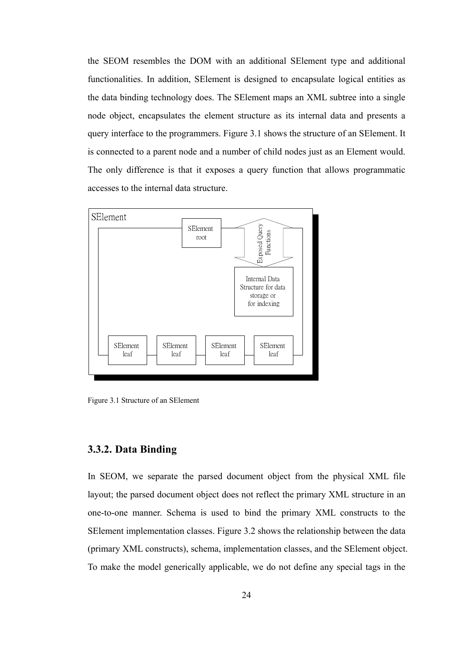the SEOM resembles the DOM with an additional SElement type and additional functionalities. In addition, SElement is designed to encapsulate logical entities as the data binding technology does. The SElement maps an XML subtree into a single node object, encapsulates the element structure as its internal data and presents a query interface to the programmers. Figure 3.1 shows the structure of an SElement. It is connected to a parent node and a number of child nodes just as an Element would. The only difference is that it exposes a query function that allows programmatic accesses to the internal data structure.



Figure 3.1 Structure of an SElement

## **3.3.2. Data Binding**

In SEOM, we separate the parsed document object from the physical XML file layout; the parsed document object does not reflect the primary XML structure in an one-to-one manner. Schema is used to bind the primary XML constructs to the SElement implementation classes. Figure 3.2 shows the relationship between the data (primary XML constructs), schema, implementation classes, and the SElement object. To make the model generically applicable, we do not define any special tags in the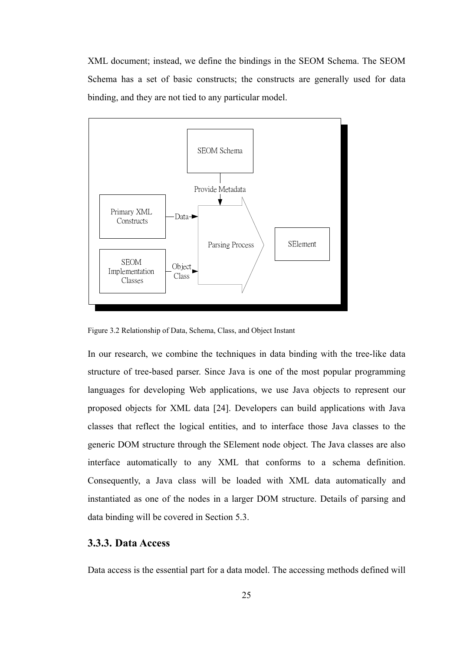XML document; instead, we define the bindings in the SEOM Schema. The SEOM Schema has a set of basic constructs; the constructs are generally used for data binding, and they are not tied to any particular model.



Figure 3.2 Relationship of Data, Schema, Class, and Object Instant

In our research, we combine the techniques in data binding with the tree-like data structure of tree-based parser. Since Java is one of the most popular programming languages for developing Web applications, we use Java objects to represent our proposed objects for XML data [24]. Developers can build applications with Java classes that reflect the logical entities, and to interface those Java classes to the generic DOM structure through the SElement node object. The Java classes are also interface automatically to any XML that conforms to a schema definition. Consequently, a Java class will be loaded with XML data automatically and instantiated as one of the nodes in a larger DOM structure. Details of parsing and data binding will be covered in Section 5.3.

#### **3.3.3. Data Access**

Data access is the essential part for a data model. The accessing methods defined will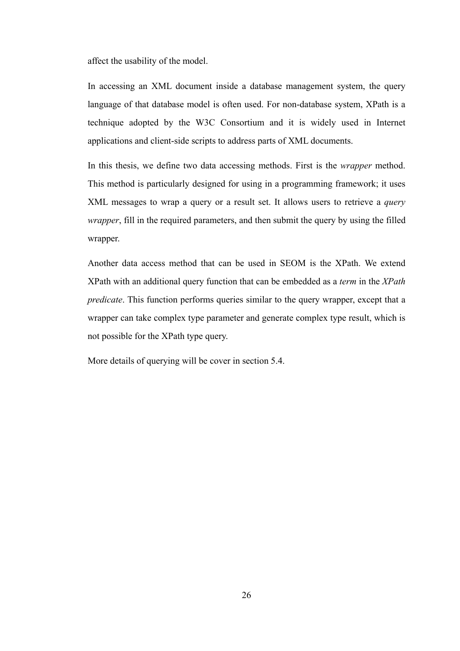affect the usability of the model.

In accessing an XML document inside a database management system, the query language of that database model is often used. For non-database system, XPath is a technique adopted by the W3C Consortium and it is widely used in Internet applications and client-side scripts to address parts of XML documents.

In this thesis, we define two data accessing methods. First is the *wrapper* method. This method is particularly designed for using in a programming framework; it uses XML messages to wrap a query or a result set. It allows users to retrieve a *query wrapper*, fill in the required parameters, and then submit the query by using the filled wrapper.

Another data access method that can be used in SEOM is the XPath. We extend XPath with an additional query function that can be embedded as a *term* in the *XPath predicate*. This function performs queries similar to the query wrapper, except that a wrapper can take complex type parameter and generate complex type result, which is not possible for the XPath type query.

More details of querying will be cover in section 5.4.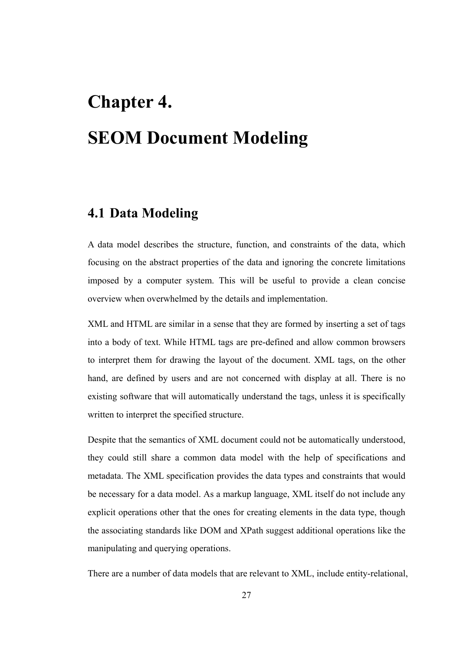# **Chapter 4. SEOM Document Modeling**

# **4.1 Data Modeling**

A data model describes the structure, function, and constraints of the data, which focusing on the abstract properties of the data and ignoring the concrete limitations imposed by a computer system. This will be useful to provide a clean concise overview when overwhelmed by the details and implementation.

XML and HTML are similar in a sense that they are formed by inserting a set of tags into a body of text. While HTML tags are pre-defined and allow common browsers to interpret them for drawing the layout of the document. XML tags, on the other hand, are defined by users and are not concerned with display at all. There is no existing software that will automatically understand the tags, unless it is specifically written to interpret the specified structure.

Despite that the semantics of XML document could not be automatically understood, they could still share a common data model with the help of specifications and metadata. The XML specification provides the data types and constraints that would be necessary for a data model. As a markup language, XML itself do not include any explicit operations other that the ones for creating elements in the data type, though the associating standards like DOM and XPath suggest additional operations like the manipulating and querying operations.

There are a number of data models that are relevant to XML, include entity-relational,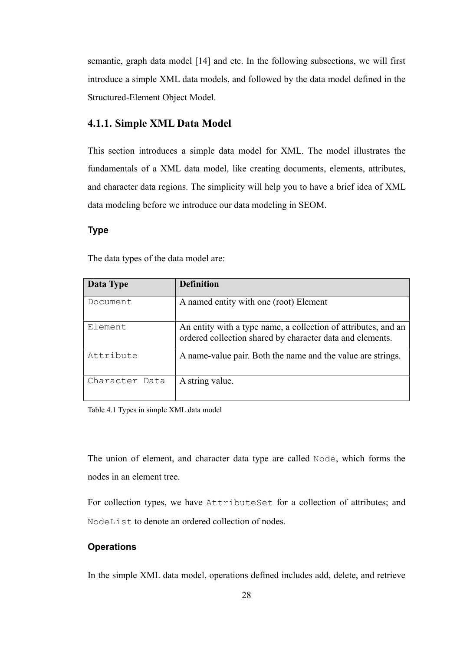semantic, graph data model [14] and etc. In the following subsections, we will first introduce a simple XML data models, and followed by the data model defined in the Structured-Element Object Model.

# **4.1.1. Simple XML Data Model**

This section introduces a simple data model for XML. The model illustrates the fundamentals of a XML data model, like creating documents, elements, attributes, and character data regions. The simplicity will help you to have a brief idea of XML data modeling before we introduce our data modeling in SEOM.

## **Type**

The data types of the data model are:

| Data Type      | <b>Definition</b>                                                                                                           |
|----------------|-----------------------------------------------------------------------------------------------------------------------------|
| Document       | A named entity with one (root) Element                                                                                      |
| Element        | An entity with a type name, a collection of attributes, and an<br>ordered collection shared by character data and elements. |
| Attribute      | A name-value pair. Both the name and the value are strings.                                                                 |
| Character Data | A string value.                                                                                                             |

Table 4.1 Types in simple XML data model

The union of element, and character data type are called Node, which forms the nodes in an element tree.

For collection types, we have AttributeSet for a collection of attributes; and NodeList to denote an ordered collection of nodes.

## **Operations**

In the simple XML data model, operations defined includes add, delete, and retrieve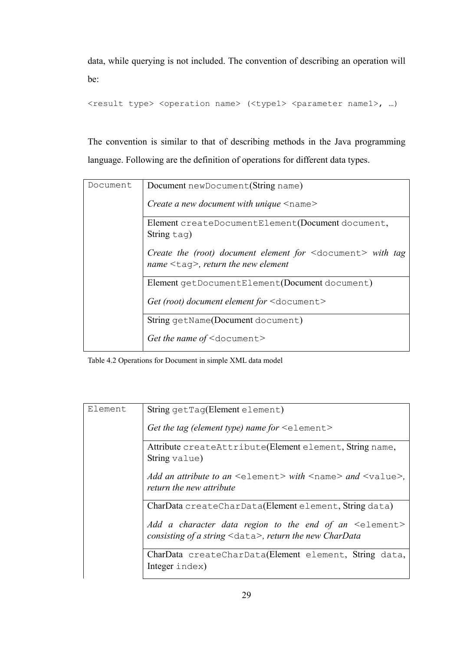data, while querying is not included. The convention of describing an operation will be:

<result type> <operation name> (<type1> <parameter name1>, ...)

The convention is similar to that of describing methods in the Java programming language. Following are the definition of operations for different data types.

| Document | Document newDocument (String name)                                                                                               |
|----------|----------------------------------------------------------------------------------------------------------------------------------|
|          | <i>Create a new document with unique</i> $\leq$ name $\geq$                                                                      |
|          | Element createDocumentElement(Document document,<br>String tag)                                                                  |
|          | Create the (root) document element for $\leq$ document $>$ with tag<br>name $\langle \text{tag}\rangle$ , return the new element |
|          | Element getDocumentElement(Document document)                                                                                    |
|          | Get (root) document element for $\leq$ document $\geq$                                                                           |
|          | String getName(Document document)                                                                                                |
|          | Get the name of $\leq$ document $\geq$                                                                                           |

Table 4.2 Operations for Document in simple XML data model

| Element | String getTag(Element element)                                                                                                   |
|---------|----------------------------------------------------------------------------------------------------------------------------------|
|         | Get the tag (element type) name for $\leq$ element>                                                                              |
|         | Attribute createAttribute(Element element, String name,<br>String value)                                                         |
|         | Add an attribute to an $\leq$ element > with $\leq$ name > and $\leq$ value >.<br>return the new attribute                       |
|         | CharData createCharData(Element element, String data)                                                                            |
|         | Add a character data region to the end of an $\leq$ element><br>consisting of a string $\leq$ data $>$ , return the new CharData |
|         | CharData createCharData(Element element, String data,<br>Integer index)                                                          |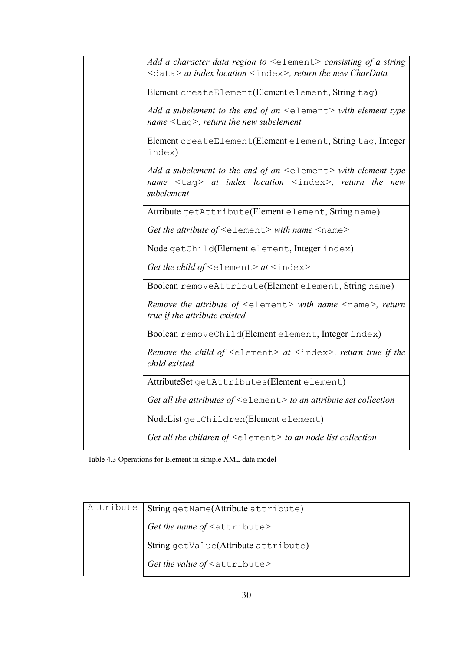| Add a character data region to $\leq$ element $>$ consisting of a string<br><data> at index location <index>, return the new CharData</index></data>        |
|-------------------------------------------------------------------------------------------------------------------------------------------------------------|
| Element createElement(Element element, String tag)                                                                                                          |
| Add a subelement to the end of an $\leq$ element $>$ with element type<br>name $\langle \text{tag}\rangle$ , return the new subelement                      |
| Element createElement(Element element, String tag, Integer<br>index)                                                                                        |
| Add a subelement to the end of an $\leq$ element $>$ with element type<br>name <tag> at index location <index>, return the new<br/>subelement</index></tag> |
| Attribute getAttribute(Element element, String name)                                                                                                        |
| Get the attribute of $\leq$ element > with name $\leq$ name >                                                                                               |
| Node getChild(Element element, Integer index)                                                                                                               |
| Get the child of $\leq$ element> at $\leq$ index>                                                                                                           |
| Boolean removeAttribute(Element element, String name)                                                                                                       |
| <i>Remove the attribute of</i> $\leq$ element> with name $\leq$ name>, return<br>true if the attribute existed                                              |
| Boolean removeChild(Element element, Integer index)                                                                                                         |
| <i>Remove the child of</i> $\leq$ element> at $\leq$ index>, return true if the<br>child existed                                                            |
| AttributeSet getAttributes(Element element)                                                                                                                 |
| Get all the attributes of $\leq$ element $>$ to an attribute set collection                                                                                 |
| NodeList getChildren(Element element)                                                                                                                       |
| Get all the children of $\leq$ element $>$ to an node list collection                                                                                       |

Table 4.3 Operations for Element in simple XML data model

| Attribute | String getName(Attribute attribute)      |  |
|-----------|------------------------------------------|--|
|           | Get the name of <attribute></attribute>  |  |
|           | String getValue(Attribute attribute)     |  |
|           | Get the value of <attribute></attribute> |  |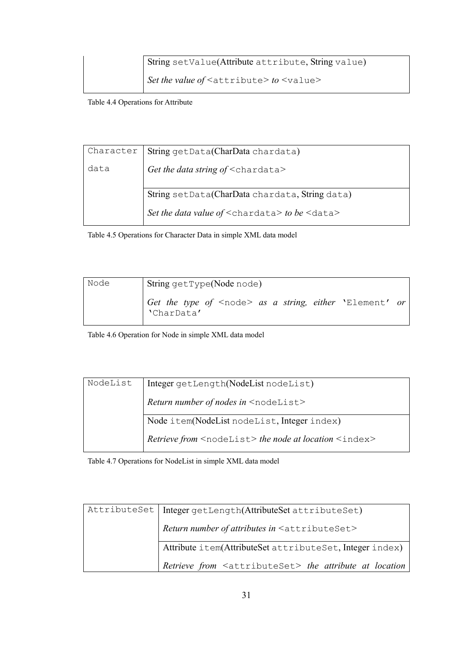| String setValue(Attribute attribute, String value)        |
|-----------------------------------------------------------|
| Set the value of $\leq$ attribute $>$ to $\leq$ value $>$ |

Table 4.4 Operations for Attribute

| Character | String getData(CharData chardata)                         |
|-----------|-----------------------------------------------------------|
| data      | Get the data string of $\leq$ chardata>                   |
|           |                                                           |
|           | String setData(CharData chardata, String data)            |
|           | Set the data value of $\leq$ chardata> to be $\leq$ data> |

Table 4.5 Operations for Character Data in simple XML data model

| Node | String getType(Node node)                                                     |  |
|------|-------------------------------------------------------------------------------|--|
|      | Get the type of <node> as a string, either 'Element' or<br/>'CharData'</node> |  |

Table 4.6 Operation for Node in simple XML data model

| NodeList | Integer getLength(NodeList nodeList)                                     |  |
|----------|--------------------------------------------------------------------------|--|
|          | Return number of nodes in <nodelist></nodelist>                          |  |
|          | Node item(NodeList nodeList, Integer index)                              |  |
|          | Retrieve from <nodelist> the node at location <index></index></nodelist> |  |

Table 4.7 Operations for NodeList in simple XML data model

| AttributeSet   Integer getLength(AttributeSet attributeSet)           |
|-----------------------------------------------------------------------|
| Return number of attributes in $\leq$ attributeSet>                   |
| Attribute item(AttributeSet attributeSet, Integer index)              |
| Retrieve from <attributeset> the attribute at location</attributeset> |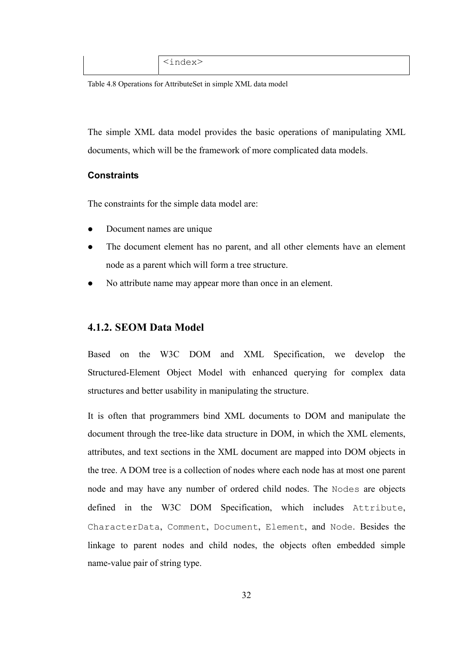Table 4.8 Operations for AttributeSet in simple XML data model

The simple XML data model provides the basic operations of manipulating XML documents, which will be the framework of more complicated data models.

### **Constraints**

The constraints for the simple data model are:

- Document names are unique
- The document element has no parent, and all other elements have an element node as a parent which will form a tree structure.
- No attribute name may appear more than once in an element.

# **4.1.2. SEOM Data Model**

Based on the W3C DOM and XML Specification, we develop the Structured-Element Object Model with enhanced querying for complex data structures and better usability in manipulating the structure.

It is often that programmers bind XML documents to DOM and manipulate the document through the tree-like data structure in DOM, in which the XML elements, attributes, and text sections in the XML document are mapped into DOM objects in the tree. A DOM tree is a collection of nodes where each node has at most one parent node and may have any number of ordered child nodes. The Nodes are objects defined in the W3C DOM Specification, which includes Attribute, CharacterData, Comment, Document, Element, and Node. Besides the linkage to parent nodes and child nodes, the objects often embedded simple name-value pair of string type.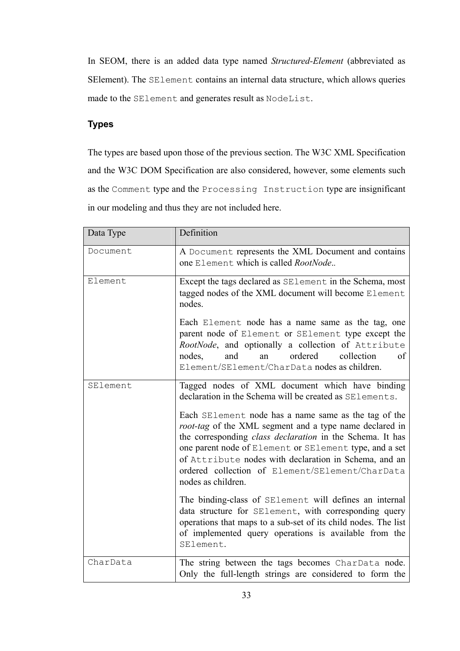In SEOM, there is an added data type named *Structured-Element* (abbreviated as SElement). The SElement contains an internal data structure, which allows queries made to the SElement and generates result as NodeList.

# **Types**

The types are based upon those of the previous section. The W3C XML Specification and the W3C DOM Specification are also considered, however, some elements such as the Comment type and the Processing Instruction type are insignificant in our modeling and thus they are not included here.

| Data Type | Definition                                                                                                                                                                                                                                                                                                                                                                      |
|-----------|---------------------------------------------------------------------------------------------------------------------------------------------------------------------------------------------------------------------------------------------------------------------------------------------------------------------------------------------------------------------------------|
| Document  | A Document represents the XML Document and contains<br>one Element which is called RootNode                                                                                                                                                                                                                                                                                     |
| Element   | Except the tags declared as SElement in the Schema, most<br>tagged nodes of the XML document will become Element<br>nodes.                                                                                                                                                                                                                                                      |
|           | Each Element node has a name same as the tag, one<br>parent node of Element or SElement type except the<br>RootNode, and optionally a collection of Attribute<br>ordered<br>collection<br>nodes,<br>and<br>of<br>an<br>Element/SElement/CharData nodes as children.                                                                                                             |
| SElement  | Tagged nodes of XML document which have binding<br>declaration in the Schema will be created as SElements.                                                                                                                                                                                                                                                                      |
|           | Each SElement node has a name same as the tag of the<br>root-tag of the XML segment and a type name declared in<br>the corresponding <i>class declaration</i> in the Schema. It has<br>one parent node of Element or SElement type, and a set<br>of Attribute nodes with declaration in Schema, and an<br>ordered collection of Element/SElement/CharData<br>nodes as children. |
|           | The binding-class of SElement will defines an internal<br>data structure for SElement, with corresponding query<br>operations that maps to a sub-set of its child nodes. The list<br>of implemented query operations is available from the<br>SElement.                                                                                                                         |
| CharData  | The string between the tags becomes CharData node.<br>Only the full-length strings are considered to form the                                                                                                                                                                                                                                                                   |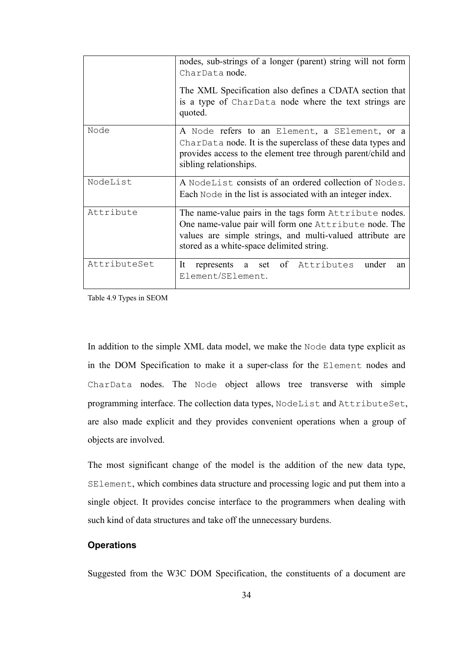|              | nodes, sub-strings of a longer (parent) string will not form<br>CharData node.                                                                                                                                            |
|--------------|---------------------------------------------------------------------------------------------------------------------------------------------------------------------------------------------------------------------------|
|              | The XML Specification also defines a CDATA section that<br>is a type of CharData node where the text strings are<br>quoted.                                                                                               |
| Node         | A Node refers to an Element, a SElement, or a<br>CharData node. It is the superclass of these data types and<br>provides access to the element tree through parent/child and<br>sibling relationships.                    |
| NodeList     | A NodeList consists of an ordered collection of Nodes.<br>Each Node in the list is associated with an integer index.                                                                                                      |
| Attribute    | The name-value pairs in the tags form Attribute nodes.<br>One name-value pair will form one Attribute node. The<br>values are simple strings, and multi-valued attribute are<br>stored as a white-space delimited string. |
| AttributeSet | represents a set of Attributes under<br>It<br>an<br>Element/SElement.                                                                                                                                                     |

Table 4.9 Types in SEOM

In addition to the simple XML data model, we make the Node data type explicit as in the DOM Specification to make it a super-class for the Element nodes and CharData nodes. The Node object allows tree transverse with simple programming interface. The collection data types, NodeList and AttributeSet, are also made explicit and they provides convenient operations when a group of objects are involved.

The most significant change of the model is the addition of the new data type, SElement, which combines data structure and processing logic and put them into a single object. It provides concise interface to the programmers when dealing with such kind of data structures and take off the unnecessary burdens.

## **Operations**

Suggested from the W3C DOM Specification, the constituents of a document are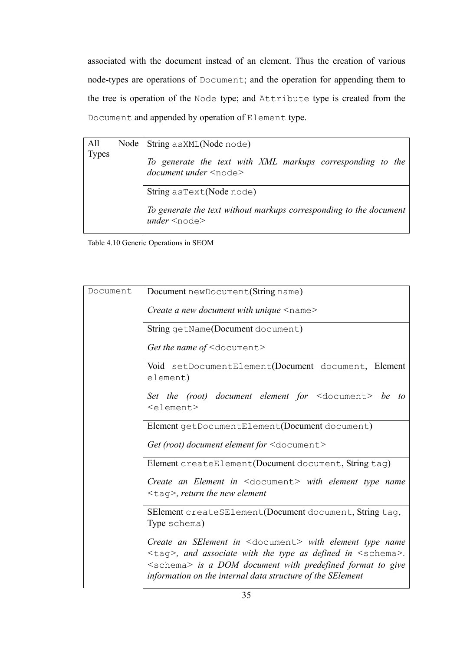associated with the document instead of an element. Thus the creation of various node-types are operations of Document; and the operation for appending them to the tree is operation of the Node type; and Attribute type is created from the Document and appended by operation of Element type.

| All<br><b>Types</b> | Node   String asXML(Node node)                                                              |
|---------------------|---------------------------------------------------------------------------------------------|
|                     | To generate the text with XML markups corresponding to the<br>document under <node></node>  |
|                     | String as Text (Node node)                                                                  |
|                     | To generate the text without markups corresponding to the document<br>$under$ <node></node> |

Table 4.10 Generic Operations in SEOM

| Document | Document newDocument (String name)                                                                                                                                                                                                                                                                                                                                      |
|----------|-------------------------------------------------------------------------------------------------------------------------------------------------------------------------------------------------------------------------------------------------------------------------------------------------------------------------------------------------------------------------|
|          |                                                                                                                                                                                                                                                                                                                                                                         |
|          | Create a new document with unique $\leq$ name $\geq$                                                                                                                                                                                                                                                                                                                    |
|          | String getName(Document document)                                                                                                                                                                                                                                                                                                                                       |
|          | Get the name of $\leq$ document>                                                                                                                                                                                                                                                                                                                                        |
|          | Void setDocumentElement(Document document, Element<br>element)                                                                                                                                                                                                                                                                                                          |
|          | Set the (root) document element for $\leq$ document $\geq$ be to<br><element></element>                                                                                                                                                                                                                                                                                 |
|          | Element getDocumentElement(Document document)                                                                                                                                                                                                                                                                                                                           |
|          | Get (root) document element for <document></document>                                                                                                                                                                                                                                                                                                                   |
|          | Element createElement(Document document, String tag)                                                                                                                                                                                                                                                                                                                    |
|          | <i>Create an Element in</i> $\leq$ document $>$ with element type name                                                                                                                                                                                                                                                                                                  |
|          | $<$ tag>, return the new element                                                                                                                                                                                                                                                                                                                                        |
|          | SElement createSElement(Document document, String tag,<br>Type schema)                                                                                                                                                                                                                                                                                                  |
|          | <i>Create an SElement in</i> <document> with element type name<br/><math>\langle \text{tag}\rangle</math>, and associate with the type as defined in <math>\langle \text{schema}\rangle</math>.<br/><math>\leq</math>schema<math>&gt;</math> is a DOM document with predefined format to give<br/>information on the internal data structure of the SElement</document> |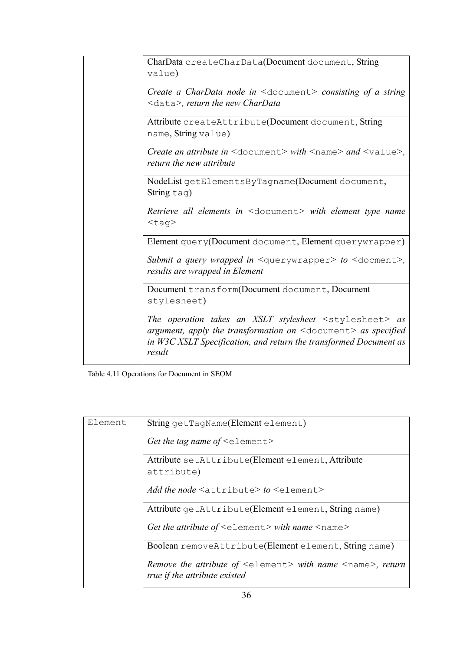|  | CharData createCharData(Document document, String<br>value)                                                                                                                                                           |
|--|-----------------------------------------------------------------------------------------------------------------------------------------------------------------------------------------------------------------------|
|  | <i>Create a CharData node in</i> $\leq$ document > <i>consisting of a string</i><br>$\langle \text{data}\rangle$ , return the new CharData                                                                            |
|  | Attribute createAttribute(Document document, String<br>name, String value)                                                                                                                                            |
|  | <i>Create an attribute in</i> $\leq$ document $>$ with $\leq$ name $>$ and $\leq$ value $>$ ,<br>return the new attribute                                                                                             |
|  | NodeList getElementsByTagname(Document document,<br>String tag)                                                                                                                                                       |
|  | Retrieve all elements in <document> with element type name<br/><math>&lt;</math>tag&gt;</document>                                                                                                                    |
|  | Element query(Document document, Element querywrapper)                                                                                                                                                                |
|  | Submit a query wrapped in $\leq$ querywrapper> to $\leq$ docment>,<br>results are wrapped in Element                                                                                                                  |
|  | Document transform(Document document, Document<br>stylesheet)                                                                                                                                                         |
|  | The operation takes an XSLT stylesheet $\leq$ stylesheet> as<br>argument, apply the transformation on $\leq$ document $>$ as specified<br>in W3C XSLT Specification, and return the transformed Document as<br>result |

Table 4.11 Operations for Document in SEOM

| Element | String getTagName(Element element)                                                                            |
|---------|---------------------------------------------------------------------------------------------------------------|
|         | Get the tag name of $\leq$ element $>$                                                                        |
|         | Attribute setAttribute(Element element, Attribute<br>attribute)                                               |
|         | Add the node $\leq$ attribute $>$ to $\leq$ element $>$                                                       |
|         | Attribute getAttribute(Element element, String name)                                                          |
|         | Get the attribute of $\leq$ element $>$ with name $\leq$ name $>$                                             |
|         | Boolean removeAttribute(Element element, String name)                                                         |
|         | Remove the attribute of <element> with name <name>, return<br/>true if the attribute existed</name></element> |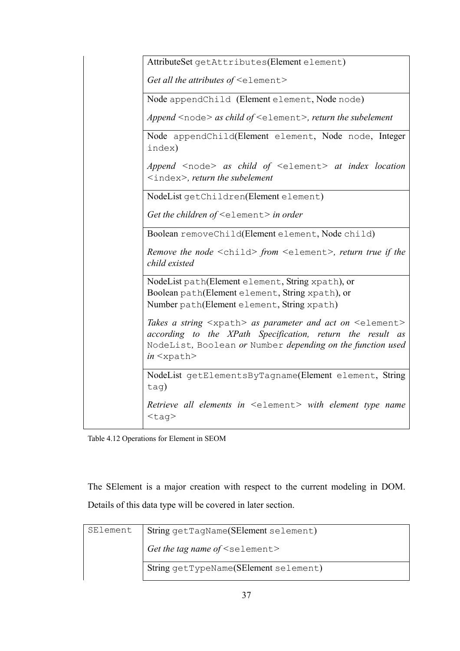| AttributeSet getAttributes(Element element)                                                                                                                                                                                                |
|--------------------------------------------------------------------------------------------------------------------------------------------------------------------------------------------------------------------------------------------|
| Get all the attributes of <element></element>                                                                                                                                                                                              |
| Node appendChild (Element element, Node node)                                                                                                                                                                                              |
| Append $\leq$ node> as child of $\leq$ element>, return the subelement                                                                                                                                                                     |
| Node appendChild(Element element, Node node, Integer<br>index)                                                                                                                                                                             |
| Append $\leq$ node> as child of $\leq$ element> at index location<br>$\langle$ index>, return the subelement                                                                                                                               |
| NodeList getChildren(Element element)                                                                                                                                                                                                      |
| Get the children of $\leq$ element $>$ in order                                                                                                                                                                                            |
| Boolean removeChild(Element element, Node child)                                                                                                                                                                                           |
| Remove the node <child> from <element>, return true if the<br/>child existed</element></child>                                                                                                                                             |
| NodeList path(Element element, String xpath), or                                                                                                                                                                                           |
| Boolean path(Element element, String xpath), or<br>Number path(Element element, String xpath)                                                                                                                                              |
|                                                                                                                                                                                                                                            |
| Takes a string <xpath> as parameter and act on <element><br/>according to the XPath Specification, return the result as<br/>NodeList, Boolean or Number depending on the function used<br/><math>in &lt;</math>xpath&gt;</element></xpath> |
| NodeList getElementsByTagname(Element element, String<br>tag)                                                                                                                                                                              |
| Retrieve all elements in <element> with element type name<br/><math>&lt;</math>taq&gt;</element>                                                                                                                                           |

Table 4.12 Operations for Element in SEOM

The SElement is a major creation with respect to the current modeling in DOM. Details of this data type will be covered in later section.

| SElement | String getTagName(SElement selement)  |
|----------|---------------------------------------|
|          | Get the tag name of $\leq$ selement>  |
|          | String getTypeName(SElement selement) |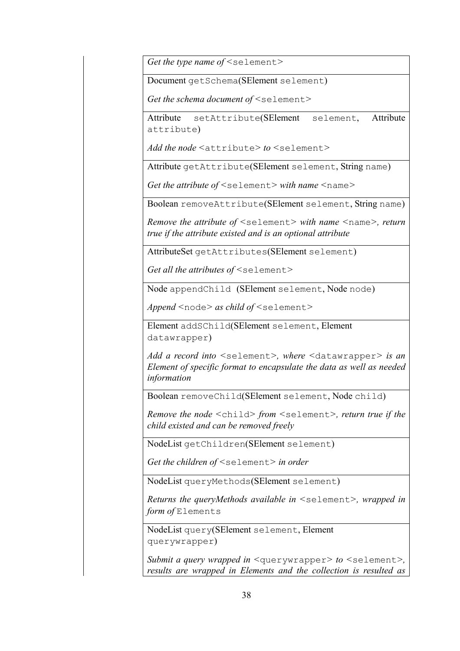*Get the type name of <*selement*>* 

Document getSchema(SElement selement)

*Get the schema document of <*selement*>* 

Attribute setAttribute(SElement selement, Attribute attribute)

*Add the node <*attribute*> to <*selement*>* 

Attribute getAttribute(SElement selement, String name)

*Get the attribute of <*selement*> with name <*name*>* 

Boolean removeAttribute(SElement selement, String name)

*Remove the attribute of <*selement*> with name <*name*>, return true if the attribute existed and is an optional attribute* 

AttributeSet getAttributes(SElement selement)

*Get all the attributes of <*selement*>* 

Node appendChild (SElement selement, Node node)

*Append <*node*> as child of <*selement*>* 

Element addSChild(SElement selement, Element datawrapper)

*Add a record into <*selement*>, where <*datawrapper*> is an Element of specific format to encapsulate the data as well as needed information* 

Boolean removeChild(SElement selement, Node child)

*Remove the node <*child*> from <*selement*>, return true if the child existed and can be removed freely* 

NodeList getChildren(SElement selement)

*Get the children of <*selement*> in order* 

NodeList queryMethods(SElement selement)

*Returns the queryMethods available in <*selement*>, wrapped in form of* Elements

NodeList query(SElement selement, Element querywrapper)

*Submit a query wrapped in <*querywrapper*> to <*selement*>, results are wrapped in Elements and the collection is resulted as*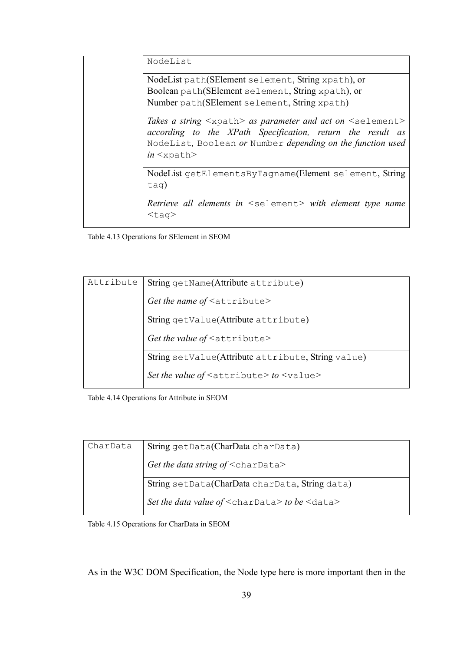NodeList

NodeList path(SElement selement, String xpath), or Boolean path(SElement selement, String xpath), or Number path(SElement selement, String xpath)

*Takes a string <*xpath*> as parameter and act on <*selement*> according to the XPath Specification, return the result as*  NodeList*,* Boolean *or* Number *depending on the function used in <*xpath*>* 

NodeList getElementsByTagname(Element selement, String tag)

*Retrieve all elements in <*selement*> with element type name <*tag*>* 

Table 4.13 Operations for SElement in SEOM

| Attribute | String getName(Attribute attribute)                       |
|-----------|-----------------------------------------------------------|
|           | Get the name of <attribute></attribute>                   |
|           | String getValue(Attribute attribute)                      |
|           | Get the value of $\leq$ attribute>                        |
|           | String setValue(Attribute attribute, String value)        |
|           | Set the value of $\leq$ attribute $>$ to $\leq$ value $>$ |

Table 4.14 Operations for Attribute in SEOM

| CharData | String getData(CharData charData)                         |
|----------|-----------------------------------------------------------|
|          | Get the data string of $\leq$ charData>                   |
|          | String setData(CharData charData, String data)            |
|          | Set the data value of $\leq$ charData> to be $\leq$ data> |

Table 4.15 Operations for CharData in SEOM

As in the W3C DOM Specification, the Node type here is more important then in the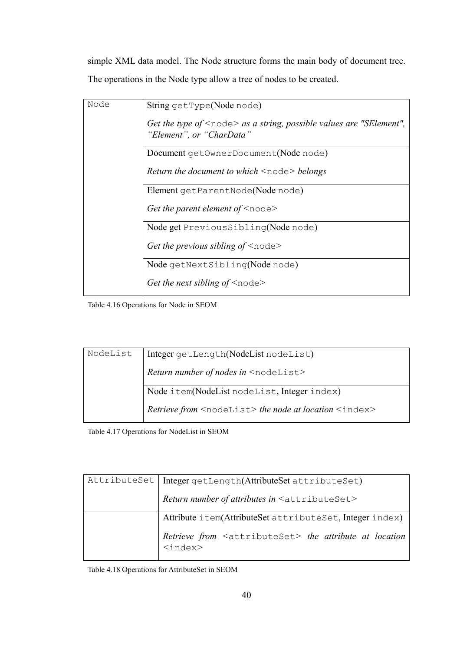simple XML data model. The Node structure forms the main body of document tree. The operations in the Node type allow a tree of nodes to be created.

| Node | String getType(Node node)                                                                                |
|------|----------------------------------------------------------------------------------------------------------|
|      | Get the type of $\leq$ node $>$ as a string, possible values are "SElement",<br>"Element", or "CharData" |
|      | Document getOwnerDocument(Node node)                                                                     |
|      | <i>Return the document to which</i> $\leq$ node $\geq$ <i>belongs</i>                                    |
|      | Element getParentNode(Node node)                                                                         |
|      | Get the parent element of $\leq$ node $>$                                                                |
|      | Node get PreviousSibling(Node node)                                                                      |
|      | Get the previous sibling of $\leq$ node $\geq$                                                           |
|      | Node getNextSibling(Node node)                                                                           |
|      | Get the next sibling of $\leq$ node>                                                                     |

Table 4.16 Operations for Node in SEOM

| NodeList | Integer getLength(NodeList nodeList)                                            |
|----------|---------------------------------------------------------------------------------|
|          | <i>Return number of nodes in</i> $\leq$ nodelist>                               |
|          | Node item(NodeList nodeList, Integer index)                                     |
|          | <i>Retrieve from</i> <nodelist> the node at location <index></index></nodelist> |

Table 4.17 Operations for NodeList in SEOM

| AttributeSet   Integer getLength(AttributeSet attributeSet)                                                             |
|-------------------------------------------------------------------------------------------------------------------------|
| Return number of attributes in <attributeset></attributeset>                                                            |
| Attribute item(AttributeSet attributeSet, Integer index)                                                                |
| Retrieve from <attributeset> the attribute at location<br/><math>\langle</math>index<math>\rangle</math></attributeset> |

Table 4.18 Operations for AttributeSet in SEOM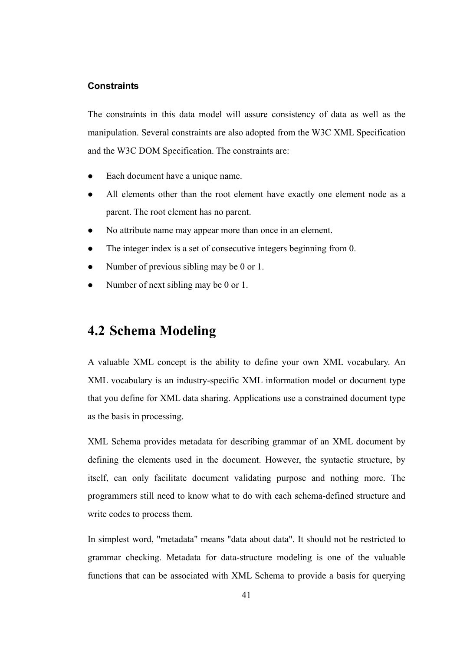#### **Constraints**

The constraints in this data model will assure consistency of data as well as the manipulation. Several constraints are also adopted from the W3C XML Specification and the W3C DOM Specification. The constraints are:

- Each document have a unique name.
- All elements other than the root element have exactly one element node as a parent. The root element has no parent.
- No attribute name may appear more than once in an element.
- The integer index is a set of consecutive integers beginning from 0.
- Number of previous sibling may be 0 or 1.
- Number of next sibling may be 0 or 1.

# **4.2 Schema Modeling**

A valuable XML concept is the ability to define your own XML vocabulary. An XML vocabulary is an industry-specific XML information model or document type that you define for XML data sharing. Applications use a constrained document type as the basis in processing.

XML Schema provides metadata for describing grammar of an XML document by defining the elements used in the document. However, the syntactic structure, by itself, can only facilitate document validating purpose and nothing more. The programmers still need to know what to do with each schema-defined structure and write codes to process them.

In simplest word, "metadata" means "data about data". It should not be restricted to grammar checking. Metadata for data-structure modeling is one of the valuable functions that can be associated with XML Schema to provide a basis for querying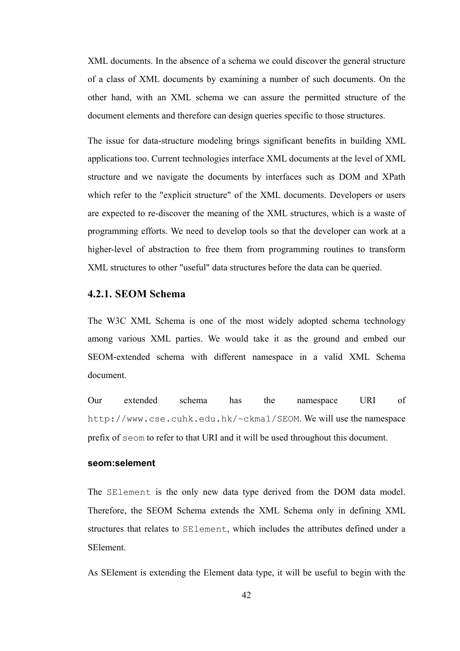XML documents. In the absence of a schema we could discover the general structure of a class of XML documents by examining a number of such documents. On the other hand, with an XML schema we can assure the permitted structure of the document elements and therefore can design queries specific to those structures.

The issue for data-structure modeling brings significant benefits in building XML applications too. Current technologies interface XML documents at the level of XML structure and we navigate the documents by interfaces such as DOM and XPath which refer to the "explicit structure" of the XML documents. Developers or users are expected to re-discover the meaning of the XML structures, which is a waste of programming efforts. We need to develop tools so that the developer can work at a higher-level of abstraction to free them from programming routines to transform XML structures to other "useful" data structures before the data can be queried.

#### **4.2.1. SEOM Schema**

The W3C XML Schema is one of the most widely adopted schema technology among various XML parties. We would take it as the ground and embed our SEOM-extended schema with different namespace in a valid XML Schema document.

Our extended schema has the namespace URI of http://www.cse.cuhk.edu.hk/~ckma1/SEOM. We will use the namespace prefix of seom to refer to that URI and it will be used throughout this document.

#### **seom:selement**

The SElement is the only new data type derived from the DOM data model. Therefore, the SEOM Schema extends the XML Schema only in defining XML structures that relates to SElement, which includes the attributes defined under a SElement.

As SElement is extending the Element data type, it will be useful to begin with the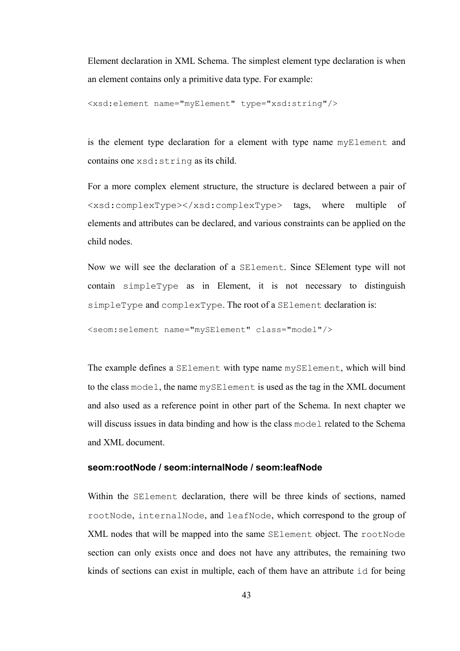Element declaration in XML Schema. The simplest element type declaration is when an element contains only a primitive data type. For example:

```
<xsd:element name="myElement" type="xsd:string"/>
```
is the element type declaration for a element with type name myElement and contains one xsd:string as its child.

For a more complex element structure, the structure is declared between a pair of <xsd:complexType></xsd:complexType> tags, where multiple of elements and attributes can be declared, and various constraints can be applied on the child nodes.

Now we will see the declaration of a SElement. Since SElement type will not contain simpleType as in Element, it is not necessary to distinguish simpleType and complexType. The root of a SElement declaration is:

```
<seom:selement name="mySElement" class="model"/>
```
The example defines a SElement with type name mySElement, which will bind to the class model, the name mySElement is used as the tag in the XML document and also used as a reference point in other part of the Schema. In next chapter we will discuss issues in data binding and how is the class model related to the Schema and XML document.

## **seom:rootNode / seom:internalNode / seom:leafNode**

Within the SElement declaration, there will be three kinds of sections, named rootNode, internalNode, and leafNode, which correspond to the group of XML nodes that will be mapped into the same SElement object. The rootNode section can only exists once and does not have any attributes, the remaining two kinds of sections can exist in multiple, each of them have an attribute id for being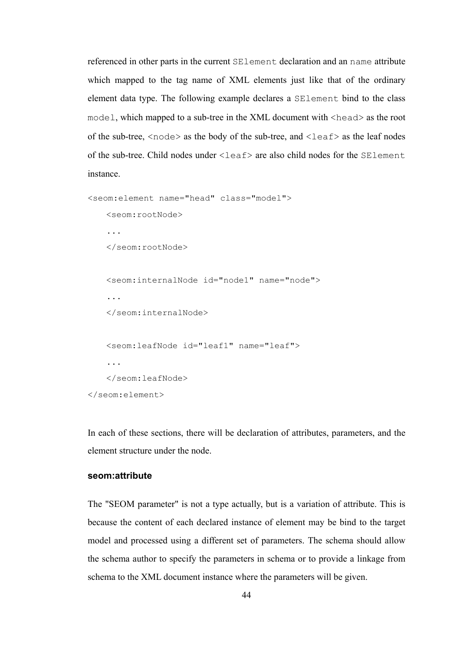referenced in other parts in the current SElement declaration and an name attribute which mapped to the tag name of XML elements just like that of the ordinary element data type. The following example declares a SElement bind to the class model, which mapped to a sub-tree in the XML document with <head> as the root of the sub-tree,  $\langle$  node $\rangle$  as the body of the sub-tree, and  $\langle$  leaf $\rangle$  as the leaf nodes of the sub-tree. Child nodes under  $\le$ leaf> are also child nodes for the SElement instance.

```
<seom:element name="head" class="model"> 
    <seom:rootNode> 
     ... 
    </seom:rootNode> 
    <seom:internalNode id="node1" name="node"> 
     ... 
     </seom:internalNode> 
    <seom:leafNode id="leaf1" name="leaf"> 
     ... 
    </seom:leafNode> 
</seom:element>
```
In each of these sections, there will be declaration of attributes, parameters, and the element structure under the node.

#### **seom:attribute**

The "SEOM parameter" is not a type actually, but is a variation of attribute. This is because the content of each declared instance of element may be bind to the target model and processed using a different set of parameters. The schema should allow the schema author to specify the parameters in schema or to provide a linkage from schema to the XML document instance where the parameters will be given.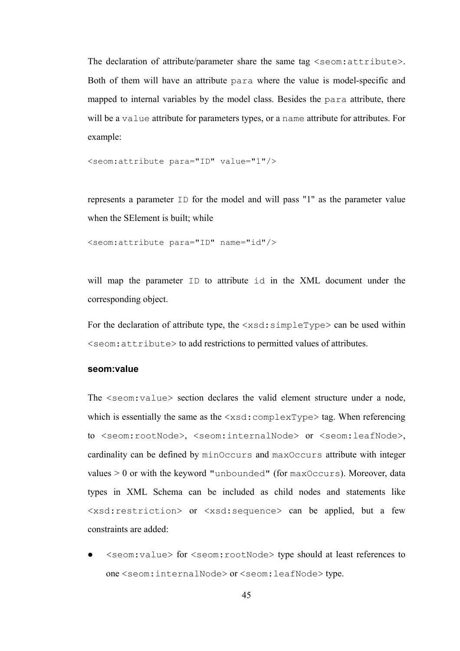The declaration of attribute/parameter share the same tag <seom: attribute>. Both of them will have an attribute para where the value is model-specific and mapped to internal variables by the model class. Besides the para attribute, there will be a value attribute for parameters types, or a name attribute for attributes. For example:

<seom:attribute para="ID" value="1"/>

represents a parameter ID for the model and will pass "1" as the parameter value when the SElement is built; while

<seom:attribute para="ID" name="id"/>

will map the parameter ID to attribute id in the XML document under the corresponding object.

For the declaration of attribute type, the  $\langle x \rangle$ sd:simpleType> can be used within <seom:attribute> to add restrictions to permitted values of attributes.

#### **seom:value**

The <seom: value> section declares the valid element structure under a node, which is essentially the same as the  $\langle x \rangle$  complexType  $>$  tag. When referencing to <seom:rootNode>, <seom:internalNode> or <seom:leafNode>, cardinality can be defined by minOccurs and maxOccurs attribute with integer values  $> 0$  or with the keyword "unbounded" (for max $\alpha$ ccurs). Moreover, data types in XML Schema can be included as child nodes and statements like <xsd:restriction> or <xsd:sequence> can be applied, but a few constraints are added:

z <seom:value> for <seom:rootNode> type should at least references to one <seom:internalNode> or <seom:leafNode> type.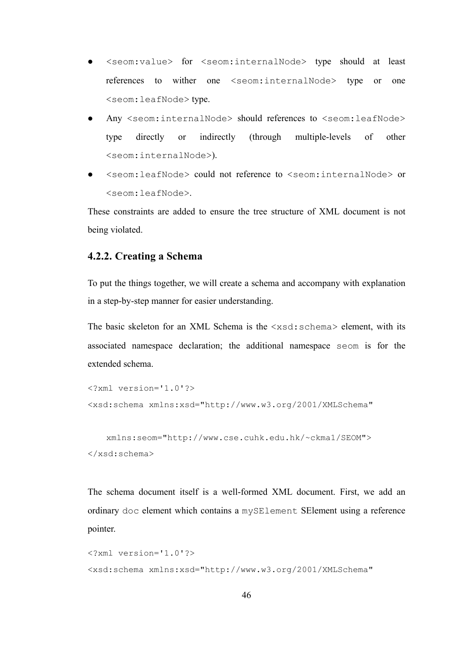- <seom:value> for <seom:internalNode> type should at least references to wither one <seom:internalNode> type or one <seom:leafNode> type.
- Any <seom:internalNode> should references to <seom:leafNode> type directly or indirectly (through multiple-levels of other <seom:internalNode>).
- z <seom:leafNode> could not reference to <seom:internalNode> or <seom:leafNode>.

These constraints are added to ensure the tree structure of XML document is not being violated.

#### **4.2.2. Creating a Schema**

To put the things together, we will create a schema and accompany with explanation in a step-by-step manner for easier understanding.

The basic skeleton for an XML Schema is the <xsd:schema> element, with its associated namespace declaration; the additional namespace seom is for the extended schema.

```
<?xml version='1.0'?> 
<xsd:schema xmlns:xsd="http://www.w3.org/2001/XMLSchema"
```

```
 xmlns:seom="http://www.cse.cuhk.edu.hk/~ckma1/SEOM"> 
</xsd:schema>
```
The schema document itself is a well-formed XML document. First, we add an ordinary doc element which contains a mySElement SElement using a reference pointer.

```
<?xml version='1.0'?> 
<xsd:schema xmlns:xsd="http://www.w3.org/2001/XMLSchema"
```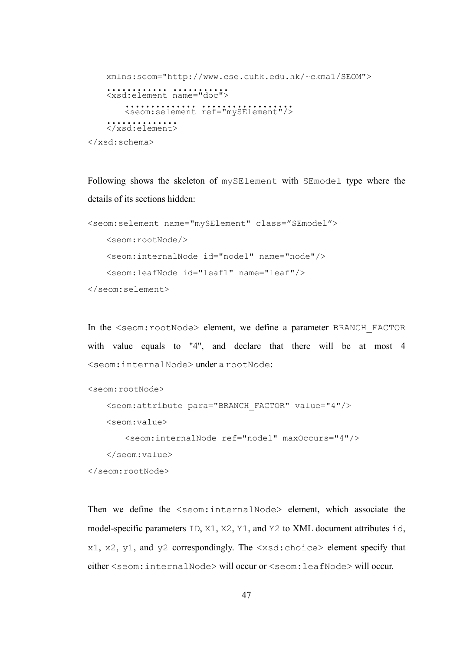```
 xmlns:seom="http://www.cse.cuhk.edu.hk/~ckma1/SEOM"> 
       <xsd:element name •••••••••••• ••••="doc"> •••••••
            {\tt \label{eq:recon} {\tt \label{eq:recon} \verb|<geom:selement ref="mySElement"}/\verb|>| </xsd:element> ••••••••••••••
</xsd:schema>
```
Following shows the skeleton of mySElement with SEmodel type where the details of its sections hidden:

```
<seom:selement name="mySElement" class="SEmodel"> 
    <seom:rootNode/> 
    <seom:internalNode id="node1" name="node"/> 
    <seom:leafNode id="leaf1" name="leaf"/> 
</seom:selement>
```
In the <seom:rootNode> element, we define a parameter BRANCH\_FACTOR with value equals to "4", and declare that there will be at most 4 <seom:internalNode> under a rootNode:

```
<seom:rootNode>
```

```
 <seom:attribute para="BRANCH_FACTOR" value="4"/>
```
<seom:value>

```
 <seom:internalNode ref="node1" maxOccurs="4"/>
```

```
 </seom:value>
```
</seom:rootNode>

Then we define the <seom:internalNode> element, which associate the model-specific parameters ID, X1, X2, Y1, and Y2 to XML document attributes id,  $x1, x2, y1,$  and  $y2$  correspondingly. The  $\langle xsd:choice \rangle$  element specify that either <seom:internalNode> will occur or <seom:leafNode> will occur.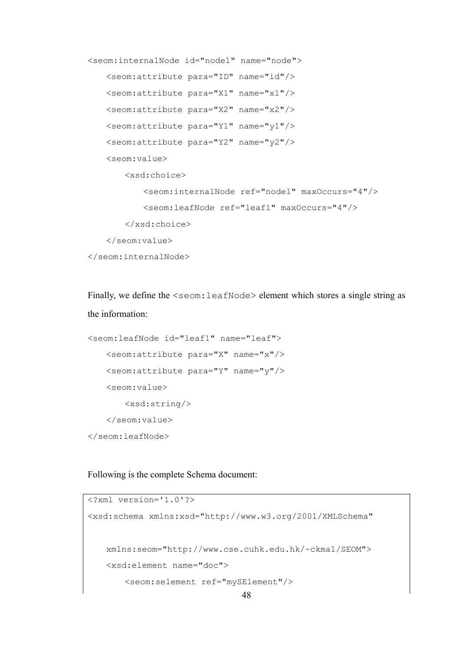```
<seom:internalNode id="node1" name="node"> 
    <seom:attribute para="ID" name="id"/> 
    <seom:attribute para="X1" name="x1"/> 
    <seom:attribute para="X2" name="x2"/> 
    <seom:attribute para="Y1" name="y1"/> 
    <seom:attribute para="Y2" name="y2"/> 
    <seom:value> 
        <xsd:choice> 
            <seom:internalNode ref="node1" maxOccurs="4"/> 
            <seom:leafNode ref="leaf1" maxOccurs="4"/> 
        </xsd:choice> 
    </seom:value> 
</seom:internalNode>
```
Finally, we define the  $\le$ seom: leafNode> element which stores a single string as the information:

```
<seom:leafNode id="leaf1" name="leaf"> 
    <seom:attribute para="X" name="x"/> 
    <seom:attribute para="Y" name="y"/> 
    <seom:value> 
        <xsd:string/> 
    </seom:value> 
</seom:leafNode>
```
Following is the complete Schema document:

```
<?xml version='1.0'?> 
<xsd:schema xmlns:xsd="http://www.w3.org/2001/XMLSchema" 
    xmlns:seom="http://www.cse.cuhk.edu.hk/~ckma1/SEOM"> 
    <xsd:element name="doc"> 
        <seom:selement ref="mySElement"/>
```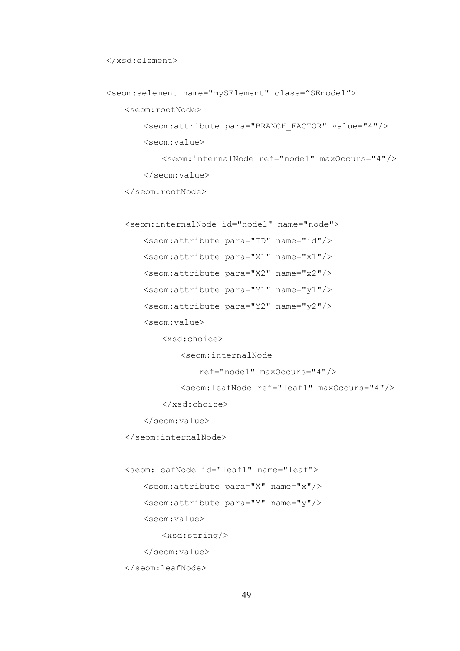```
 </xsd:element>
```

```
 <seom:selement name="mySElement" class="SEmodel">
```
<seom:rootNode>

```
 <seom:attribute para="BRANCH_FACTOR" value="4"/> 
 <seom:value>
```

```
 <seom:internalNode ref="node1" maxOccurs="4"/> 
 </seom:value>
```
</seom:rootNode>

```
 <seom:internalNode id="node1" name="node">
```
<seom:attribute para="ID" name="id"/>

```
 <seom:attribute para="X1" name="x1"/>
```
<seom:attribute para="X2" name="x2"/>

<seom:attribute para="Y1" name="y1"/>

```
 <seom:attribute para="Y2" name="y2"/>
```
<seom:value>

<xsd:choice>

<seom:internalNode

```
 ref="node1" maxOccurs="4"/>
```
<seom:leafNode ref="leaf1" maxOccurs="4"/>

</xsd:choice>

</seom:value>

</seom:internalNode>

 <seom:leafNode id="leaf1" name="leaf"> <seom:attribute para="X" name="x"/> <seom:attribute para="Y" name="y"/> <seom:value> <xsd:string/> </seom:value> </seom:leafNode>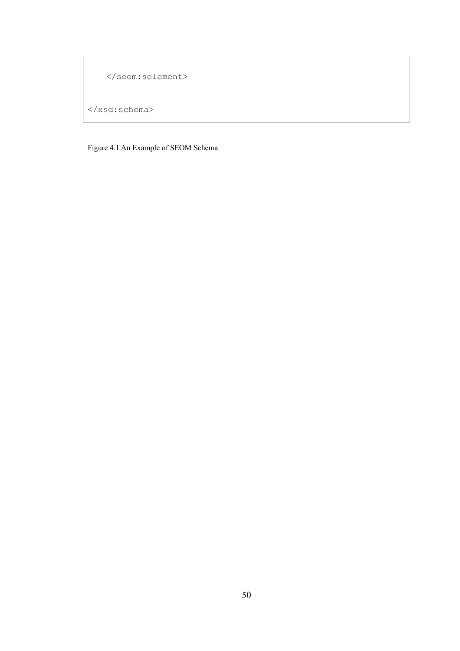```
 </seom:selement> 
</xsd:schema>
```
Figure 4.1 An Example of SEOM Schema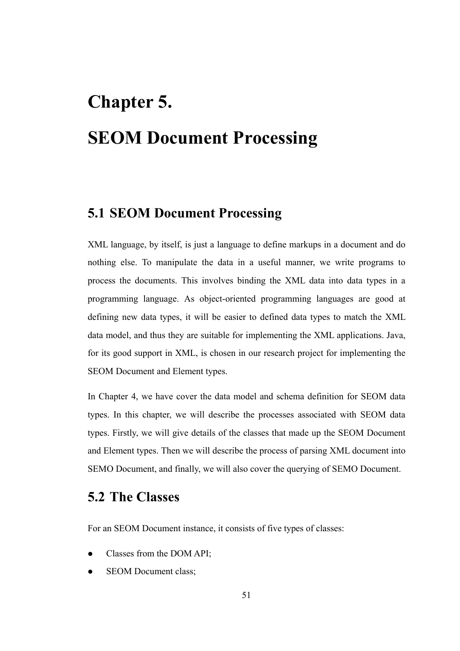# **Chapter 5. SEOM Document Processing**

# **5.1 SEOM Document Processing**

XML language, by itself, is just a language to define markups in a document and do nothing else. To manipulate the data in a useful manner, we write programs to process the documents. This involves binding the XML data into data types in a programming language. As object-oriented programming languages are good at defining new data types, it will be easier to defined data types to match the XML data model, and thus they are suitable for implementing the XML applications. Java, for its good support in XML, is chosen in our research project for implementing the SEOM Document and Element types.

In Chapter 4, we have cover the data model and schema definition for SEOM data types. In this chapter, we will describe the processes associated with SEOM data types. Firstly, we will give details of the classes that made up the SEOM Document and Element types. Then we will describe the process of parsing XML document into SEMO Document, and finally, we will also cover the querying of SEMO Document.

# **5.2 The Classes**

For an SEOM Document instance, it consists of five types of classes:

- Classes from the DOM API;
- SEOM Document class;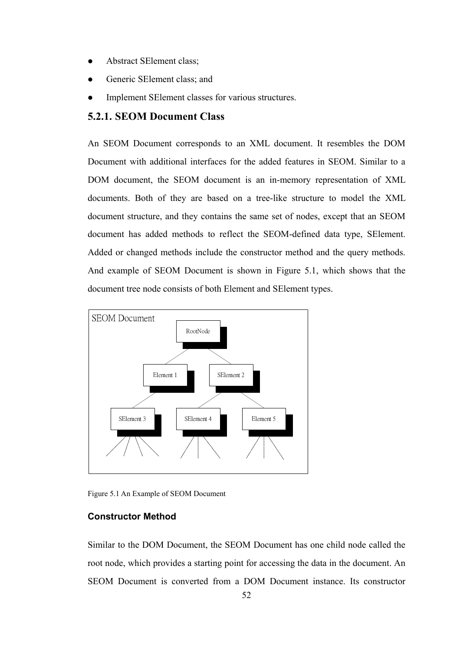- Abstract SElement class;
- Generic SElement class; and
- Implement SElement classes for various structures.

## **5.2.1. SEOM Document Class**

An SEOM Document corresponds to an XML document. It resembles the DOM Document with additional interfaces for the added features in SEOM. Similar to a DOM document, the SEOM document is an in-memory representation of XML documents. Both of they are based on a tree-like structure to model the XML document structure, and they contains the same set of nodes, except that an SEOM document has added methods to reflect the SEOM-defined data type, SElement. Added or changed methods include the constructor method and the query methods. And example of SEOM Document is shown in Figure 5.1, which shows that the document tree node consists of both Element and SElement types.



Figure 5.1 An Example of SEOM Document

#### **Constructor Method**

Similar to the DOM Document, the SEOM Document has one child node called the root node, which provides a starting point for accessing the data in the document. An SEOM Document is converted from a DOM Document instance. Its constructor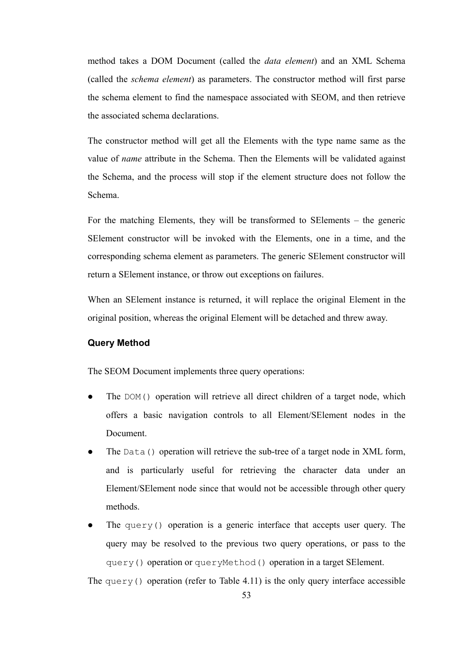method takes a DOM Document (called the *data element*) and an XML Schema (called the *schema element*) as parameters. The constructor method will first parse the schema element to find the namespace associated with SEOM, and then retrieve the associated schema declarations.

The constructor method will get all the Elements with the type name same as the value of *name* attribute in the Schema. Then the Elements will be validated against the Schema, and the process will stop if the element structure does not follow the Schema.

For the matching Elements, they will be transformed to SElements – the generic SElement constructor will be invoked with the Elements, one in a time, and the corresponding schema element as parameters. The generic SElement constructor will return a SElement instance, or throw out exceptions on failures.

When an SElement instance is returned, it will replace the original Element in the original position, whereas the original Element will be detached and threw away.

#### **Query Method**

The SEOM Document implements three query operations:

- The DOM() operation will retrieve all direct children of a target node, which offers a basic navigation controls to all Element/SElement nodes in the Document.
- The Data() operation will retrieve the sub-tree of a target node in XML form, and is particularly useful for retrieving the character data under an Element/SElement node since that would not be accessible through other query methods.
- The query() operation is a generic interface that accepts user query. The query may be resolved to the previous two query operations, or pass to the query() operation or queryMethod() operation in a target SElement.

The query() operation (refer to Table 4.11) is the only query interface accessible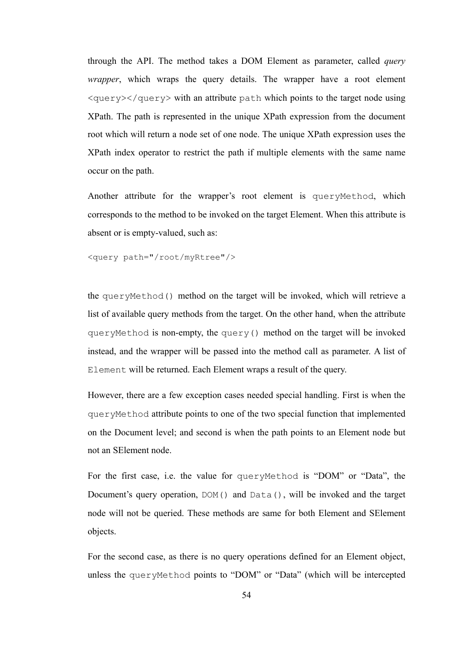through the API. The method takes a DOM Element as parameter, called *query wrapper*, which wraps the query details. The wrapper have a root element  $\langle$ query $\rangle$  $\langle$ query $\rangle$  with an attribute path which points to the target node using XPath. The path is represented in the unique XPath expression from the document root which will return a node set of one node. The unique XPath expression uses the XPath index operator to restrict the path if multiple elements with the same name occur on the path.

Another attribute for the wrapper's root element is queryMethod, which corresponds to the method to be invoked on the target Element. When this attribute is absent or is empty-valued, such as:

<query path="/root/myRtree"/>

the queryMethod() method on the target will be invoked, which will retrieve a list of available query methods from the target. On the other hand, when the attribute queryMethod is non-empty, the query() method on the target will be invoked instead, and the wrapper will be passed into the method call as parameter. A list of Element will be returned. Each Element wraps a result of the query.

However, there are a few exception cases needed special handling. First is when the queryMethod attribute points to one of the two special function that implemented on the Document level; and second is when the path points to an Element node but not an SElement node.

For the first case, i.e. the value for queryMethod is "DOM" or "Data", the Document's query operation, DOM() and Data(), will be invoked and the target node will not be queried. These methods are same for both Element and SElement objects.

For the second case, as there is no query operations defined for an Element object, unless the queryMethod points to "DOM" or "Data" (which will be intercepted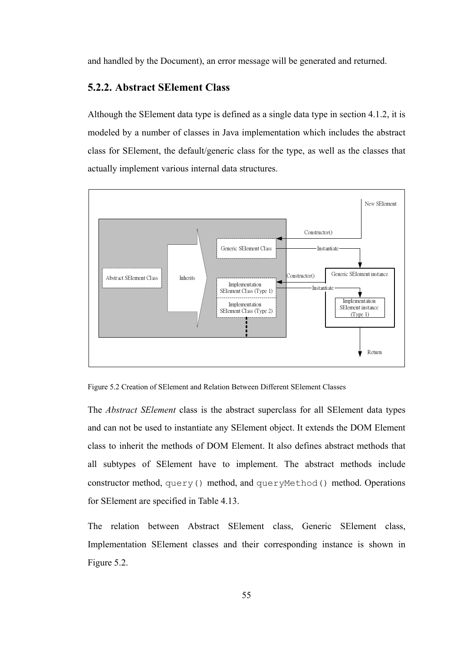and handled by the Document), an error message will be generated and returned.

#### **5.2.2. Abstract SElement Class**

Although the SElement data type is defined as a single data type in section 4.1.2, it is modeled by a number of classes in Java implementation which includes the abstract class for SElement, the default/generic class for the type, as well as the classes that actually implement various internal data structures.





The *Abstract SElement* class is the abstract superclass for all SElement data types and can not be used to instantiate any SElement object. It extends the DOM Element class to inherit the methods of DOM Element. It also defines abstract methods that all subtypes of SElement have to implement. The abstract methods include constructor method, query() method, and queryMethod() method. Operations for SElement are specified in Table 4.13.

The relation between Abstract SElement class, Generic SElement class, Implementation SElement classes and their corresponding instance is shown in Figure 5.2.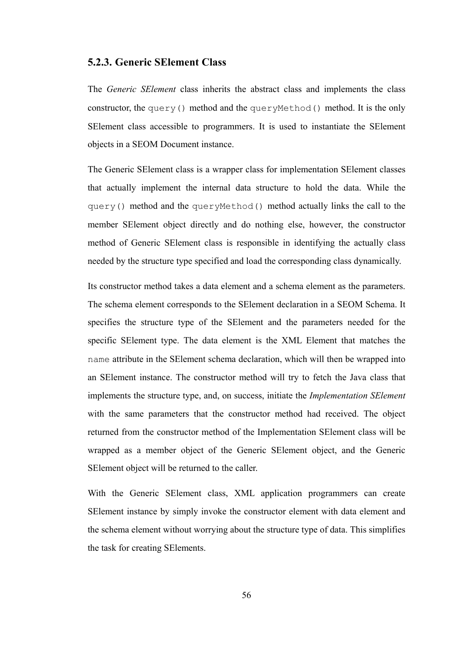#### **5.2.3. Generic SElement Class**

The *Generic SElement* class inherits the abstract class and implements the class constructor, the query() method and the queryMethod() method. It is the only SElement class accessible to programmers. It is used to instantiate the SElement objects in a SEOM Document instance.

The Generic SElement class is a wrapper class for implementation SElement classes that actually implement the internal data structure to hold the data. While the query() method and the queryMethod() method actually links the call to the member SElement object directly and do nothing else, however, the constructor method of Generic SElement class is responsible in identifying the actually class needed by the structure type specified and load the corresponding class dynamically.

Its constructor method takes a data element and a schema element as the parameters. The schema element corresponds to the SElement declaration in a SEOM Schema. It specifies the structure type of the SElement and the parameters needed for the specific SElement type. The data element is the XML Element that matches the name attribute in the SElement schema declaration, which will then be wrapped into an SElement instance. The constructor method will try to fetch the Java class that implements the structure type, and, on success, initiate the *Implementation SElement*  with the same parameters that the constructor method had received. The object returned from the constructor method of the Implementation SElement class will be wrapped as a member object of the Generic SElement object, and the Generic SElement object will be returned to the caller.

With the Generic SElement class, XML application programmers can create SElement instance by simply invoke the constructor element with data element and the schema element without worrying about the structure type of data. This simplifies the task for creating SElements.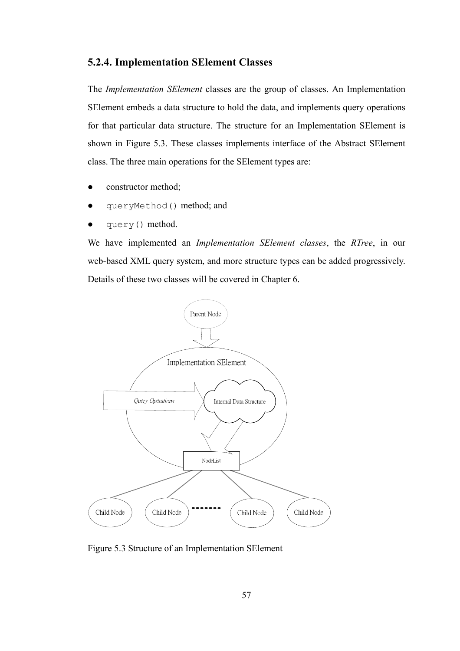# **5.2.4. Implementation SElement Classes**

The *Implementation SElement* classes are the group of classes. An Implementation SElement embeds a data structure to hold the data, and implements query operations for that particular data structure. The structure for an Implementation SElement is shown in Figure 5.3. These classes implements interface of the Abstract SElement class. The three main operations for the SElement types are:

- constructor method;
- queryMethod() method; and
- query() method.

We have implemented an *Implementation SElement classes*, the *RTree*, in our web-based XML query system, and more structure types can be added progressively. Details of these two classes will be covered in Chapter 6.



Figure 5.3 Structure of an Implementation SElement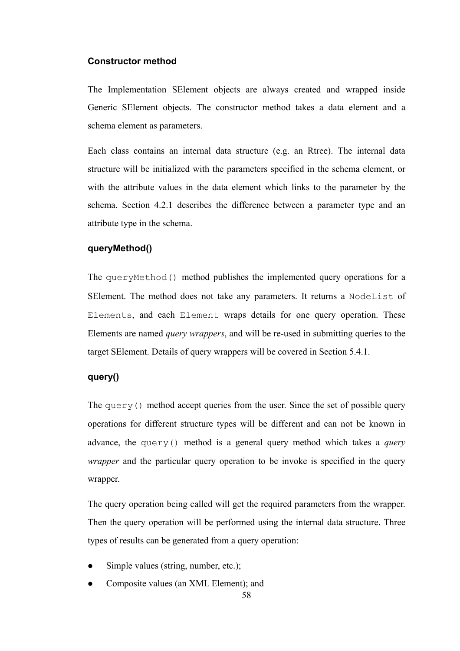#### **Constructor method**

The Implementation SElement objects are always created and wrapped inside Generic SElement objects. The constructor method takes a data element and a schema element as parameters.

Each class contains an internal data structure (e.g. an Rtree). The internal data structure will be initialized with the parameters specified in the schema element, or with the attribute values in the data element which links to the parameter by the schema. Section 4.2.1 describes the difference between a parameter type and an attribute type in the schema.

## **queryMethod()**

The queryMethod() method publishes the implemented query operations for a SElement. The method does not take any parameters. It returns a NodeList of Elements, and each Element wraps details for one query operation. These Elements are named *query wrappers*, and will be re-used in submitting queries to the target SElement. Details of query wrappers will be covered in Section 5.4.1.

# **query()**

The query() method accept queries from the user. Since the set of possible query operations for different structure types will be different and can not be known in advance, the query() method is a general query method which takes a *query wrapper* and the particular query operation to be invoke is specified in the query wrapper.

The query operation being called will get the required parameters from the wrapper. Then the query operation will be performed using the internal data structure. Three types of results can be generated from a query operation:

- Simple values (string, number, etc.);
- Composite values (an XML Element); and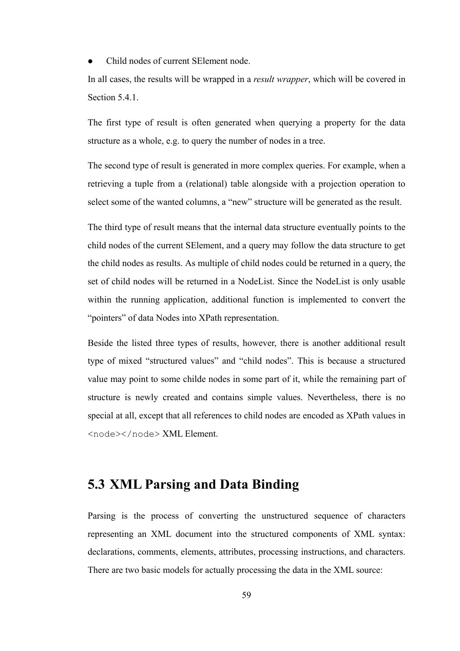• Child nodes of current SE lement node.

In all cases, the results will be wrapped in a *result wrapper*, which will be covered in Section 5.4.1.

The first type of result is often generated when querying a property for the data structure as a whole, e.g. to query the number of nodes in a tree.

The second type of result is generated in more complex queries. For example, when a retrieving a tuple from a (relational) table alongside with a projection operation to select some of the wanted columns, a "new" structure will be generated as the result.

The third type of result means that the internal data structure eventually points to the child nodes of the current SElement, and a query may follow the data structure to get the child nodes as results. As multiple of child nodes could be returned in a query, the set of child nodes will be returned in a NodeList. Since the NodeList is only usable within the running application, additional function is implemented to convert the "pointers" of data Nodes into XPath representation.

Beside the listed three types of results, however, there is another additional result type of mixed "structured values" and "child nodes". This is because a structured value may point to some childe nodes in some part of it, while the remaining part of structure is newly created and contains simple values. Nevertheless, there is no special at all, except that all references to child nodes are encoded as XPath values in <node></node> XML Element.

## **5.3 XML Parsing and Data Binding**

Parsing is the process of converting the unstructured sequence of characters representing an XML document into the structured components of XML syntax: declarations, comments, elements, attributes, processing instructions, and characters. There are two basic models for actually processing the data in the XML source: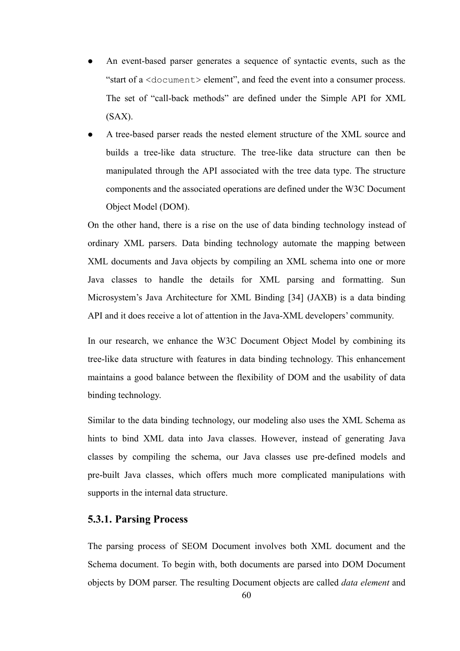- An event-based parser generates a sequence of syntactic events, such as the "start of a <document> element", and feed the event into a consumer process. The set of "call-back methods" are defined under the Simple API for XML  $(SAX)$ .
- A tree-based parser reads the nested element structure of the XML source and builds a tree-like data structure. The tree-like data structure can then be manipulated through the API associated with the tree data type. The structure components and the associated operations are defined under the W3C Document Object Model (DOM).

On the other hand, there is a rise on the use of data binding technology instead of ordinary XML parsers. Data binding technology automate the mapping between XML documents and Java objects by compiling an XML schema into one or more Java classes to handle the details for XML parsing and formatting. Sun Microsystem's Java Architecture for XML Binding [34] (JAXB) is a data binding API and it does receive a lot of attention in the Java-XML developers' community.

In our research, we enhance the W3C Document Object Model by combining its tree-like data structure with features in data binding technology. This enhancement maintains a good balance between the flexibility of DOM and the usability of data binding technology.

Similar to the data binding technology, our modeling also uses the XML Schema as hints to bind XML data into Java classes. However, instead of generating Java classes by compiling the schema, our Java classes use pre-defined models and pre-built Java classes, which offers much more complicated manipulations with supports in the internal data structure.

#### **5.3.1. Parsing Process**

The parsing process of SEOM Document involves both XML document and the Schema document. To begin with, both documents are parsed into DOM Document objects by DOM parser. The resulting Document objects are called *data element* and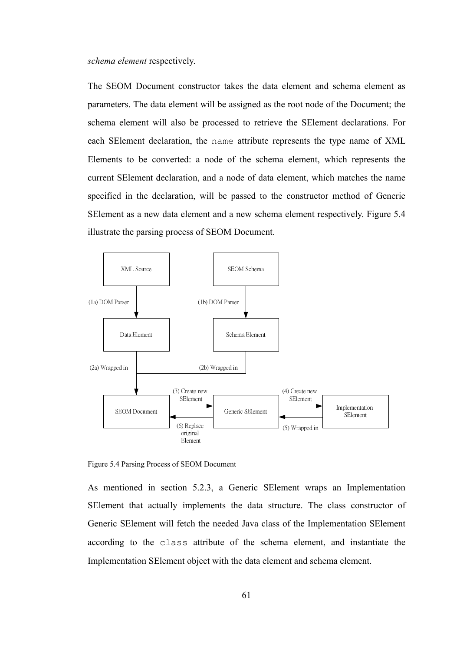*schema element* respectively.

The SEOM Document constructor takes the data element and schema element as parameters. The data element will be assigned as the root node of the Document; the schema element will also be processed to retrieve the SElement declarations. For each SElement declaration, the name attribute represents the type name of XML Elements to be converted: a node of the schema element, which represents the current SElement declaration, and a node of data element, which matches the name specified in the declaration, will be passed to the constructor method of Generic SElement as a new data element and a new schema element respectively. Figure 5.4 illustrate the parsing process of SEOM Document.



Figure 5.4 Parsing Process of SEOM Document

As mentioned in section 5.2.3, a Generic SElement wraps an Implementation SElement that actually implements the data structure. The class constructor of Generic SElement will fetch the needed Java class of the Implementation SElement according to the class attribute of the schema element, and instantiate the Implementation SElement object with the data element and schema element.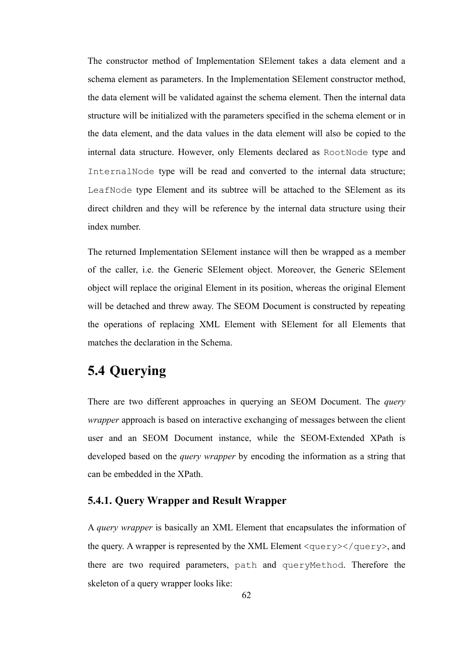The constructor method of Implementation SElement takes a data element and a schema element as parameters. In the Implementation SElement constructor method, the data element will be validated against the schema element. Then the internal data structure will be initialized with the parameters specified in the schema element or in the data element, and the data values in the data element will also be copied to the internal data structure. However, only Elements declared as RootNode type and InternalNode type will be read and converted to the internal data structure; LeafNode type Element and its subtree will be attached to the SElement as its direct children and they will be reference by the internal data structure using their index number.

The returned Implementation SElement instance will then be wrapped as a member of the caller, i.e. the Generic SElement object. Moreover, the Generic SElement object will replace the original Element in its position, whereas the original Element will be detached and threw away. The SEOM Document is constructed by repeating the operations of replacing XML Element with SElement for all Elements that matches the declaration in the Schema.

## **5.4 Querying**

There are two different approaches in querying an SEOM Document. The *query wrapper* approach is based on interactive exchanging of messages between the client user and an SEOM Document instance, while the SEOM-Extended XPath is developed based on the *query wrapper* by encoding the information as a string that can be embedded in the XPath.

#### **5.4.1. Query Wrapper and Result Wrapper**

A *query wrapper* is basically an XML Element that encapsulates the information of the query. A wrapper is represented by the XML Element  $\langle\text{query}\rangle\langle\text{query}\rangle$ , and there are two required parameters, path and queryMethod. Therefore the skeleton of a query wrapper looks like: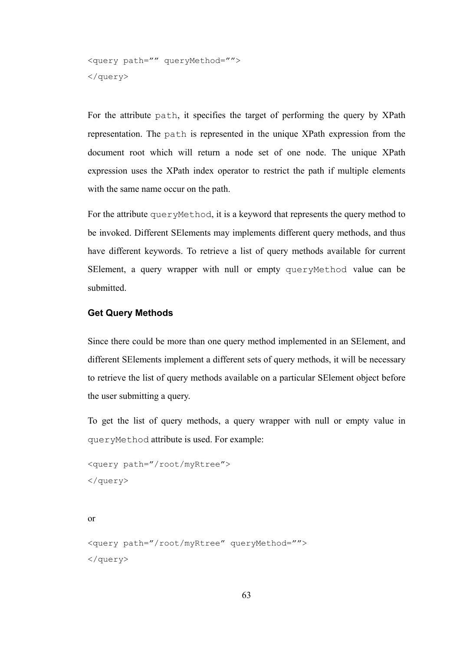```
<query path="" queryMethod=""> 
</query>
```
For the attribute path, it specifies the target of performing the query by XPath representation. The path is represented in the unique XPath expression from the document root which will return a node set of one node. The unique XPath expression uses the XPath index operator to restrict the path if multiple elements with the same name occur on the path.

For the attribute queryMethod, it is a keyword that represents the query method to be invoked. Different SElements may implements different query methods, and thus have different keywords. To retrieve a list of query methods available for current SElement, a query wrapper with null or empty queryMethod value can be submitted.

#### **Get Query Methods**

Since there could be more than one query method implemented in an SElement, and different SElements implement a different sets of query methods, it will be necessary to retrieve the list of query methods available on a particular SElement object before the user submitting a query.

To get the list of query methods, a query wrapper with null or empty value in queryMethod attribute is used. For example:

```
<query path="/root/myRtree"> 
</query>
```
or

```
<query path="/root/myRtree" queryMethod=""> 
</query>
```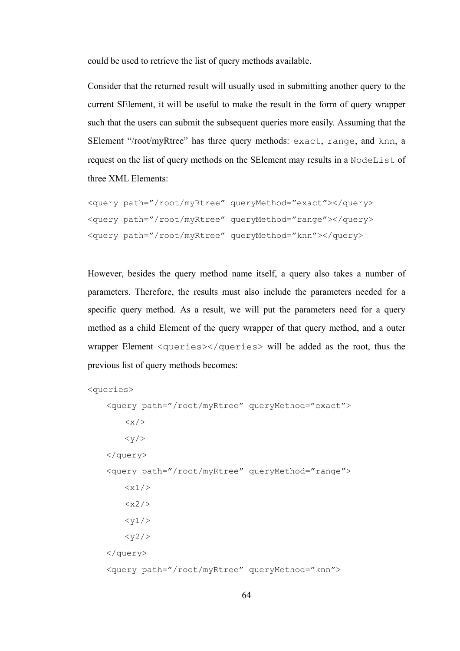could be used to retrieve the list of query methods available.

Consider that the returned result will usually used in submitting another query to the current SElement, it will be useful to make the result in the form of query wrapper such that the users can submit the subsequent queries more easily. Assuming that the SElement "/root/myRtree" has three query methods: exact, range, and knn, a request on the list of query methods on the SElement may results in a NodeList of three XML Elements:

```
<query path="/root/myRtree" queryMethod="exact"></query> 
<query path="/root/myRtree" queryMethod="range"></query> 
<query path="/root/myRtree" queryMethod="knn"></query>
```
However, besides the query method name itself, a query also takes a number of parameters. Therefore, the results must also include the parameters needed for a specific query method. As a result, we will put the parameters need for a query method as a child Element of the query wrapper of that query method, and a outer wrapper Element <queries></queries> will be added as the root, thus the previous list of query methods becomes:

```
<queries> 
      <query path="/root/myRtree" queryMethod="exact"> 
          \langle x/ \rangle<y/>
      </query> 
          \langle x1/ \rangle
```
 <query path="/root/myRtree" queryMethod="range">  $$  $<$ y1/>  $<$ y2/> </query> <query path="/root/myRtree" queryMethod="knn">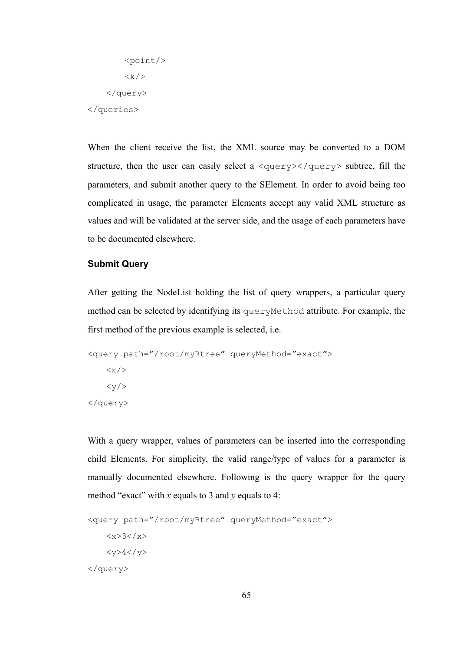$<$ point/>  $\langle k \rangle$  </query> </queries>

When the client receive the list, the XML source may be converted to a DOM structure, then the user can easily select a  $\langle\text{query}\rangle\langle\text{query}\rangle$  subtree, fill the parameters, and submit another query to the SElement. In order to avoid being too complicated in usage, the parameter Elements accept any valid XML structure as values and will be validated at the server side, and the usage of each parameters have to be documented elsewhere.

#### **Submit Query**

After getting the NodeList holding the list of query wrappers, a particular query method can be selected by identifying its queryMethod attribute. For example, the first method of the previous example is selected, i.e.

```
<query path="/root/myRtree" queryMethod="exact"> 
     \langle x \rangle\langle y \rangle</query>
```
With a query wrapper, values of parameters can be inserted into the corresponding child Elements. For simplicity, the valid range/type of values for a parameter is manually documented elsewhere. Following is the query wrapper for the query method "exact" with *x* equals to 3 and *y* equals to 4:

```
<query path="/root/myRtree" queryMethod="exact"> 
   <x>3</x><y>4</y>
</query>
```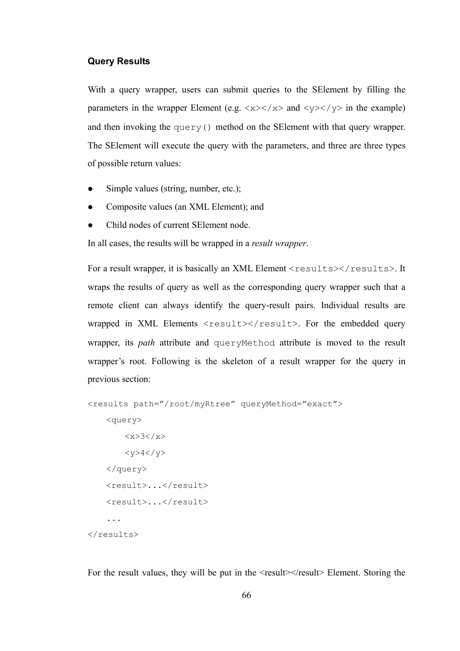#### **Query Results**

With a query wrapper, users can submit queries to the SE lement by filling the parameters in the wrapper Element (e.g.  $\langle x \rangle \langle x \rangle$  and  $\langle y \rangle \langle y \rangle$  in the example) and then invoking the query() method on the SElement with that query wrapper. The SElement will execute the query with the parameters, and three are three types of possible return values:

- Simple values (string, number, etc.);
- Composite values (an XML Element); and
- z Child nodes of current SElement node.

In all cases, the results will be wrapped in a *result wrapper*.

For a result wrapper, it is basically an XML Element <results></results>. It wraps the results of query as well as the corresponding query wrapper such that a remote client can always identify the query-result pairs. Individual results are wrapped in XML Elements  $\langle \text{result}\rangle \langle \text{result}\rangle$ . For the embedded query wrapper, its *path* attribute and queryMethod attribute is moved to the result wrapper's root. Following is the skeleton of a result wrapper for the query in previous section:

```
<results path="/root/myRtree" queryMethod="exact"> 
     <query> 
        <x&gt;3</x><y>4</y>
     </query> 
     <result>...</result> 
     <result>...</result> 
     ... 
</results>
```
For the result values, they will be put in the  $\le$ result $\ge$ /result $\ge$  Element. Storing the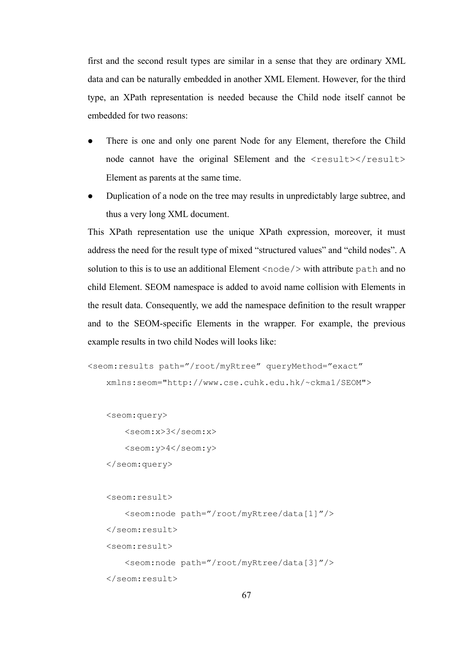first and the second result types are similar in a sense that they are ordinary XML data and can be naturally embedded in another XML Element. However, for the third type, an XPath representation is needed because the Child node itself cannot be embedded for two reasons:

- There is one and only one parent Node for any Element, therefore the Child node cannot have the original SElement and the <result></result> Element as parents at the same time.
- Duplication of a node on the tree may results in unpredictably large subtree, and thus a very long XML document.

This XPath representation use the unique XPath expression, moreover, it must address the need for the result type of mixed "structured values" and "child nodes". A solution to this is to use an additional Element  $\langle \text{node} \rangle$  with attribute path and no child Element. SEOM namespace is added to avoid name collision with Elements in the result data. Consequently, we add the namespace definition to the result wrapper and to the SEOM-specific Elements in the wrapper. For example, the previous example results in two child Nodes will looks like:

```
<seom:results path="/root/myRtree" queryMethod="exact" 
    xmlns:seom="http://www.cse.cuhk.edu.hk/~ckma1/SEOM">
```
<seom:query>

<seom:x>3</seom:x>

<seom:y>4</seom:y>

</seom:query>

```
 <seom:result>
```
 <seom:node path="/root/myRtree/data[1]"/> </seom:result> <seom:result> <seom:node path="/root/myRtree/data[3]"/> </seom:result>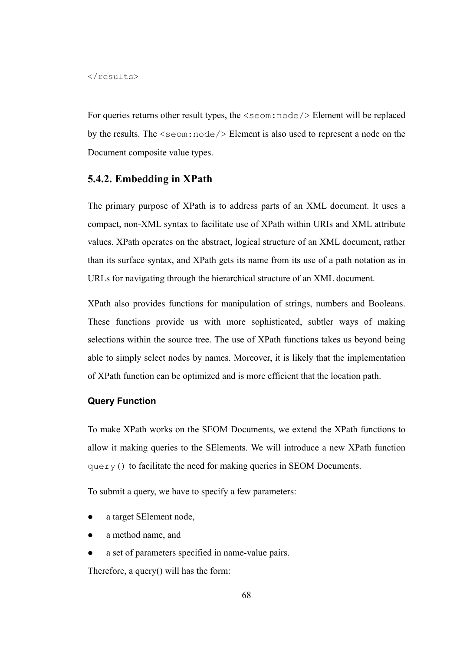#### $\langle$ /results>

For queries returns other result types, the  $\le$ seom:node/> Element will be replaced by the results. The  $\le$ seom:node/> Element is also used to represent a node on the Document composite value types.

#### **5.4.2. Embedding in XPath**

The primary purpose of XPath is to address parts of an XML document. It uses a compact, non-XML syntax to facilitate use of XPath within URIs and XML attribute values. XPath operates on the abstract, logical structure of an XML document, rather than its surface syntax, and XPath gets its name from its use of a path notation as in URLs for navigating through the hierarchical structure of an XML document.

XPath also provides functions for manipulation of strings, numbers and Booleans. These functions provide us with more sophisticated, subtler ways of making selections within the source tree. The use of XPath functions takes us beyond being able to simply select nodes by names. Moreover, it is likely that the implementation of XPath function can be optimized and is more efficient that the location path.

#### **Query Function**

To make XPath works on the SEOM Documents, we extend the XPath functions to allow it making queries to the SElements. We will introduce a new XPath function query() to facilitate the need for making queries in SEOM Documents.

To submit a query, we have to specify a few parameters:

- z a target SElement node,
- z a method name, and
- z a set of parameters specified in name-value pairs.

Therefore, a query() will has the form: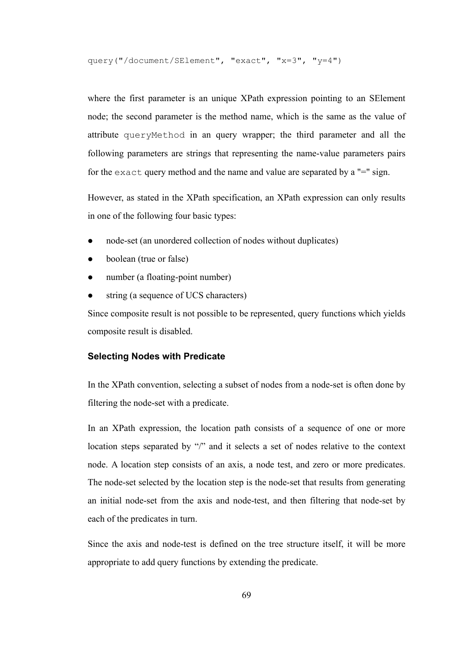query("/document/SElement", "exact", "x=3", "y=4")

where the first parameter is an unique XPath expression pointing to an SElement node; the second parameter is the method name, which is the same as the value of attribute queryMethod in an query wrapper; the third parameter and all the following parameters are strings that representing the name-value parameters pairs for the exact query method and the name and value are separated by a "=" sign.

However, as stated in the XPath specification, an XPath expression can only results in one of the following four basic types:

- node-set (an unordered collection of nodes without duplicates)
- boolean (true or false)
- number (a floating-point number)
- string (a sequence of UCS characters)

Since composite result is not possible to be represented, query functions which yields composite result is disabled.

#### **Selecting Nodes with Predicate**

In the XPath convention, selecting a subset of nodes from a node-set is often done by filtering the node-set with a predicate.

In an XPath expression, the location path consists of a sequence of one or more location steps separated by "/" and it selects a set of nodes relative to the context node. A location step consists of an axis, a node test, and zero or more predicates. The node-set selected by the location step is the node-set that results from generating an initial node-set from the axis and node-test, and then filtering that node-set by each of the predicates in turn.

Since the axis and node-test is defined on the tree structure itself, it will be more appropriate to add query functions by extending the predicate.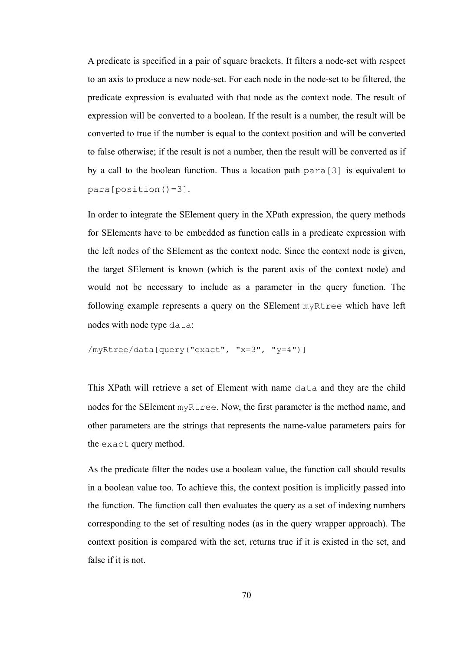A predicate is specified in a pair of square brackets. It filters a node-set with respect to an axis to produce a new node-set. For each node in the node-set to be filtered, the predicate expression is evaluated with that node as the context node. The result of expression will be converted to a boolean. If the result is a number, the result will be converted to true if the number is equal to the context position and will be converted to false otherwise; if the result is not a number, then the result will be converted as if by a call to the boolean function. Thus a location path para[3] is equivalent to para[position()=3].

In order to integrate the SElement query in the XPath expression, the query methods for SElements have to be embedded as function calls in a predicate expression with the left nodes of the SElement as the context node. Since the context node is given, the target SElement is known (which is the parent axis of the context node) and would not be necessary to include as a parameter in the query function. The following example represents a query on the SElement myRtree which have left nodes with node type data:

```
/myRtree/data[query("exact", "x=3", "y=4")]
```
This XPath will retrieve a set of Element with name data and they are the child nodes for the SElement myRtree. Now, the first parameter is the method name, and other parameters are the strings that represents the name-value parameters pairs for the exact query method.

As the predicate filter the nodes use a boolean value, the function call should results in a boolean value too. To achieve this, the context position is implicitly passed into the function. The function call then evaluates the query as a set of indexing numbers corresponding to the set of resulting nodes (as in the query wrapper approach). The context position is compared with the set, returns true if it is existed in the set, and false if it is not.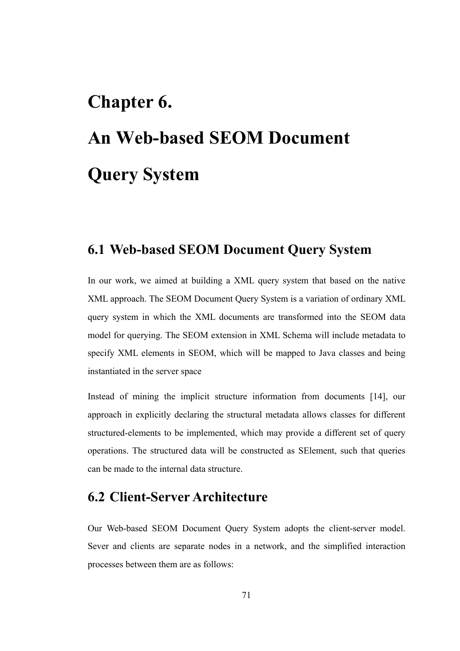# **Chapter 6. An Web-based SEOM Document Query System**

## **6.1 Web-based SEOM Document Query System**

In our work, we aimed at building a XML query system that based on the native XML approach. The SEOM Document Query System is a variation of ordinary XML query system in which the XML documents are transformed into the SEOM data model for querying. The SEOM extension in XML Schema will include metadata to specify XML elements in SEOM, which will be mapped to Java classes and being instantiated in the server space

Instead of mining the implicit structure information from documents [14], our approach in explicitly declaring the structural metadata allows classes for different structured-elements to be implemented, which may provide a different set of query operations. The structured data will be constructed as SElement, such that queries can be made to the internal data structure.

## **6.2 Client-Server Architecture**

Our Web-based SEOM Document Query System adopts the client-server model. Sever and clients are separate nodes in a network, and the simplified interaction processes between them are as follows: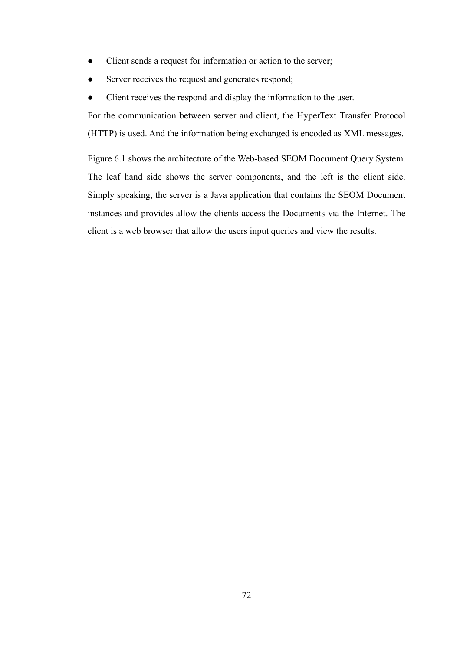- Client sends a request for information or action to the server;
- Server receives the request and generates respond;
- Client receives the respond and display the information to the user.

For the communication between server and client, the HyperText Transfer Protocol (HTTP) is used. And the information being exchanged is encoded as XML messages.

Figure 6.1 shows the architecture of the Web-based SEOM Document Query System. The leaf hand side shows the server components, and the left is the client side. Simply speaking, the server is a Java application that contains the SEOM Document instances and provides allow the clients access the Documents via the Internet. The client is a web browser that allow the users input queries and view the results.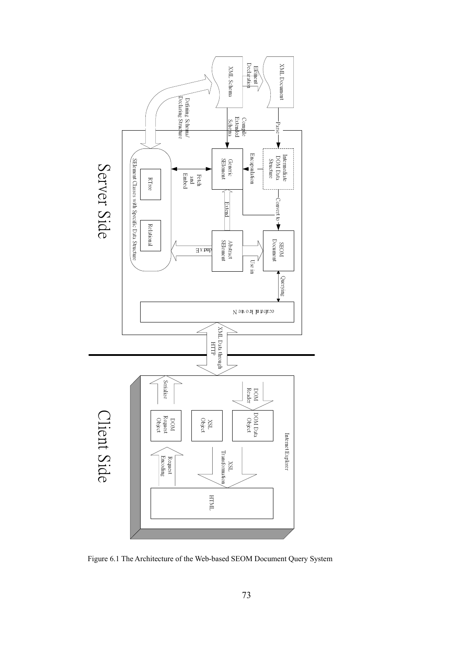

Figure 6.1 The Architecture of the Web-based SEOM Document Query System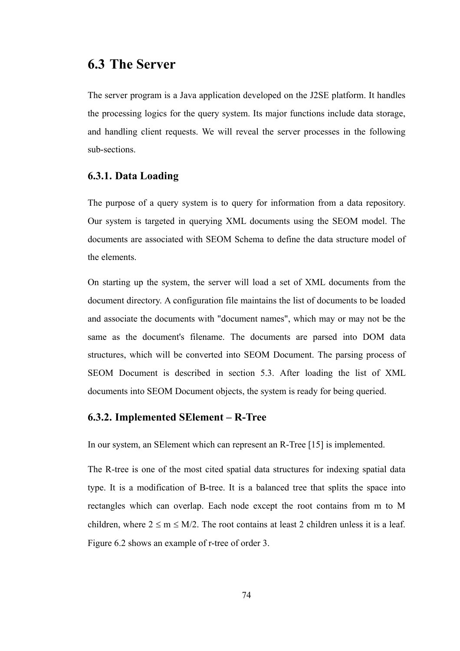### **6.3 The Server**

The server program is a Java application developed on the J2SE platform. It handles the processing logics for the query system. Its major functions include data storage, and handling client requests. We will reveal the server processes in the following sub-sections.

#### **6.3.1. Data Loading**

The purpose of a query system is to query for information from a data repository. Our system is targeted in querying XML documents using the SEOM model. The documents are associated with SEOM Schema to define the data structure model of the elements.

On starting up the system, the server will load a set of XML documents from the document directory. A configuration file maintains the list of documents to be loaded and associate the documents with "document names", which may or may not be the same as the document's filename. The documents are parsed into DOM data structures, which will be converted into SEOM Document. The parsing process of SEOM Document is described in section 5.3. After loading the list of XML documents into SEOM Document objects, the system is ready for being queried.

#### **6.3.2. Implemented SElement – R-Tree**

In our system, an SElement which can represent an R-Tree [15] is implemented.

The R-tree is one of the most cited spatial data structures for indexing spatial data type. It is a modification of B-tree. It is a balanced tree that splits the space into rectangles which can overlap. Each node except the root contains from m to M children, where  $2 \le m \le M/2$ . The root contains at least 2 children unless it is a leaf. Figure 6.2 shows an example of r-tree of order 3.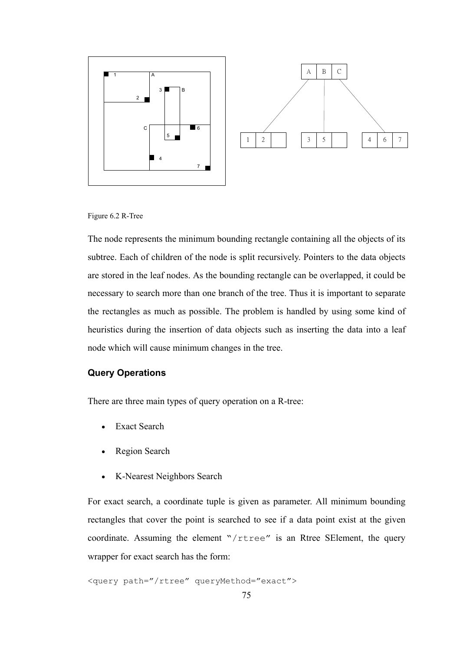

Figure 6.2 R-Tree

The node represents the minimum bounding rectangle containing all the objects of its subtree. Each of children of the node is split recursively. Pointers to the data objects are stored in the leaf nodes. As the bounding rectangle can be overlapped, it could be necessary to search more than one branch of the tree. Thus it is important to separate the rectangles as much as possible. The problem is handled by using some kind of heuristics during the insertion of data objects such as inserting the data into a leaf node which will cause minimum changes in the tree.

#### **Query Operations**

There are three main types of query operation on a R-tree:

- Exact Search
- Region Search
- K-Nearest Neighbors Search

For exact search, a coordinate tuple is given as parameter. All minimum bounding rectangles that cover the point is searched to see if a data point exist at the given coordinate. Assuming the element "/rtree" is an Rtree SElement, the query wrapper for exact search has the form:

<query path="/rtree" queryMethod="exact">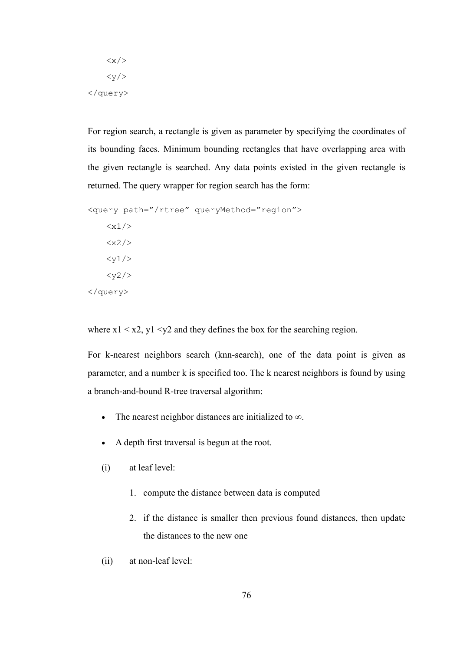$\langle x \rangle$  $\langle y/ \rangle$ </query>

For region search, a rectangle is given as parameter by specifying the coordinates of its bounding faces. Minimum bounding rectangles that have overlapping area with the given rectangle is searched. Any data points existed in the given rectangle is returned. The query wrapper for region search has the form:

```
<query path="/rtree" queryMethod="region"> 
    \langle x1/ \rangle<x2/<v1/<y2/>
</query>
```
where  $x1 < x2$ ,  $y1 < y2$  and they defines the box for the searching region.

For k-nearest neighbors search (knn-search), one of the data point is given as parameter, and a number k is specified too. The k nearest neighbors is found by using a branch-and-bound R-tree traversal algorithm:

- The nearest neighbor distances are initialized to ∞.
- A depth first traversal is begun at the root.
- (i) at leaf level:
	- 1. compute the distance between data is computed
	- 2. if the distance is smaller then previous found distances, then update the distances to the new one
- (ii) at non-leaf level: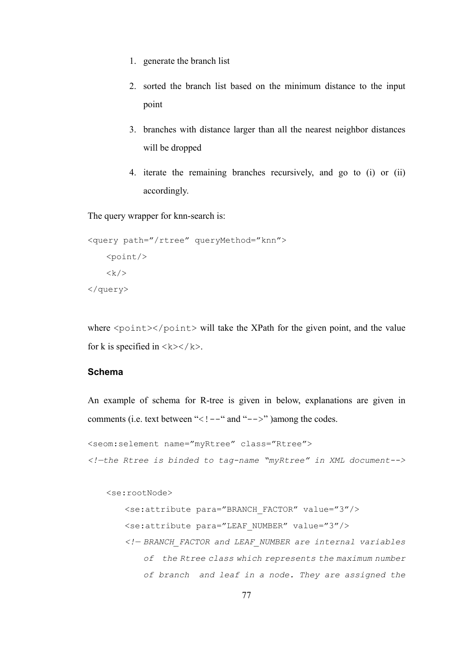- 1. generate the branch list
- 2. sorted the branch list based on the minimum distance to the input point
- 3. branches with distance larger than all the nearest neighbor distances will be dropped
- 4. iterate the remaining branches recursively, and go to (i) or (ii) accordingly.

The query wrapper for knn-search is:

```
<query path="/rtree" queryMethod="knn"> 
   <point/>
   <k/>
</query>
```
where  $\langle$  point> $\langle$ /point> will take the XPath for the given point, and the value for k is specified in  $\langle k \rangle \langle k \rangle$ .

#### **Schema**

An example of schema for R-tree is given in below, explanations are given in comments (i.e. text between "<!  $-$ " and " $-$ >" )among the codes.

```
<seom:selement name="myRtree" class="Rtree"> 
<!—the Rtree is binded to tag-name "myRtree" in XML document-->
```
<se:rootNode>

 <se:attribute para="BRANCH\_FACTOR" value="3"/> <se:attribute para="LEAF\_NUMBER" value="3"/> *<!— BRANCH\_FACTOR and LEAF\_NUMBER are internal variables of the Rtree class which represents the maximum number of branch and leaf in a node. They are assigned the*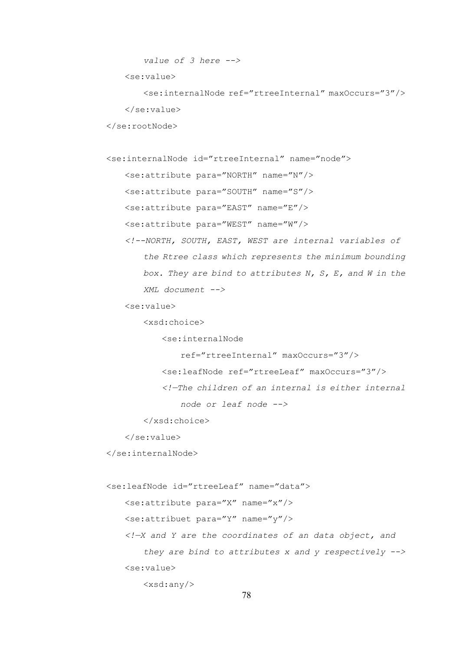```
 value of 3 here -->
```
<se:value>

 <se:internalNode ref="rtreeInternal" maxOccurs="3"/> </se:value>

</se:rootNode>

<se:internalNode id="rtreeInternal" name="node">

<se:attribute para="NORTH" name="N"/>

<se:attribute para="SOUTH" name="S"/>

<se:attribute para="EAST" name="E"/>

<se:attribute para="WEST" name="W"/>

 *<!--NORTH, SOUTH, EAST, WEST are internal variables of the Rtree class which represents the minimum bounding box. They are bind to attributes N, S, E, and W in the XML document -->* 

<se:value>

<xsd:choice>

<se:internalNode

```
 ref="rtreeInternal" maxOccurs="3"/> 
 <se:leafNode ref="rtreeLeaf" maxOccurs="3"/>
```
 *<!—The children of an internal is either internal node or leaf node -->*

</xsd:choice>

</se:value>

</se:internalNode>

```
 <se:leafNode id="rtreeLeaf" name="data"> 
   \leqse:attribute para="X" name="x"/>
    <se:attribuet para="Y" name="y"/> 
     <!—X and Y are the coordinates of an data object, and 
         they are bind to attributes x and y respectively -->
    <se:value> 
        <xsd:any/>
```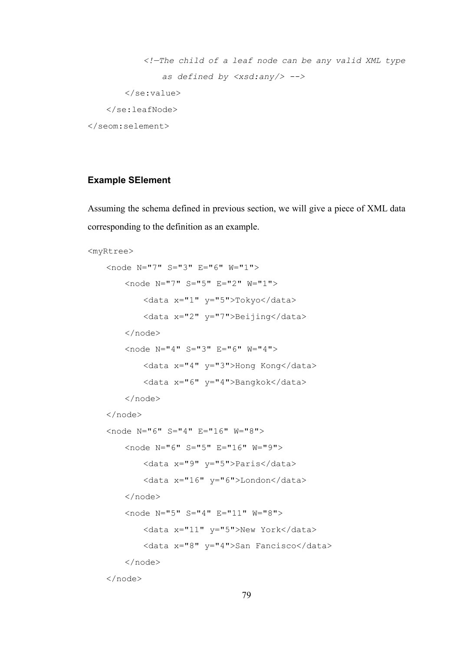```
 <!—The child of a leaf node can be any valid XML type 
                as defined by <xsd:any/> -->
        </se:value> 
    </se:leafNode> 
</seom:selement>
```
#### **Example SElement**

Assuming the schema defined in previous section, we will give a piece of XML data corresponding to the definition as an example.

```
<myRtree>
```

```
 <node N="7" S="3" E="6" W="1"> 
     <node N="7" S="5" E="2" W="1"> 
         <data x="1" y="5">Tokyo</data> 
         <data x="2" y="7">Beijing</data> 
     </node> 
     <node N="4" S="3" E="6" W="4"> 
         <data x="4" y="3">Hong Kong</data> 
         <data x="6" y="4">Bangkok</data> 
     </node> 
 </node> 
 <node N="6" S="4" E="16" W="8"> 
     <node N="6" S="5" E="16" W="9"> 
         <data x="9" y="5">Paris</data> 
         <data x="16" y="6">London</data> 
     </node> 
     <node N="5" S="4" E="11" W="8"> 
         <data x="11" y="5">New York</data> 
         <data x="8" y="4">San Fancisco</data> 
     </node> 
 </node>
```
79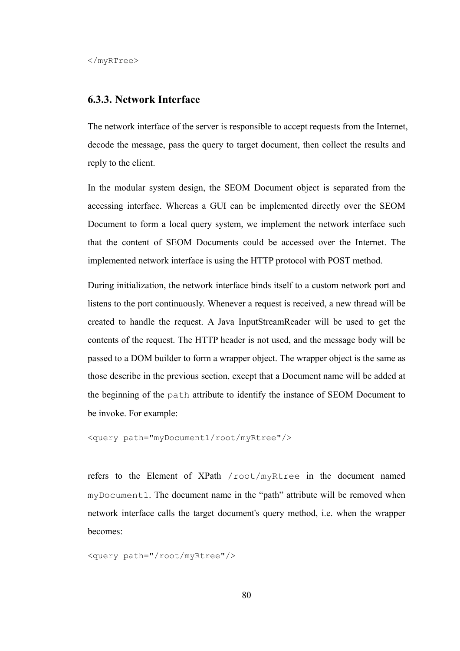#### **6.3.3. Network Interface**

The network interface of the server is responsible to accept requests from the Internet, decode the message, pass the query to target document, then collect the results and reply to the client.

In the modular system design, the SEOM Document object is separated from the accessing interface. Whereas a GUI can be implemented directly over the SEOM Document to form a local query system, we implement the network interface such that the content of SEOM Documents could be accessed over the Internet. The implemented network interface is using the HTTP protocol with POST method.

During initialization, the network interface binds itself to a custom network port and listens to the port continuously. Whenever a request is received, a new thread will be created to handle the request. A Java InputStreamReader will be used to get the contents of the request. The HTTP header is not used, and the message body will be passed to a DOM builder to form a wrapper object. The wrapper object is the same as those describe in the previous section, except that a Document name will be added at the beginning of the path attribute to identify the instance of SEOM Document to be invoke. For example:

```
<query path="myDocument1/root/myRtree"/>
```
refers to the Element of XPath /root/myRtree in the document named myDocument1. The document name in the "path" attribute will be removed when network interface calls the target document's query method, i.e. when the wrapper becomes:

```
<query path="/root/myRtree"/>
```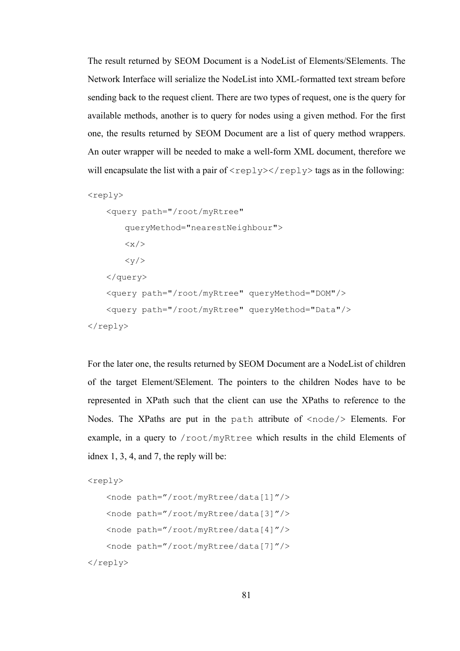The result returned by SEOM Document is a NodeList of Elements/SElements. The Network Interface will serialize the NodeList into XML-formatted text stream before sending back to the request client. There are two types of request, one is the query for available methods, another is to query for nodes using a given method. For the first one, the results returned by SEOM Document are a list of query method wrappers. An outer wrapper will be needed to make a well-form XML document, therefore we will encapsulate the list with a pair of  $\langle \text{reply}\rangle$   $\langle \text{reply}\rangle$  tags as in the following:

```
<reply>
     <query path="/root/myRtree" 
          queryMethod="nearestNeighbour"> 
         \langle x \rangle\langle \mathrm{v}/\rangle </query> 
     <query path="/root/myRtree" queryMethod="DOM"/> 
     <query path="/root/myRtree" queryMethod="Data"/> 
\langle/reply>
```
For the later one, the results returned by SEOM Document are a NodeList of children of the target Element/SElement. The pointers to the children Nodes have to be represented in XPath such that the client can use the XPaths to reference to the Nodes. The XPaths are put in the path attribute of <node/> Elements. For example, in a query to /root/myRtree which results in the child Elements of idnex 1, 3, 4, and 7, the reply will be:

```
<reply> 
    <node path="/root/myRtree/data[1]"/> 
    <node path="/root/myRtree/data[3]"/> 
    <node path="/root/myRtree/data[4]"/> 
    <node path="/root/myRtree/data[7]"/> 
</reply>
```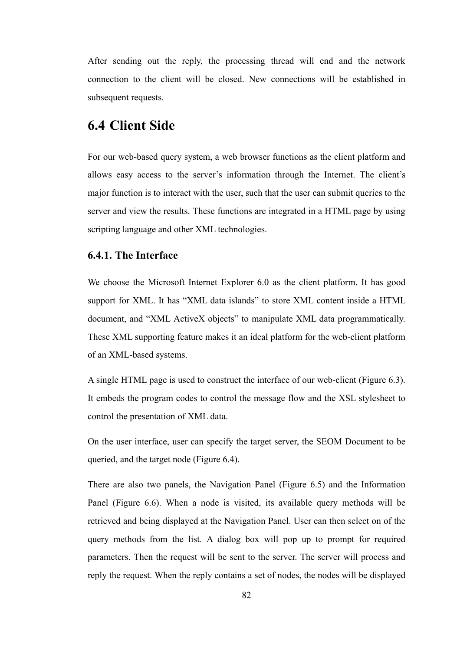After sending out the reply, the processing thread will end and the network connection to the client will be closed. New connections will be established in subsequent requests.

## **6.4 Client Side**

For our web-based query system, a web browser functions as the client platform and allows easy access to the server's information through the Internet. The client's major function is to interact with the user, such that the user can submit queries to the server and view the results. These functions are integrated in a HTML page by using scripting language and other XML technologies.

#### **6.4.1. The Interface**

We choose the Microsoft Internet Explorer 6.0 as the client platform. It has good support for XML. It has "XML data islands" to store XML content inside a HTML document, and "XML ActiveX objects" to manipulate XML data programmatically. These XML supporting feature makes it an ideal platform for the web-client platform of an XML-based systems.

A single HTML page is used to construct the interface of our web-client (Figure 6.3). It embeds the program codes to control the message flow and the XSL stylesheet to control the presentation of XML data.

On the user interface, user can specify the target server, the SEOM Document to be queried, and the target node (Figure 6.4).

There are also two panels, the Navigation Panel (Figure 6.5) and the Information Panel (Figure 6.6). When a node is visited, its available query methods will be retrieved and being displayed at the Navigation Panel. User can then select on of the query methods from the list. A dialog box will pop up to prompt for required parameters. Then the request will be sent to the server. The server will process and reply the request. When the reply contains a set of nodes, the nodes will be displayed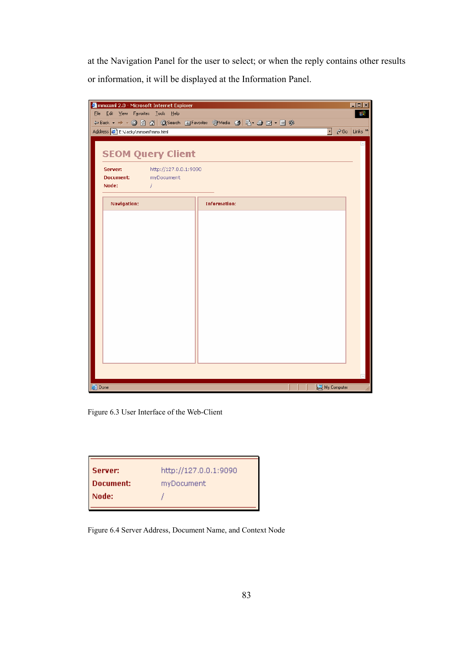at the Navigation Panel for the user to select; or when the reply contains other results or information, it will be displayed at the Information Panel.



Figure 6.3 User Interface of the Web-Client

| Server:   | http://127.0.0.1:9090 |
|-----------|-----------------------|
| Document: | myDocument            |
| Node:     |                       |
|           |                       |

Figure 6.4 Server Address, Document Name, and Context Node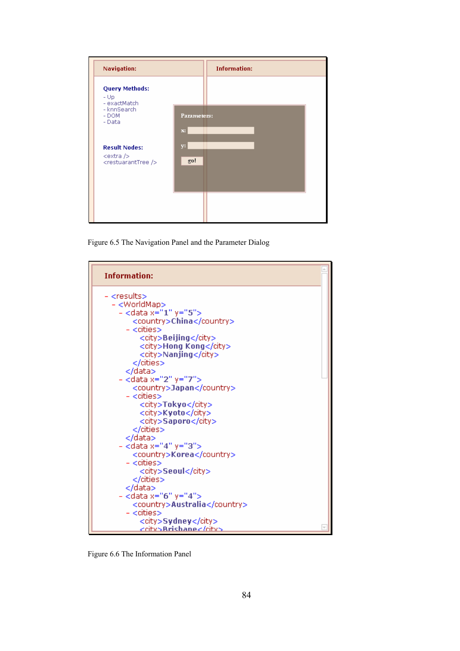| <b>Navigation:</b>                             |                               | <b>Information:</b> |  |
|------------------------------------------------|-------------------------------|---------------------|--|
| <b>Query Methods:</b><br>$-Up$<br>- exactMatch |                               |                     |  |
| - knnSearch<br>- DOM<br>- Data                 | Parameters:<br>$\mathbf{x}$ : |                     |  |
| <b>Result Nodes:</b><br><extra></extra>        | y:<br>go!                     |                     |  |
| <restuaranttree></restuaranttree>              |                               |                     |  |
|                                                |                               |                     |  |

Figure 6.5 The Navigation Panel and the Parameter Dialog



Figure 6.6 The Information Panel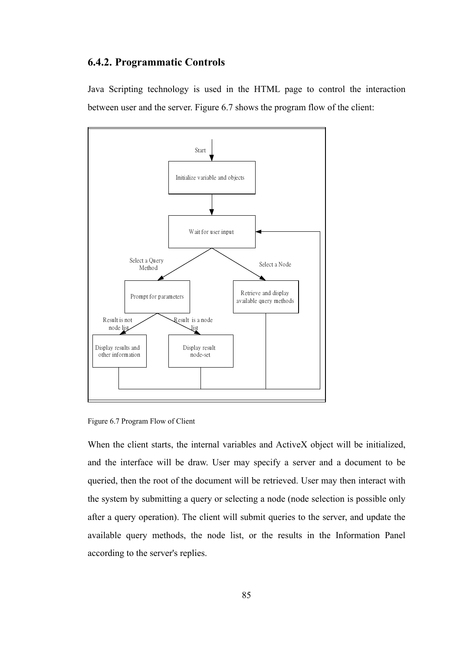#### **6.4.2. Programmatic Controls**

Java Scripting technology is used in the HTML page to control the interaction between user and the server. Figure 6.7 shows the program flow of the client:



Figure 6.7 Program Flow of Client

When the client starts, the internal variables and ActiveX object will be initialized, and the interface will be draw. User may specify a server and a document to be queried, then the root of the document will be retrieved. User may then interact with the system by submitting a query or selecting a node (node selection is possible only after a query operation). The client will submit queries to the server, and update the available query methods, the node list, or the results in the Information Panel according to the server's replies.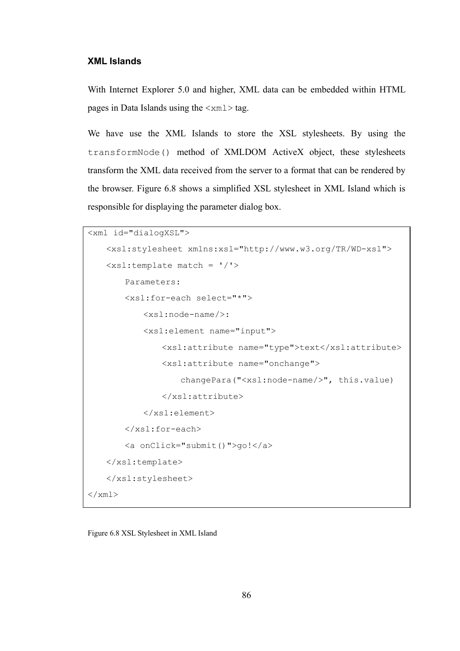#### **XML Islands**

With Internet Explorer 5.0 and higher, XML data can be embedded within HTML pages in Data Islands using the  $\langle xm1 \rangle$  tag.

We have use the XML Islands to store the XSL stylesheets. By using the transformNode() method of XMLDOM ActiveX object, these stylesheets transform the XML data received from the server to a format that can be rendered by the browser. Figure 6.8 shows a simplified XSL stylesheet in XML Island which is responsible for displaying the parameter dialog box.

```
<xml id="dialogXSL"> 
    <xsl:stylesheet xmlns:xsl="http://www.w3.org/TR/WD-xsl"> 
    <xsl:template match = '/'> 
         Parameters: 
         <xsl:for-each select="*"> 
             <xsl:node-name/>: 
             <xsl:element name="input"> 
                 <xsl:attribute name="type">text</xsl:attribute> 
                 <xsl:attribute name="onchange"> 
                     changePara("<xsl:node-name/>", this.value) 
                 </xsl:attribute> 
             </xsl:element> 
         </xsl:for-each> 
         <a onClick="submit()">go!</a> 
    </xsl:template> 
    </xsl:stylesheet> 
\langle xm1\rangle
```
Figure 6.8 XSL Stylesheet in XML Island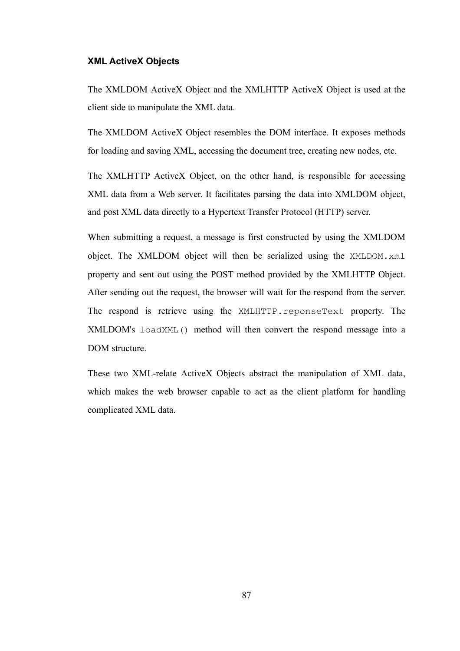#### **XML ActiveX Objects**

The XMLDOM ActiveX Object and the XMLHTTP ActiveX Object is used at the client side to manipulate the XML data.

The XMLDOM ActiveX Object resembles the DOM interface. It exposes methods for loading and saving XML, accessing the document tree, creating new nodes, etc.

The XMLHTTP ActiveX Object, on the other hand, is responsible for accessing XML data from a Web server. It facilitates parsing the data into XMLDOM object, and post XML data directly to a Hypertext Transfer Protocol (HTTP) server.

When submitting a request, a message is first constructed by using the XMLDOM object. The XMLDOM object will then be serialized using the XMLDOM.xml property and sent out using the POST method provided by the XMLHTTP Object. After sending out the request, the browser will wait for the respond from the server. The respond is retrieve using the XMLHTTP.reponseText property. The XMLDOM's loadXML() method will then convert the respond message into a DOM structure.

These two XML-relate ActiveX Objects abstract the manipulation of XML data, which makes the web browser capable to act as the client platform for handling complicated XML data.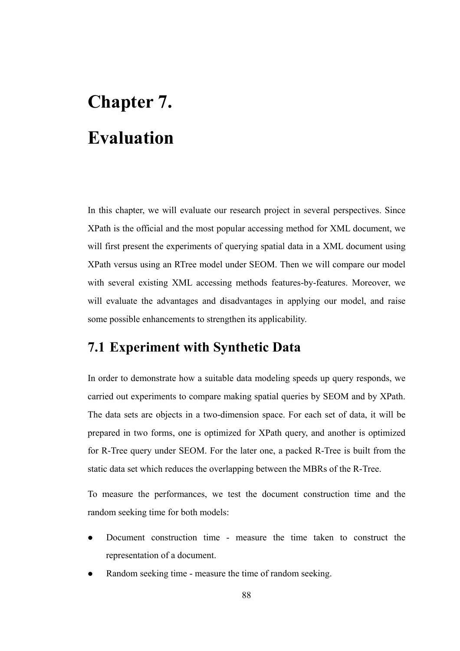## **Chapter 7. Evaluation**

In this chapter, we will evaluate our research project in several perspectives. Since XPath is the official and the most popular accessing method for XML document, we will first present the experiments of querying spatial data in a XML document using XPath versus using an RTree model under SEOM. Then we will compare our model with several existing XML accessing methods features-by-features. Moreover, we will evaluate the advantages and disadvantages in applying our model, and raise some possible enhancements to strengthen its applicability.

## **7.1 Experiment with Synthetic Data**

In order to demonstrate how a suitable data modeling speeds up query responds, we carried out experiments to compare making spatial queries by SEOM and by XPath. The data sets are objects in a two-dimension space. For each set of data, it will be prepared in two forms, one is optimized for XPath query, and another is optimized for R-Tree query under SEOM. For the later one, a packed R-Tree is built from the static data set which reduces the overlapping between the MBRs of the R-Tree.

To measure the performances, we test the document construction time and the random seeking time for both models:

- Document construction time measure the time taken to construct the representation of a document.
- Random seeking time measure the time of random seeking.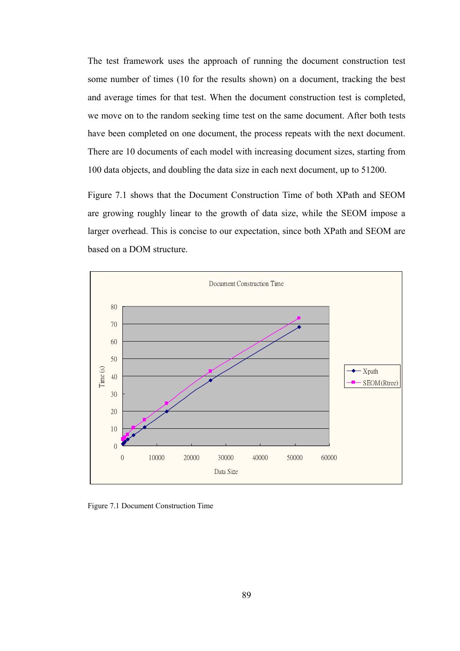The test framework uses the approach of running the document construction test some number of times (10 for the results shown) on a document, tracking the best and average times for that test. When the document construction test is completed, we move on to the random seeking time test on the same document. After both tests have been completed on one document, the process repeats with the next document. There are 10 documents of each model with increasing document sizes, starting from 100 data objects, and doubling the data size in each next document, up to 51200.

Figure 7.1 shows that the Document Construction Time of both XPath and SEOM are growing roughly linear to the growth of data size, while the SEOM impose a larger overhead. This is concise to our expectation, since both XPath and SEOM are based on a DOM structure.



Figure 7.1 Document Construction Time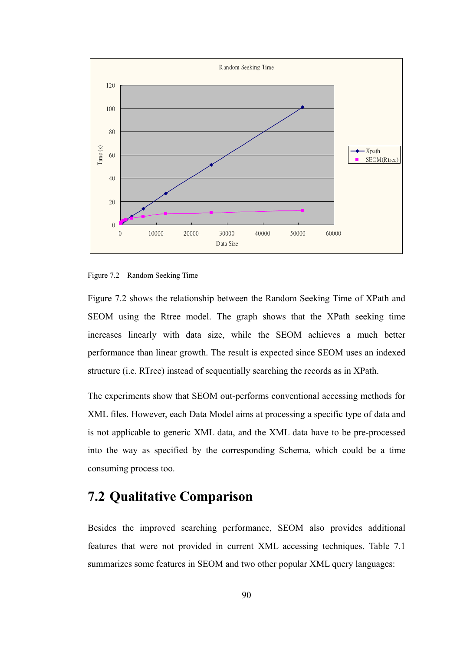

Figure 7.2 Random Seeking Time

Figure 7.2 shows the relationship between the Random Seeking Time of XPath and SEOM using the Rtree model. The graph shows that the XPath seeking time increases linearly with data size, while the SEOM achieves a much better performance than linear growth. The result is expected since SEOM uses an indexed structure (i.e. RTree) instead of sequentially searching the records as in XPath.

The experiments show that SEOM out-performs conventional accessing methods for XML files. However, each Data Model aims at processing a specific type of data and is not applicable to generic XML data, and the XML data have to be pre-processed into the way as specified by the corresponding Schema, which could be a time consuming process too.

## **7.2 Qualitative Comparison**

Besides the improved searching performance, SEOM also provides additional features that were not provided in current XML accessing techniques. Table 7.1 summarizes some features in SEOM and two other popular XML query languages: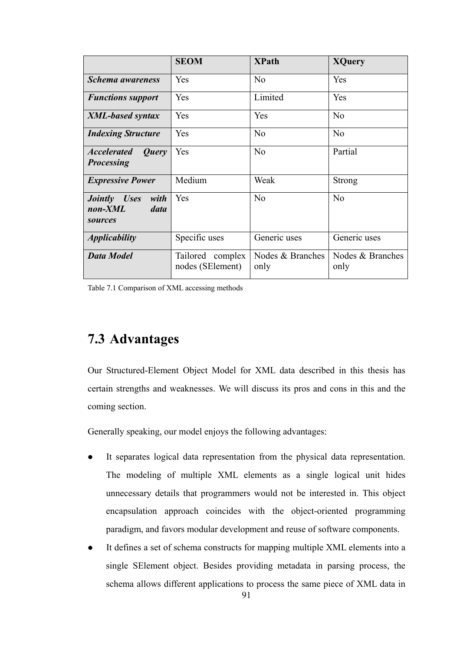|                                                                       | <b>SEOM</b>                          | <b>XPath</b>             | <b>XQuery</b>            |
|-----------------------------------------------------------------------|--------------------------------------|--------------------------|--------------------------|
| <b>Schema</b> awareness                                               | Yes                                  | No                       | Yes                      |
| <b>Functions support</b>                                              | Yes                                  | Limited                  | Yes                      |
| <b>XML-based syntax</b>                                               | Yes                                  | Yes                      | No                       |
| <b>Indexing Structure</b>                                             | Yes                                  | No                       | N <sub>0</sub>           |
| <b>Accelerated</b><br>Query<br><b>Processing</b>                      | Yes                                  | No                       | Partial                  |
| <b>Expressive Power</b>                                               | Medium                               | Weak                     | <b>Strong</b>            |
| <i>Uses</i><br>with<br><i>Jointly</i><br>$non-XML$<br>data<br>sources | Yes                                  | No                       | N <sub>0</sub>           |
| <i><b>Applicability</b></i>                                           | Specific uses                        | Generic uses             | Generic uses             |
| <b>Data Model</b>                                                     | Tailored complex<br>nodes (SElement) | Nodes & Branches<br>only | Nodes & Branches<br>only |

Table 7.1 Comparison of XML accessing methods

## **7.3 Advantages**

Our Structured-Element Object Model for XML data described in this thesis has certain strengths and weaknesses. We will discuss its pros and cons in this and the coming section.

Generally speaking, our model enjoys the following advantages:

- It separates logical data representation from the physical data representation. The modeling of multiple XML elements as a single logical unit hides unnecessary details that programmers would not be interested in. This object encapsulation approach coincides with the object-oriented programming paradigm, and favors modular development and reuse of software components.
- It defines a set of schema constructs for mapping multiple XML elements into a single SElement object. Besides providing metadata in parsing process, the schema allows different applications to process the same piece of XML data in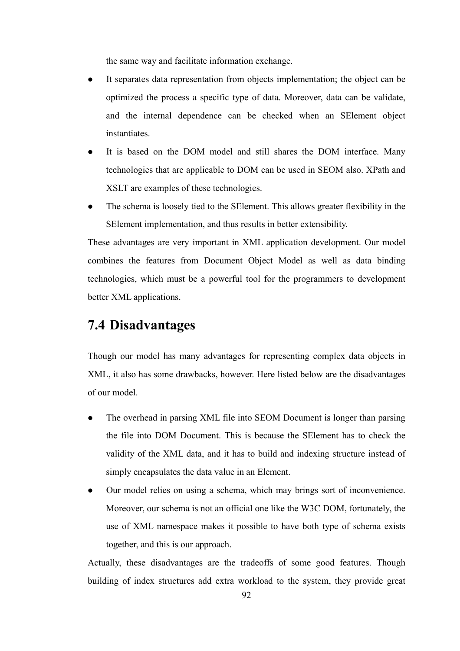the same way and facilitate information exchange.

- It separates data representation from objects implementation; the object can be optimized the process a specific type of data. Moreover, data can be validate, and the internal dependence can be checked when an SElement object instantiates.
- It is based on the DOM model and still shares the DOM interface. Many technologies that are applicable to DOM can be used in SEOM also. XPath and XSLT are examples of these technologies.
- The schema is loosely tied to the SElement. This allows greater flexibility in the SElement implementation, and thus results in better extensibility.

These advantages are very important in XML application development. Our model combines the features from Document Object Model as well as data binding technologies, which must be a powerful tool for the programmers to development better XML applications.

## **7.4 Disadvantages**

Though our model has many advantages for representing complex data objects in XML, it also has some drawbacks, however. Here listed below are the disadvantages of our model.

- The overhead in parsing XML file into SEOM Document is longer than parsing the file into DOM Document. This is because the SElement has to check the validity of the XML data, and it has to build and indexing structure instead of simply encapsulates the data value in an Element.
- Our model relies on using a schema, which may brings sort of inconvenience. Moreover, our schema is not an official one like the W3C DOM, fortunately, the use of XML namespace makes it possible to have both type of schema exists together, and this is our approach.

Actually, these disadvantages are the tradeoffs of some good features. Though building of index structures add extra workload to the system, they provide great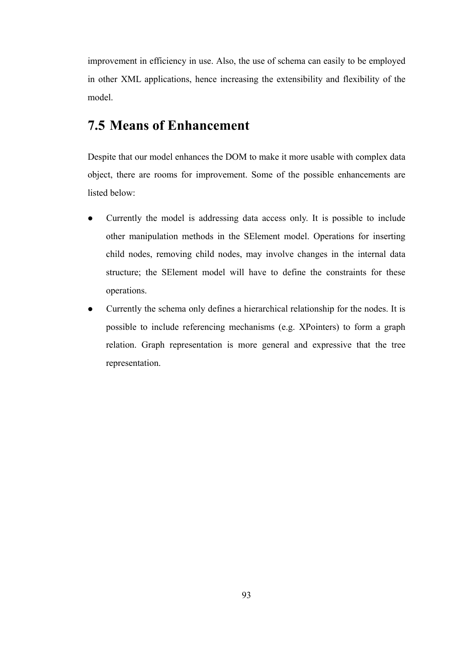improvement in efficiency in use. Also, the use of schema can easily to be employed in other XML applications, hence increasing the extensibility and flexibility of the model.

## **7.5 Means of Enhancement**

Despite that our model enhances the DOM to make it more usable with complex data object, there are rooms for improvement. Some of the possible enhancements are listed below:

- Currently the model is addressing data access only. It is possible to include other manipulation methods in the SElement model. Operations for inserting child nodes, removing child nodes, may involve changes in the internal data structure; the SElement model will have to define the constraints for these operations.
- $\bullet$  Currently the schema only defines a hierarchical relationship for the nodes. It is possible to include referencing mechanisms (e.g. XPointers) to form a graph relation. Graph representation is more general and expressive that the tree representation.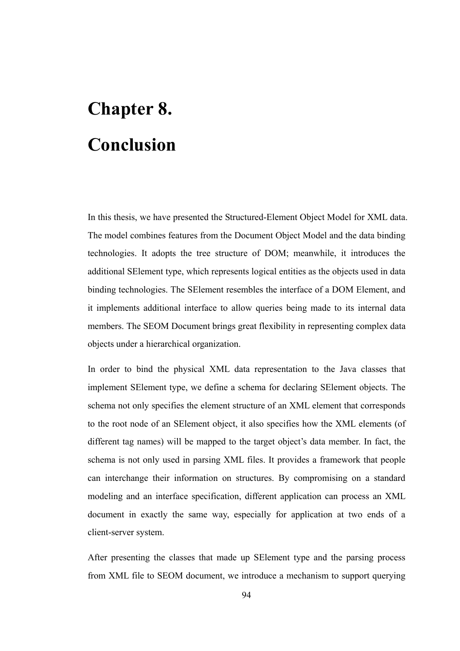## **Chapter 8. Conclusion**

In this thesis, we have presented the Structured-Element Object Model for XML data. The model combines features from the Document Object Model and the data binding technologies. It adopts the tree structure of DOM; meanwhile, it introduces the additional SElement type, which represents logical entities as the objects used in data binding technologies. The SElement resembles the interface of a DOM Element, and it implements additional interface to allow queries being made to its internal data members. The SEOM Document brings great flexibility in representing complex data objects under a hierarchical organization.

In order to bind the physical XML data representation to the Java classes that implement SElement type, we define a schema for declaring SElement objects. The schema not only specifies the element structure of an XML element that corresponds to the root node of an SElement object, it also specifies how the XML elements (of different tag names) will be mapped to the target object's data member. In fact, the schema is not only used in parsing XML files. It provides a framework that people can interchange their information on structures. By compromising on a standard modeling and an interface specification, different application can process an XML document in exactly the same way, especially for application at two ends of a client-server system.

After presenting the classes that made up SElement type and the parsing process from XML file to SEOM document, we introduce a mechanism to support querying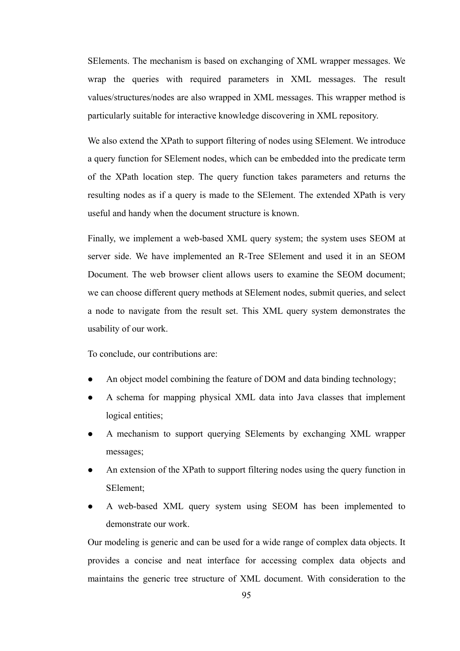SElements. The mechanism is based on exchanging of XML wrapper messages. We wrap the queries with required parameters in XML messages. The result values/structures/nodes are also wrapped in XML messages. This wrapper method is particularly suitable for interactive knowledge discovering in XML repository.

We also extend the XPath to support filtering of nodes using SElement. We introduce a query function for SElement nodes, which can be embedded into the predicate term of the XPath location step. The query function takes parameters and returns the resulting nodes as if a query is made to the SElement. The extended XPath is very useful and handy when the document structure is known.

Finally, we implement a web-based XML query system; the system uses SEOM at server side. We have implemented an R-Tree SElement and used it in an SEOM Document. The web browser client allows users to examine the SEOM document; we can choose different query methods at SElement nodes, submit queries, and select a node to navigate from the result set. This XML query system demonstrates the usability of our work.

To conclude, our contributions are:

- An object model combining the feature of DOM and data binding technology;
- A schema for mapping physical XML data into Java classes that implement logical entities;
- A mechanism to support querying SElements by exchanging XML wrapper messages;
- An extension of the XPath to support filtering nodes using the query function in SElement;
- A web-based XML query system using SEOM has been implemented to demonstrate our work.

Our modeling is generic and can be used for a wide range of complex data objects. It provides a concise and neat interface for accessing complex data objects and maintains the generic tree structure of XML document. With consideration to the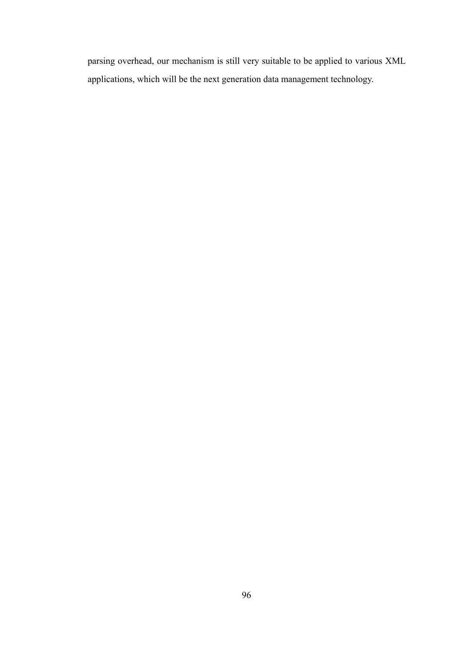parsing overhead, our mechanism is still very suitable to be applied to various XML applications, which will be the next generation data management technology.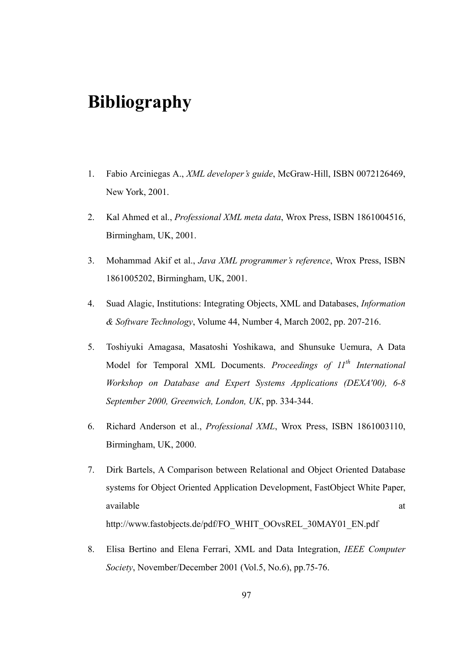## **Bibliography**

- 1. Fabio Arciniegas A., *XML developer's guide*, McGraw-Hill, ISBN 0072126469, New York, 2001.
- 2. Kal Ahmed et al., *Professional XML meta data*, Wrox Press, ISBN 1861004516, Birmingham, UK, 2001.
- 3. Mohammad Akif et al., *Java XML programmer's reference*, Wrox Press, ISBN 1861005202, Birmingham, UK, 2001.
- 4. Suad Alagic, Institutions: Integrating Objects, XML and Databases, *Information & Software Technology*, Volume 44, Number 4, March 2002, pp. 207-216.
- 5. Toshiyuki Amagasa, Masatoshi Yoshikawa, and Shunsuke Uemura, A Data Model for Temporal XML Documents. *Proceedings of 11th International Workshop on Database and Expert Systems Applications (DEXA'00), 6-8 September 2000, Greenwich, London, UK*, pp. 334-344.
- 6. Richard Anderson et al., *Professional XML*, Wrox Press, ISBN 1861003110, Birmingham, UK, 2000.
- 7. Dirk Bartels, A Comparison between Relational and Object Oriented Database systems for Object Oriented Application Development, FastObject White Paper, available at a state of  $\alpha$  at a state of  $\alpha$  at a state of  $\alpha$  at a state of  $\alpha$  at a state of  $\alpha$  at a state of  $\alpha$  at a state of  $\alpha$  at a state of  $\alpha$  at a state of  $\alpha$  at a state of  $\alpha$  at a state of  $\alpha$  at http://www.fastobjects.de/pdf/FO\_WHIT\_OOvsREL\_30MAY01\_EN.pdf
- 8. Elisa Bertino and Elena Ferrari, XML and Data Integration, *IEEE Computer Society*, November/December 2001 (Vol.5, No.6), pp.75-76.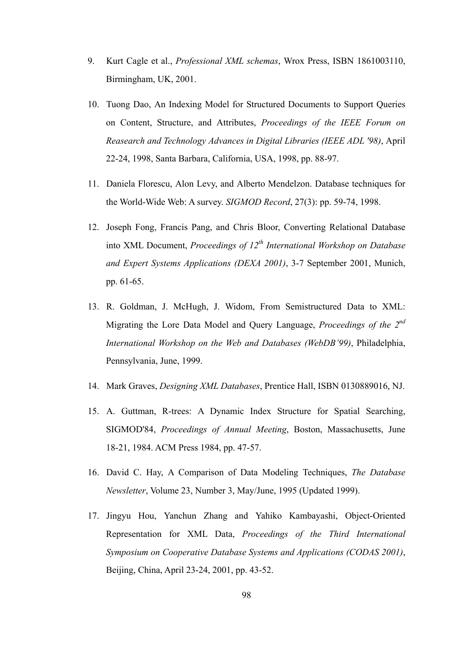- 9. Kurt Cagle et al., *Professional XML schemas*, Wrox Press, ISBN 1861003110, Birmingham, UK, 2001.
- 10. Tuong Dao, An Indexing Model for Structured Documents to Support Queries on Content, Structure, and Attributes, *Proceedings of the IEEE Forum on Reasearch and Technology Advances in Digital Libraries (IEEE ADL '98)*, April 22-24, 1998, Santa Barbara, California, USA, 1998, pp. 88-97.
- 11. Daniela Florescu, Alon Levy, and Alberto Mendelzon. Database techniques for the World-Wide Web: A survey. *SIGMOD Record*, 27(3): pp. 59-74, 1998.
- 12. Joseph Fong, Francis Pang, and Chris Bloor, Converting Relational Database into XML Document, *Proceedings of 12th International Workshop on Database and Expert Systems Applications (DEXA 2001)*, 3-7 September 2001, Munich, pp. 61-65.
- 13. R. Goldman, J. McHugh, J. Widom, From Semistructured Data to XML: Migrating the Lore Data Model and Query Language, *Proceedings of the 2nd International Workshop on the Web and Databases (WebDB'99)*, Philadelphia, Pennsylvania, June, 1999.
- 14. Mark Graves, *Designing XML Databases*, Prentice Hall, ISBN 0130889016, NJ.
- 15. A. Guttman, R-trees: A Dynamic Index Structure for Spatial Searching, SIGMOD'84, *Proceedings of Annual Meeting*, Boston, Massachusetts, June 18-21, 1984. ACM Press 1984, pp. 47-57.
- 16. David C. Hay, A Comparison of Data Modeling Techniques, *The Database Newsletter*, Volume 23, Number 3, May/June, 1995 (Updated 1999).
- 17. Jingyu Hou, Yanchun Zhang and Yahiko Kambayashi, Object-Oriented Representation for XML Data, *Proceedings of the Third International Symposium on Cooperative Database Systems and Applications (CODAS 2001)*, Beijing, China, April 23-24, 2001, pp. 43-52.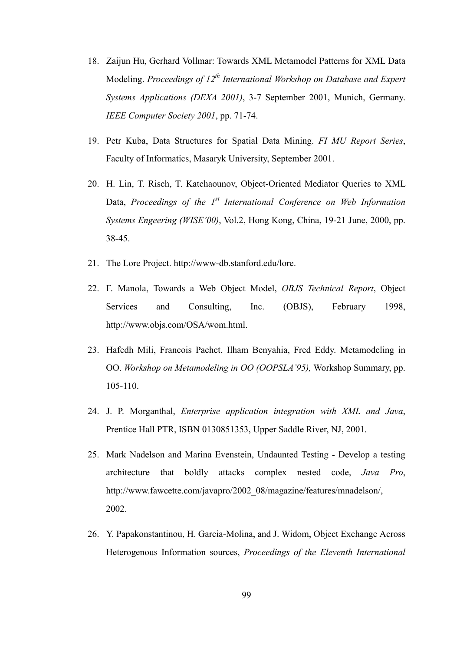- 18. Zaijun Hu, Gerhard Vollmar: Towards XML Metamodel Patterns for XML Data Modeling. *Proceedings of 12<sup>th</sup> International Workshop on Database and Expert Systems Applications (DEXA 2001)*, 3-7 September 2001, Munich, Germany. *IEEE Computer Society 2001*, pp. 71-74.
- 19. Petr Kuba, Data Structures for Spatial Data Mining. *FI MU Report Series*, Faculty of Informatics, Masaryk University, September 2001.
- 20. H. Lin, T. Risch, T. Katchaounov, Object-Oriented Mediator Queries to XML Data, *Proceedings of the 1<sup>st</sup> International Conference on Web Information Systems Engeering (WISE'00)*, Vol.2, Hong Kong, China, 19-21 June, 2000, pp. 38-45.
- 21. The Lore Project. http://www-db.stanford.edu/lore.
- 22. F. Manola, Towards a Web Object Model, *OBJS Technical Report*, Object Services and Consulting, Inc. (OBJS), February 1998, http://www.objs.com/OSA/wom.html.
- 23. Hafedh Mili, Francois Pachet, Ilham Benyahia, Fred Eddy. Metamodeling in OO. *Workshop on Metamodeling in OO (OOPSLA'95),* Workshop Summary, pp. 105-110.
- 24. J. P. Morganthal, *Enterprise application integration with XML and Java*, Prentice Hall PTR, ISBN 0130851353, Upper Saddle River, NJ, 2001.
- 25. Mark Nadelson and Marina Evenstein, Undaunted Testing Develop a testing architecture that boldly attacks complex nested code, *Java Pro*, http://www.fawcette.com/javapro/2002\_08/magazine/features/mnadelson/, 2002.
- 26. Y. Papakonstantinou, H. Garcia-Molina, and J. Widom, Object Exchange Across Heterogenous Information sources, *Proceedings of the Eleventh International*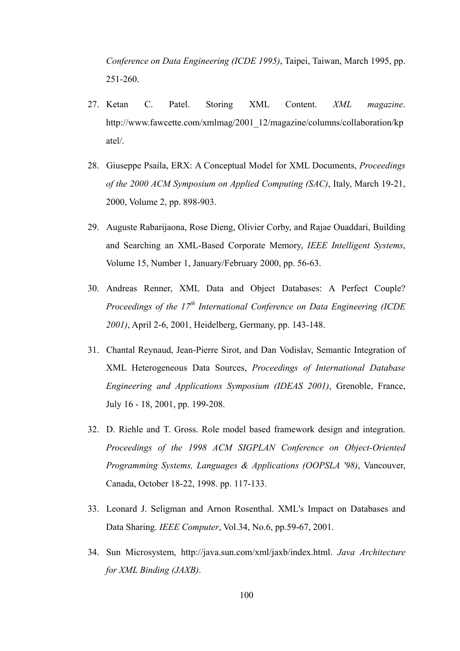*Conference on Data Engineering (ICDE 1995)*, Taipei, Taiwan, March 1995, pp. 251-260.

- 27. Ketan C. Patel. Storing XML Content. *XML magazine*. http://www.fawcette.com/xmlmag/2001\_12/magazine/columns/collaboration/kp atel/.
- 28. Giuseppe Psaila, ERX: A Conceptual Model for XML Documents, *Proceedings of the 2000 ACM Symposium on Applied Computing (SAC)*, Italy, March 19-21, 2000, Volume 2, pp. 898-903.
- 29. Auguste Rabarijaona, Rose Dieng, Olivier Corby, and Rajae Ouaddari, Building and Searching an XML-Based Corporate Memory, *IEEE Intelligent Systems*, Volume 15, Number 1, January/February 2000, pp. 56-63.
- 30. Andreas Renner, XML Data and Object Databases: A Perfect Couple? *Proceedings of the 17th International Conference on Data Engineering (ICDE 2001)*, April 2-6, 2001, Heidelberg, Germany, pp. 143-148.
- 31. Chantal Reynaud, Jean-Pierre Sirot, and Dan Vodislav, Semantic Integration of XML Heterogeneous Data Sources, *Proceedings of International Database Engineering and Applications Symposium (IDEAS 2001)*, Grenoble, France, July 16 - 18, 2001, pp. 199-208.
- 32. D. Riehle and T. Gross. Role model based framework design and integration. *Proceedings of the 1998 ACM SIGPLAN Conference on Object-Oriented Programming Systems, Languages & Applications (OOPSLA '98)*, Vancouver, Canada, October 18-22, 1998. pp. 117-133.
- 33. Leonard J. Seligman and Arnon Rosenthal. XML's Impact on Databases and Data Sharing. *IEEE Computer*, Vol.34, No.6, pp.59-67, 2001.
- 34. Sun Microsystem, http://java.sun.com/xml/jaxb/index.html. *Java Architecture for XML Binding (JAXB)*.